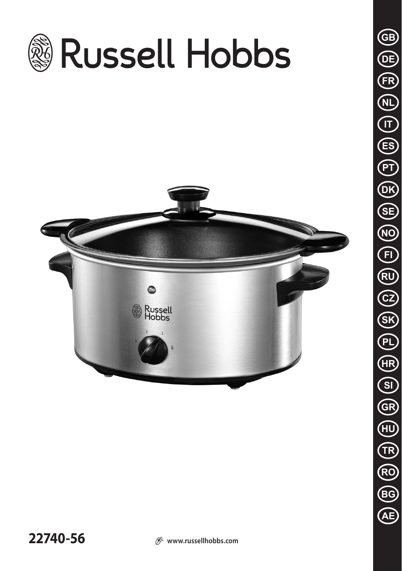

**22740-56**  $\mathcal{D}$  www.russellhobbs.com

**BG**

**AE**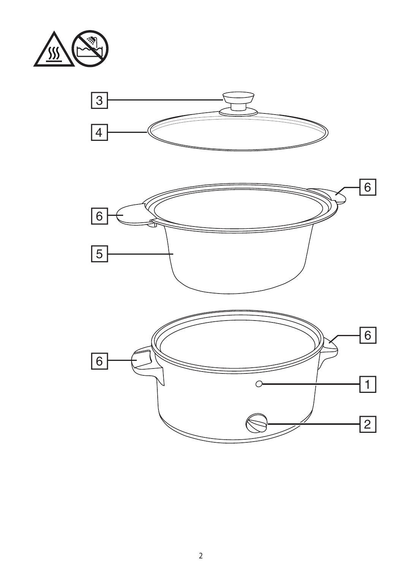



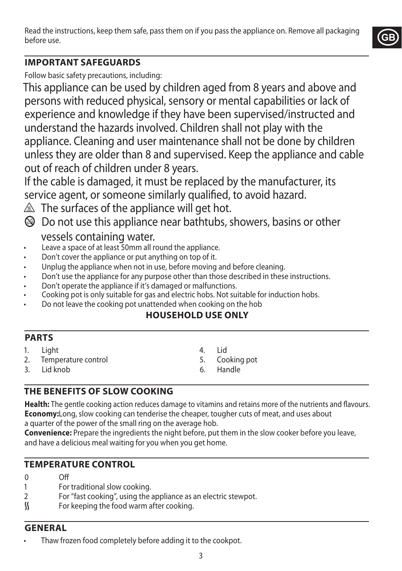Read the instructions, keep them safe, pass them on if you pass the appliance on. Remove all packaging before use.



## **IMPORTANT SAFEGUARDS**

Follow basic safety precautions, including:

This appliance can be used by children aged from 8 years and above and persons with reduced physical, sensory or mental capabilities or lack of experience and knowledge if they have been supervised/instructed and understand the hazards involved. Children shall not play with the appliance. Cleaning and user maintenance shall not be done by children unless they are older than 8 and supervised. Keep the appliance and cable out of reach of children under 8 years.

If the cable is damaged, it must be replaced by the manufacturer, its service agent, or someone similarly qualified, to avoid hazard.

 $\triangle$  The surfaces of the appliance will get hot.

 $\circledast$  Do not use this appliance near bathtubs, showers, basins or other

vessels containing water.

- Leave a space of at least 50mm all round the appliance.
- Don't cover the appliance or put anything on top of it.
- Unplug the appliance when not in use, before moving and before cleaning.
- Don't use the appliance for any purpose other than those described in these instructions.
- Don't operate the appliance if it's damaged or malfunctions.
- Cooking pot is only suitable for gas and electric hobs. Not suitable for induction hobs.
- Do not leave the cooking pot unattended when cooking on the hob

## **HOUSEHOLD USE ONLY**

### **PARTS**

- 1. Light
- 2. Temperature control
- 3. Lid knob
- 4. Lid
- 5. Cooking pot
- 6. Handle

## **THE BENEFITS OF SLOW COOKING**

**Health:** The gentle cooking action reduces damage to vitamins and retains more of the nutrients and flavours. **Economy:**Long, slow cooking can tenderise the cheaper, tougher cuts of meat, and uses about a quarter of the power of the small ring on the average hob.

**Convenience:** Prepare the ingredients the night before, put them in the slow cooker before you leave, and have a delicious meal waiting for you when you get home.

## **TEMPERATURE CONTROL**

- 0 Off
- 1 For traditional slow cooking.<br>2 For "fast cooking", using the
- For "fast cooking", using the appliance as an electric stewpot.
- $\mathcal{S}$  For keeping the food warm after cooking.

### **GENERAL**

Thaw frozen food completely before adding it to the cookpot.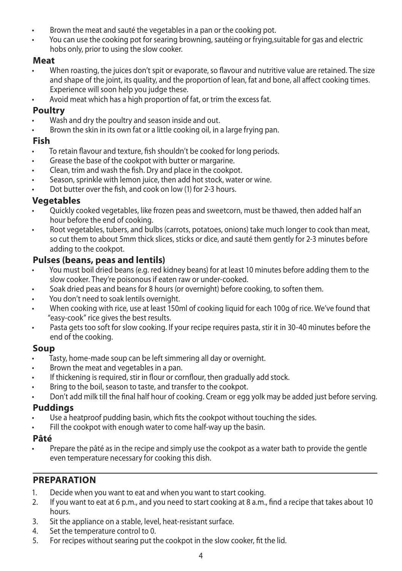- Brown the meat and sauté the vegetables in a pan or the cooking pot.
- You can use the cooking pot for searing browning, sautéing or frying,suitable for gas and electric hobs only, prior to using the slow cooker.

### **Meat**

- When roasting, the juices don't spit or evaporate, so flavour and nutritive value are retained. The size and shape of the joint, its quality, and the proportion of lean, fat and bone, all affect cooking times. Experience will soon help you judge these.
- Avoid meat which has a high proportion of fat, or trim the excess fat.

### **Poultry**

- Wash and dry the poultry and season inside and out.
- Brown the skin in its own fat or a little cooking oil, in a large frying pan.

### **Fish**

- To retain flavour and texture, fish shouldn't be cooked for long periods.
- Grease the base of the cookpot with butter or margarine.
- Clean, trim and wash the fish. Dry and place in the cookpot.
- Season, sprinkle with lemon juice, then add hot stock, water or wine.
- Dot butter over the fish, and cook on low (1) for 2-3 hours.

### **Vegetables**

- Quickly cooked vegetables, like frozen peas and sweetcorn, must be thawed, then added half an hour before the end of cooking.
- Root vegetables, tubers, and bulbs (carrots, potatoes, onions) take much longer to cook than meat, so cut them to about 5mm thick slices, sticks or dice, and sauté them gently for 2-3 minutes before adding to the cookpot.

### **Pulses (beans, peas and lentils)**

- You must boil dried beans (e.g. red kidney beans) for at least 10 minutes before adding them to the slow cooker. They're poisonous if eaten raw or under-cooked.
- Soak dried peas and beans for 8 hours (or overnight) before cooking, to soften them.
- You don't need to soak lentils overnight.
- When cooking with rice, use at least 150ml of cooking liquid for each 100g of rice. We've found that "easy-cook" rice gives the best results.
- Pasta gets too soft for slow cooking. If your recipe requires pasta, stir it in 30-40 minutes before the end of the cooking.

#### **Soup**

- Tasty, home-made soup can be left simmering all day or overnight.
- Brown the meat and vegetables in a pan.
- If thickening is required, stir in flour or cornflour, then gradually add stock.
- Bring to the boil, season to taste, and transfer to the cookpot.
- Don't add milk till the final half hour of cooking. Cream or egg yolk may be added just before serving.

### **Puddings**

- Use a heatproof pudding basin, which fits the cookpot without touching the sides.
- Fill the cookpot with enough water to come half-way up the basin.

#### **Pâté**

• Prepare the pâté as in the recipe and simply use the cookpot as a water bath to provide the gentle even temperature necessary for cooking this dish.

### **PREPARATION**

- 1. Decide when you want to eat and when you want to start cooking.
- 2. If you want to eat at 6 p.m., and you need to start cooking at 8 a.m., find a recipe that takes about 10 hours.
- 3. Sit the appliance on a stable, level, heat-resistant surface.
- 4. Set the temperature control to 0.
- 5. For recipes without searing put the cookpot in the slow cooker, fit the lid.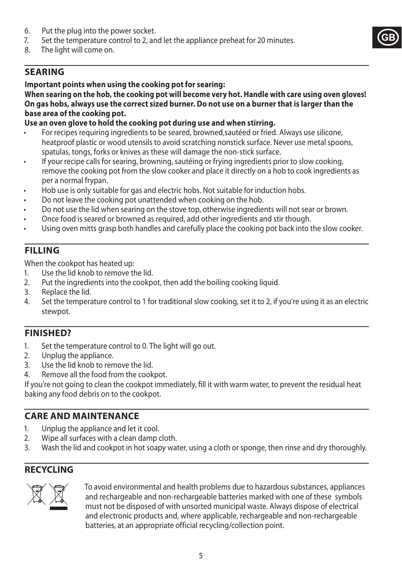- 6. Put the plug into the power socket.<br>  $\frac{1}{2}$  Set the temperature control to 2 and
- 7. Set the temperature control to 2, and let the appliance preheat for 20 minutes.<br>8. The light will come on
- The light will come on.

## **SEARING**

#### **Important points when using the cooking pot for searing:**

**When searing on the hob, the cooking pot will become very hot. Handle with care using oven gloves! On gas hobs, always use the correct sized burner. Do not use on a burner that is larger than the base area of the cooking pot.**

**GB**

### **Use an oven glove to hold the cooking pot during use and when stirring.**

- For recipes requiring ingredients to be seared, browned,sautéed or fried. Always use silicone, heatproof plastic or wood utensils to avoid scratching nonstick surface. Never use metal spoons, spatulas, tongs, forks or knives as these will damage the non-stick surface.
- If your recipe calls for searing, browning, sautéing or frying ingredients prior to slow cooking, remove the cooking pot from the slow cooker and place it directly on a hob to cook ingredients as per a normal frypan.
- Hob use is only suitable for gas and electric hobs. Not suitable for induction hobs.
- Do not leave the cooking pot unattended when cooking on the hob.
- Do not use the lid when searing on the stove top, otherwise ingredients will not sear or brown.
- Once food is seared or browned as required, add other ingredients and stir though.
- Using oven mitts grasp both handles and carefully place the cooking pot back into the slow cooker.

## **FILLING**

When the cookpot has heated up:

- 1. Use the lid knob to remove the lid.
- 2. Put the ingredients into the cookpot, then add the boiling cooking liquid.
- 3. Replace the lid.
- 4. Set the temperature control to 1 for traditional slow cooking, set it to 2, if you're using it as an electric stewpot.

## **FINISHED?**

- 1. Set the temperature control to 0. The light will go out.
- 2. Unplug the appliance.
- 3. Use the lid knob to remove the lid.
- 4. Remove all the food from the cookpot.

If you're not going to clean the cookpot immediately, fill it with warm water, to prevent the residual heat baking any food debris on to the cookpot.

## **CARE AND MAINTENANCE**

- 1. Unplug the appliance and let it cool.
- 2. Wipe all surfaces with a clean damp cloth.
- 3. Wash the lid and cookpot in hot soapy water, using a cloth or sponge, then rinse and dry thoroughly.

## **RECYCLING**



To avoid environmental and health problems due to hazardous substances, appliances<br>and rechargeable and non-rechargeable batteries marked with one of these symbols<br>must not be disposed of with unsorted municipal waste. Alw and rechargeable and non-rechargeable batteries marked with one of these symbols must not be disposed of with unsorted municipal waste. Always dispose of electrical and electronic products and, where applicable, rechargeable and non-rechargeable batteries, at an appropriate official recycling/collection point.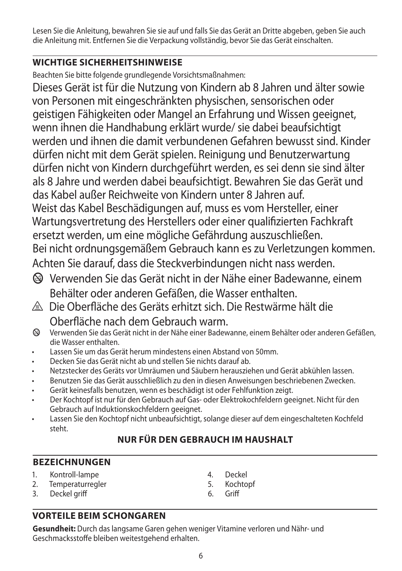Lesen Sie die Anleitung, bewahren Sie sie auf und falls Sie das Gerät an Dritte abgeben, geben Sie auch die Anleitung mit. Entfernen Sie die Verpackung vollständig, bevor Sie das Gerät einschalten.

## **WICHTIGE SICHERHEITSHINWEISE**

Beachten Sie bitte folgende grundlegende Vorsichtsmaßnahmen:

Dieses Gerät ist für die Nutzung von Kindern ab 8 Jahren und älter sowie von Personen mit eingeschränkten physischen, sensorischen oder geistigen Fähigkeiten oder Mangel an Erfahrung und Wissen geeignet, wenn ihnen die Handhabung erklärt wurde/ sie dabei beaufsichtigt werden und ihnen die damit verbundenen Gefahren bewusst sind. Kinder dürfen nicht mit dem Gerät spielen. Reinigung und Benutzerwartung dürfen nicht von Kindern durchgeführt werden, es sei denn sie sind älter als 8 Jahre und werden dabei beaufsichtigt. Bewahren Sie das Gerät und das Kabel außer Reichweite von Kindern unter 8 Jahren auf. Weist das Kabel Beschädigungen auf, muss es vom Hersteller, einer Wartungsvertretung des Herstellers oder einer qualifizierten Fachkraft ersetzt werden, um eine mögliche Gefährdung auszuschließen. Bei nicht ordnungsgemäßem Gebrauch kann es zu Verletzungen kommen. Achten Sie darauf, dass die Steckverbindungen nicht nass werden.

- b Verwenden Sie das Gerät nicht in der Nähe einer Badewanne, einem Behälter oder anderen Gefäßen, die Wasser enthalten.
- h Die Oberfläche des Geräts erhitzt sich. Die Restwärme hält die Oberfläche nach dem Gebrauch warm.
- b Verwenden Sie das Gerät nicht in der Nähe einer Badewanne, einem Behälter oder anderen Gefäßen, die Wasser enthalten.
- Lassen Sie um das Gerät herum mindestens einen Abstand von 50mm.
- Decken Sie das Gerät nicht ab und stellen Sie nichts darauf ab.
- Netzstecker des Geräts vor Umräumen und Säubern herausziehen und Gerät abkühlen lassen.
- Benutzen Sie das Gerät ausschließlich zu den in diesen Anweisungen beschriebenen Zwecken.
- Gerät keinesfalls benutzen, wenn es beschädigt ist oder Fehlfunktion zeigt.
- Der Kochtopf ist nur für den Gebrauch auf Gas- oder Elektrokochfeldern geeignet. Nicht für den Gebrauch auf Induktionskochfeldern geeignet.
- Lassen Sie den Kochtopf nicht unbeaufsichtigt, solange dieser auf dem eingeschalteten Kochfeld steht.

## **NUR FÜR DEN GEBRAUCH IM HAUSHALT**

## **BEZEICHNUNGEN**

- 1. Kontroll-lampe
- 2. Temperaturregler
- 3. Deckel griff
- 4. Deckel
- 5. Kochtopf
- 6. Griff

## **VORTEILE BEIM SCHONGAREN**

**Gesundheit:** Durch das langsame Garen gehen weniger Vitamine verloren und Nähr- und Geschmacksstoffe bleiben weitestgehend erhalten.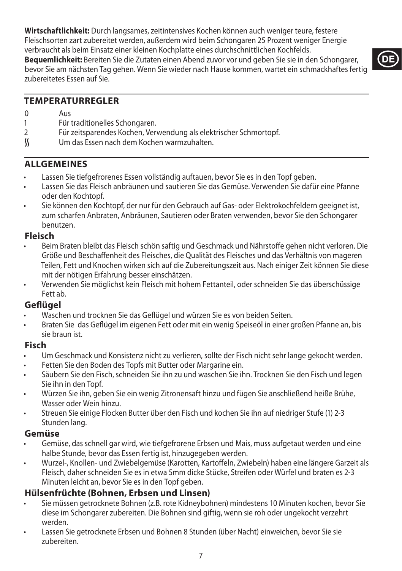**Wirtschaftlichkeit:** Durch langsames, zeitintensives Kochen können auch weniger teure, festere Fleischsorten zart zubereitet werden, außerdem wird beim Schongaren 25 Prozent weniger Energie verbraucht als beim Einsatz einer kleinen Kochplatte eines durchschnittlichen Kochfelds.

**Bequemlichkeit:** Bereiten Sie die Zutaten einen Abend zuvor vor und geben Sie sie in den Schongarer, bevor Sie am nächsten Tag gehen. Wenn Sie wieder nach Hause kommen, wartet ein schmackhaftes fertig zubereitetes Essen auf Sie.



### **TEMPERATURREGLER**

- 0 Aus
- 1 Für traditionelles Schongaren.<br>2 Für zeitsparendes Kochen Veri
- 2 Für zeitsparendes Kochen, Verwendung als elektrischer Schmortopf.<br>
Sollten um das Essen nach dem Kochen warmzuhalten.
- O Um das Essen nach dem Kochen warmzuhalten.

### **ALLGEMEINES**

- Lassen Sie tiefgefrorenes Essen vollständig auftauen, bevor Sie es in den Topf geben.
- Lassen Sie das Fleisch anbräunen und sautieren Sie das Gemüse. Verwenden Sie dafür eine Pfanne oder den Kochtopf.
- Sie können den Kochtopf, der nur für den Gebrauch auf Gas- oder Elektrokochfeldern geeignet ist, zum scharfen Anbraten, Anbräunen, Sautieren oder Braten verwenden, bevor Sie den Schongarer benutzen.

#### **Fleisch**

- Beim Braten bleibt das Fleisch schön saftig und Geschmack und Nährstoffe gehen nicht verloren. Die Größe und Beschaffenheit des Fleisches, die Qualität des Fleisches und das Verhältnis von mageren Teilen, Fett und Knochen wirken sich auf die Zubereitungszeit aus. Nach einiger Zeit können Sie diese mit der nötigen Erfahrung besser einschätzen.
- Verwenden Sie möglichst kein Fleisch mit hohem Fettanteil, oder schneiden Sie das überschüssige Fett ab.

### **Geflügel**

- Waschen und trocknen Sie das Geflügel und würzen Sie es von beiden Seiten.
- Braten Sie das Geflügel im eigenen Fett oder mit ein wenig Speiseöl in einer großen Pfanne an, bis sie braun ist.

#### **Fisch**

- Um Geschmack und Konsistenz nicht zu verlieren, sollte der Fisch nicht sehr lange gekocht werden.
- Fetten Sie den Boden des Topfs mit Butter oder Margarine ein.
- Säubern Sie den Fisch, schneiden Sie ihn zu und waschen Sie ihn. Trocknen Sie den Fisch und legen Sie ihn in den Topf.
- Würzen Sie ihn, geben Sie ein wenig Zitronensaft hinzu und fügen Sie anschließend heiße Brühe, Wasser oder Wein hinzu.
- Streuen Sie einige Flocken Butter über den Fisch und kochen Sie ihn auf niedriger Stufe (1) 2-3 Stunden lang.

#### **Gemüse**

- Gemüse, das schnell gar wird, wie tiefgefrorene Erbsen und Mais, muss aufgetaut werden und eine halbe Stunde, bevor das Essen fertig ist, hinzugegeben werden.
- Wurzel-, Knollen- und Zwiebelgemüse (Karotten, Kartoffeln, Zwiebeln) haben eine längere Garzeit als Fleisch, daher schneiden Sie es in etwa 5mm dicke Stücke, Streifen oder Würfel und braten es 2-3 Minuten leicht an, bevor Sie es in den Topf geben.

## **Hülsenfrüchte (Bohnen, Erbsen und Linsen)**

- Sie müssen getrocknete Bohnen (z.B. rote Kidneybohnen) mindestens 10 Minuten kochen, bevor Sie diese im Schongarer zubereiten. Die Bohnen sind giftig, wenn sie roh oder ungekocht verzehrt werden.
- Lassen Sie getrocknete Erbsen und Bohnen 8 Stunden (über Nacht) einweichen, bevor Sie sie zubereiten.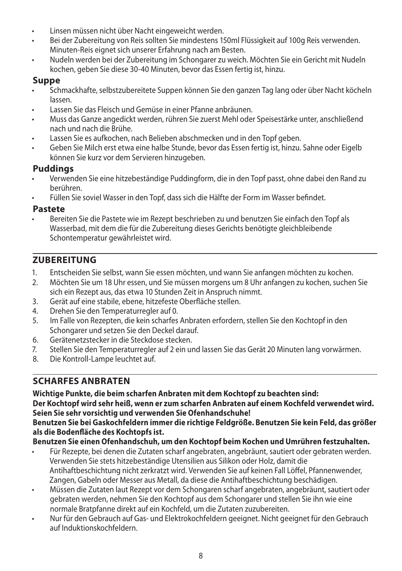- Linsen müssen nicht über Nacht eingeweicht werden.
- Bei der Zubereitung von Reis sollten Sie mindestens 150ml Flüssigkeit auf 100g Reis verwenden. Minuten-Reis eignet sich unserer Erfahrung nach am Besten.
- Nudeln werden bei der Zubereitung im Schongarer zu weich. Möchten Sie ein Gericht mit Nudeln kochen, geben Sie diese 30-40 Minuten, bevor das Essen fertig ist, hinzu.

## **Suppe**

- Schmackhafte, selbstzubereitete Suppen können Sie den ganzen Tag lang oder über Nacht köcheln lassen.
- Lassen Sie das Fleisch und Gemüse in einer Pfanne anbräunen.
- Muss das Ganze angedickt werden, rühren Sie zuerst Mehl oder Speisestärke unter, anschließend nach und nach die Brühe.
- Lassen Sie es aufkochen, nach Belieben abschmecken und in den Topf geben.
- Geben Sie Milch erst etwa eine halbe Stunde, bevor das Essen fertig ist, hinzu. Sahne oder Eigelb können Sie kurz vor dem Servieren hinzugeben.

## **Puddings**

- Verwenden Sie eine hitzebeständige Puddingform, die in den Topf passt, ohne dabei den Rand zu berühren.
- Füllen Sie soviel Wasser in den Topf, dass sich die Hälfte der Form im Wasser befindet.

### **Pastete**

• Bereiten Sie die Pastete wie im Rezept beschrieben zu und benutzen Sie einfach den Topf als Wasserbad, mit dem die für die Zubereitung dieses Gerichts benötigte gleichbleibende Schontemperatur gewährleistet wird.

## **ZUBEREITUNG**

- 1. Entscheiden Sie selbst, wann Sie essen möchten, und wann Sie anfangen möchten zu kochen.
- 2. Möchten Sie um 18 Uhr essen, und Sie müssen morgens um 8 Uhr anfangen zu kochen, suchen Sie sich ein Rezept aus, das etwa 10 Stunden Zeit in Anspruch nimmt.
- 3. Gerät auf eine stabile, ebene, hitzefeste Oberfläche stellen.
- 4. Drehen Sie den Temperaturregler auf 0.
- 5. Im Falle von Rezepten, die kein scharfes Anbraten erfordern, stellen Sie den Kochtopf in den Schongarer und setzen Sie den Deckel darauf.
- 6. Gerätenetzstecker in die Steckdose stecken.
- 7. Stellen Sie den Temperaturregler auf 2 ein und lassen Sie das Gerät 20 Minuten lang vorwärmen.
- 8. Die Kontroll-Lampe leuchtet auf.

## **SCHARFES ANBRATEN**

**Wichtige Punkte, die beim scharfen Anbraten mit dem Kochtopf zu beachten sind: Der Kochtopf wird sehr heiß, wenn er zum scharfen Anbraten auf einem Kochfeld verwendet wird. Seien Sie sehr vorsichtig und verwenden Sie Ofenhandschuhe! Benutzen Sie bei Gaskochfeldern immer die richtige Feldgröße. Benutzen Sie kein Feld, das größer** 

### **als die Bodenfläche des Kochtopfs ist.**

**Benutzen Sie einen Ofenhandschuh, um den Kochtopf beim Kochen und Umrühren festzuhalten.**

- Für Rezepte, bei denen die Zutaten scharf angebraten, angebräunt, sautiert oder gebraten werden. Verwenden Sie stets hitzebeständige Utensilien aus Silikon oder Holz, damit die Antihaftbeschichtung nicht zerkratzt wird. Verwenden Sie auf keinen Fall Löffel, Pfannenwender, Zangen, Gabeln oder Messer aus Metall, da diese die Antihaftbeschichtung beschädigen.
- Müssen die Zutaten laut Rezept vor dem Schongaren scharf angebraten, angebräunt, sautiert oder gebraten werden, nehmen Sie den Kochtopf aus dem Schongarer und stellen Sie ihn wie eine normale Bratpfanne direkt auf ein Kochfeld, um die Zutaten zuzubereiten.
- Nur für den Gebrauch auf Gas- und Elektrokochfeldern geeignet. Nicht geeignet für den Gebrauch auf Induktionskochfeldern.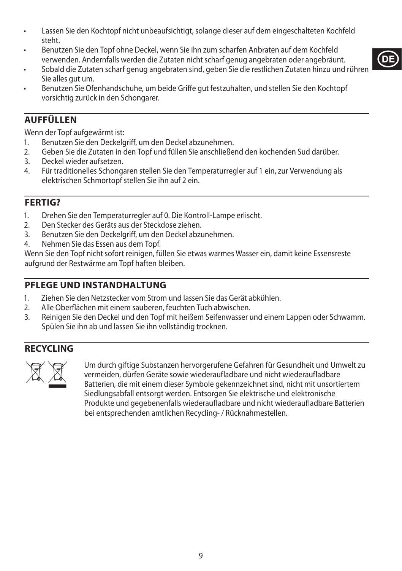- Lassen Sie den Kochtopf nicht unbeaufsichtigt, solange dieser auf dem eingeschalteten Kochfeld steht.
- Benutzen Sie den Topf ohne Deckel, wenn Sie ihn zum scharfen Anbraten auf dem Kochfeld verwenden. Andernfalls werden die Zutaten nicht scharf genug angebraten oder angebräunt.
- Sobald die Zutaten scharf genug angebraten sind, geben Sie die restlichen Zutaten hinzu und rühren Sie alles gut um.
- Benutzen Sie Ofenhandschuhe, um beide Griffe gut festzuhalten, und stellen Sie den Kochtopf vorsichtig zurück in den Schongarer.

## **AUFFÜLLEN**

Wenn der Topf aufgewärmt ist:

- 1. Benutzen Sie den Deckelgriff, um den Deckel abzunehmen.
- 2. Geben Sie die Zutaten in den Topf und füllen Sie anschließend den kochenden Sud darüber.<br>3. Deckel wieder aufsetzen.
- 3. Deckel wieder aufsetzen.
- 4. Für traditionelles Schongaren stellen Sie den Temperaturregler auf 1 ein, zur Verwendung als elektrischen Schmortopf stellen Sie ihn auf 2 ein.

### **FERTIG?**

- 1. Drehen Sie den Temperaturregler auf 0. Die Kontroll-Lampe erlischt.
- 2. Den Stecker des Geräts aus der Steckdose ziehen.
- 3. Benutzen Sie den Deckelgriff, um den Deckel abzunehmen.
- 4. Nehmen Sie das Essen aus dem Topf.

Wenn Sie den Topf nicht sofort reinigen, füllen Sie etwas warmes Wasser ein, damit keine Essensreste aufgrund der Restwärme am Topf haften bleiben.

## **PFLEGE UND INSTANDHALTUNG**

- 1. Ziehen Sie den Netzstecker vom Strom und lassen Sie das Gerät abkühlen.<br>2. Alle Oberflächen mit einem sauberen, feuchten Tuch abwischen.
- 2. Alle Oberflächen mit einem sauberen, feuchten Tuch abwischen.
- 3. Reinigen Sie den Deckel und den Topf mit heißem Seifenwasser und einem Lappen oder Schwamm. Spülen Sie ihn ab und lassen Sie ihn vollständig trocknen.

### **RECYCLING**



Um durch giftige Substanzen hervorgerufene Gefahren für Gesundheit und Umwelt zu<br>vermeiden, dürfen Geräte sowie wiederaufladbare und nicht wiederaufladbare<br>Batterien, die mit einem dieser Symbole gekennzeichnet sind, nicht vermeiden, dürfen Geräte sowie wiederaufladbare und nicht wiederaufladbare Batterien, die mit einem dieser Symbole gekennzeichnet sind, nicht mit unsortiertem Siedlungsabfall entsorgt werden. Entsorgen Sie elektrische und elektronische Produkte und gegebenenfalls wiederaufladbare und nicht wiederaufladbare Batterien bei entsprechenden amtlichen Recycling- / Rücknahmestellen.

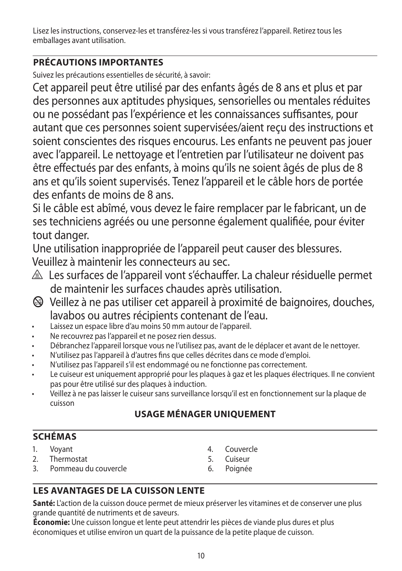Lisez les instructions, conservez-les et transférez-les si vous transférez l'appareil. Retirez tous les emballages avant utilisation.

## **PRÉCAUTIONS IMPORTANTES**

Suivez les précautions essentielles de sécurité, à savoir:

Cet appareil peut être utilisé par des enfants âgés de 8 ans et plus et par des personnes aux aptitudes physiques, sensorielles ou mentales réduites ou ne possédant pas l'expérience et les connaissances suffisantes, pour autant que ces personnes soient supervisées/aient reçu des instructions et soient conscientes des risques encourus. Les enfants ne peuvent pas jouer avec l'appareil. Le nettoyage et l'entretien par l'utilisateur ne doivent pas être effectués par des enfants, à moins qu'ils ne soient âgés de plus de 8 ans et qu'ils soient supervisés. Tenez l'appareil et le câble hors de portée des enfants de moins de 8 ans.

Si le câble est abîmé, vous devez le faire remplacer par le fabricant, un de ses techniciens agréés ou une personne également qualifiée, pour éviter tout danger.

Une utilisation inappropriée de l'appareil peut causer des blessures. Veuillez à maintenir les connecteurs au sec.

- $\triangle$  Les surfaces de l'appareil vont s'échauffer. La chaleur résiduelle permet de maintenir les surfaces chaudes après utilisation.
- b Veillez à ne pas utiliser cet appareil à proximité de baignoires, douches, lavabos ou autres récipients contenant de l'eau.
- Laissez un espace libre d'au moins 50 mm autour de l'appareil.
- Ne recouvrez pas l'appareil et ne posez rien dessus.
- Débranchez l'appareil lorsque vous ne l'utilisez pas, avant de le déplacer et avant de le nettoyer.
- N'utilisez pas l'appareil à d'autres fins que celles décrites dans ce mode d'emploi.
- N'utilisez pas l'appareil s'il est endommagé ou ne fonctionne pas correctement.
- Le cuiseur est uniquement approprié pour les plaques à gaz et les plaques électriques. Il ne convient pas pour être utilisé sur des plaques à induction.
- Veillez à ne pas laisser le cuiseur sans surveillance lorsqu'il est en fonctionnement sur la plaque de cuisson

## **USAGE MÉNAGER UNIQUEMENT**

## **SCHÉMAS**

1. Voyant

- 2. Thermostat
- 3. Pommeau du couvercle
- 4. Couvercle
- 5. Cuiseur
- 6. Poignée

## **LES AVANTAGES DE LA CUISSON LENTE**

**Santé:** L'action de la cuisson douce permet de mieux préserver les vitamines et de conserver une plus grande quantité de nutriments et de saveurs.

**Économie:** Une cuisson longue et lente peut attendrir les pièces de viande plus dures et plus économiques et utilise environ un quart de la puissance de la petite plaque de cuisson.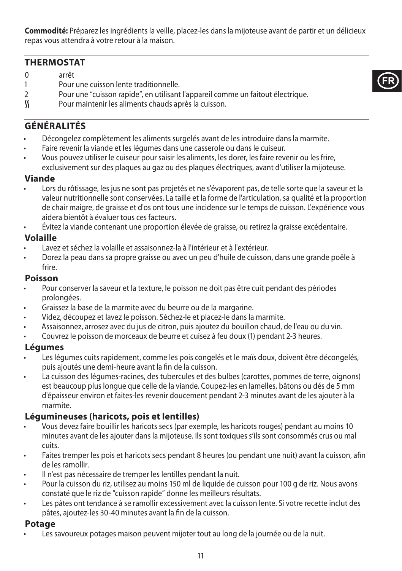**Commodité:** Préparez les ingrédients la veille, placez-les dans la mijoteuse avant de partir et un délicieux repas vous attendra à votre retour à la maison.

**FR**

### **THERMOSTAT**

- 0 arrêt
- 1 Pour une cuisson lente traditionnelle.
- 2 Pour une "cuisson rapide", en utilisant l'appareil comme un faitout électrique.<br>((Chingno pour maintenir les aliments chauds après la cuisson.
- Pour maintenir les aliments chauds après la cuisson.

## **GÉNÉRALITÉS**

- Décongelez complètement les aliments surgelés avant de les introduire dans la marmite.
- Faire revenir la viande et les légumes dans une casserole ou dans le cuiseur.
- Vous pouvez utiliser le cuiseur pour saisir les aliments, les dorer, les faire revenir ou les frire, exclusivement sur des plaques au gaz ou des plaques électriques, avant d'utiliser la mijoteuse.

#### **Viande**

- Lors du rôtissage, les jus ne sont pas projetés et ne s'évaporent pas, de telle sorte que la saveur et la valeur nutritionnelle sont conservées. La taille et la forme de l'articulation, sa qualité et la proportion de chair maigre, de graisse et d'os ont tous une incidence sur le temps de cuisson. L'expérience vous aidera bientôt à évaluer tous ces facteurs.
- Évitez la viande contenant une proportion élevée de graisse, ou retirez la graisse excédentaire.

#### **Volaille**

- Lavez et séchez la volaille et assaisonnez-la à l'intérieur et à l'extérieur.
- Dorez la peau dans sa propre graisse ou avec un peu d'huile de cuisson, dans une grande poêle à frire.

#### **Poisson**

- Pour conserver la saveur et la texture, le poisson ne doit pas être cuit pendant des périodes prolongées.
- Graissez la base de la marmite avec du beurre ou de la margarine.
- Videz, découpez et lavez le poisson. Séchez-le et placez-le dans la marmite.
- Assaisonnez, arrosez avec du jus de citron, puis ajoutez du bouillon chaud, de l'eau ou du vin.
- Couvrez le poisson de morceaux de beurre et cuisez à feu doux (1) pendant 2-3 heures.

#### **Légumes**

- Les légumes cuits rapidement, comme les pois congelés et le maïs doux, doivent être décongelés, puis ajoutés une demi-heure avant la fin de la cuisson.
- La cuisson des légumes-racines, des tubercules et des bulbes (carottes, pommes de terre, oignons) est beaucoup plus longue que celle de la viande. Coupez-les en lamelles, bâtons ou dés de 5 mm d'épaisseur environ et faites-les revenir doucement pendant 2-3 minutes avant de les ajouter à la marmite.

#### **Légumineuses (haricots, pois et lentilles)**

- Vous devez faire bouillir les haricots secs (par exemple, les haricots rouges) pendant au moins 10 minutes avant de les ajouter dans la mijoteuse. Ils sont toxiques s'ils sont consommés crus ou mal cuits.
- Faites tremper les pois et haricots secs pendant 8 heures (ou pendant une nuit) avant la cuisson, afin de les ramollir.
- Il n'est pas nécessaire de tremper les lentilles pendant la nuit.
- Pour la cuisson du riz, utilisez au moins 150 ml de liquide de cuisson pour 100 g de riz. Nous avons constaté que le riz de "cuisson rapide" donne les meilleurs résultats.
- Les pâtes ont tendance à se ramollir excessivement avec la cuisson lente. Si votre recette inclut des pâtes, ajoutez-les 30-40 minutes avant la fin de la cuisson.

#### **Potage**

Les savoureux potages maison peuvent mijoter tout au long de la journée ou de la nuit.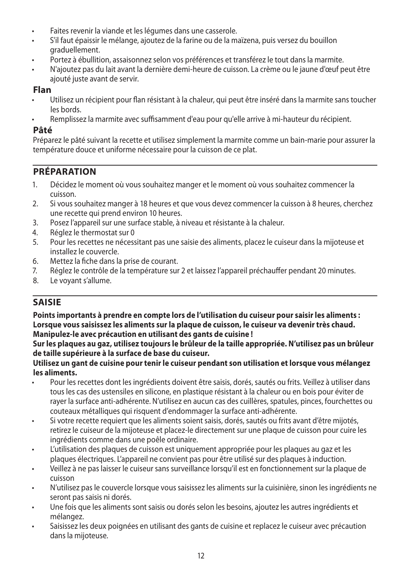- Faites revenir la viande et les légumes dans une casserole.
- S'il faut épaissir le mélange, ajoutez de la farine ou de la maïzena, puis versez du bouillon graduellement.
- Portez à ébullition, assaisonnez selon vos préférences et transférez le tout dans la marmite.
- N'ajoutez pas du lait avant la dernière demi-heure de cuisson. La crème ou le jaune d'œuf peut être ajouté juste avant de servir.

### **Flan**

- Utilisez un récipient pour flan résistant à la chaleur, qui peut être inséré dans la marmite sans toucher les bords.
- Remplissez la marmite avec suffisamment d'eau pour qu'elle arrive à mi-hauteur du récipient.

### **Pâté**

Préparez le pâté suivant la recette et utilisez simplement la marmite comme un bain-marie pour assurer la température douce et uniforme nécessaire pour la cuisson de ce plat.

## **PRÉPARATION**

- 1. Décidez le moment où vous souhaitez manger et le moment où vous souhaitez commencer la cuisson.
- 2. Si vous souhaitez manger à 18 heures et que vous devez commencer la cuisson à 8 heures, cherchez une recette qui prend environ 10 heures.
- 3. Posez l'appareil sur une surface stable, à niveau et résistante à la chaleur.
- 4. Réglez le thermostat sur 0
- 5. Pour les recettes ne nécessitant pas une saisie des aliments, placez le cuiseur dans la mijoteuse et installez le couvercle.
- 6. Mettez la fiche dans la prise de courant.
- 7. Réglez le contrôle de la température sur 2 et laissez l'appareil préchauffer pendant 20 minutes.
- 8. Le voyant s'allume.

## **SAISIE**

**Points importants à prendre en compte lors de l'utilisation du cuiseur pour saisir les aliments : Lorsque vous saisissez les aliments sur la plaque de cuisson, le cuiseur va devenir très chaud. Manipulez-le avec précaution en utilisant des gants de cuisine !**

**Sur les plaques au gaz, utilisez toujours le brûleur de la taille appropriée. N'utilisez pas un brûleur de taille supérieure à la surface de base du cuiseur.**

#### **Utilisez un gant de cuisine pour tenir le cuiseur pendant son utilisation et lorsque vous mélangez les aliments.**

- Pour les recettes dont les ingrédients doivent être saisis, dorés, sautés ou frits. Veillez à utiliser dans tous les cas des ustensiles en silicone, en plastique résistant à la chaleur ou en bois pour éviter de rayer la surface anti-adhérente. N'utilisez en aucun cas des cuillères, spatules, pinces, fourchettes ou couteaux métalliques qui risquent d'endommager la surface anti-adhérente.
- Si votre recette requiert que les aliments soient saisis, dorés, sautés ou frits avant d'être mijotés, retirez le cuiseur de la mijoteuse et placez-le directement sur une plaque de cuisson pour cuire les ingrédients comme dans une poêle ordinaire.
- L'utilisation des plaques de cuisson est uniquement appropriée pour les plaques au gaz et les plaques électriques. L'appareil ne convient pas pour être utilisé sur des plaques à induction.
- Veillez à ne pas laisser le cuiseur sans surveillance lorsqu'il est en fonctionnement sur la plaque de cuisson
- N'utilisez pas le couvercle lorsque vous saisissez les aliments sur la cuisinière, sinon les ingrédients ne seront pas saisis ni dorés.
- Une fois que les aliments sont saisis ou dorés selon les besoins, ajoutez les autres ingrédients et mélangez.
- Saisissez les deux poignées en utilisant des gants de cuisine et replacez le cuiseur avec précaution dans la mijoteuse.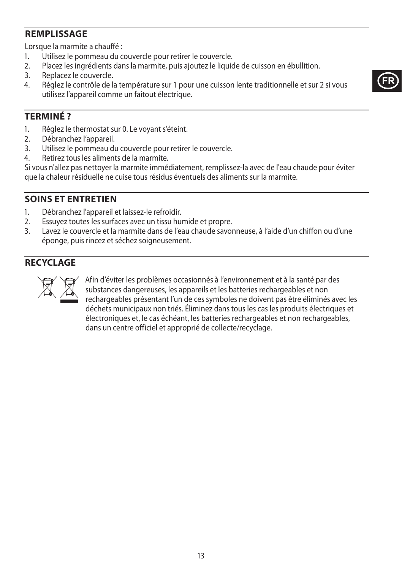## **REMPLISSAGE**

Lorsque la marmite a chauffé :

- 1. Utilisez le pommeau du couvercle pour retirer le couvercle.<br>2 Decez les ingrédients dans la marmite puis ajoutez le liquie
- 2. Placez les ingrédients dans la marmite, puis ajoutez le liquide de cuisson en ébullition.<br>3. Replacez le couvercle.
- Replacez le couvercle.
- 4. Réglez le contrôle de la température sur 1 pour une cuisson lente traditionnelle et sur 2 si vous utilisez l'appareil comme un faitout électrique.



### **TERMINÉ ?**

- 1. Réglez le thermostat sur 0. Le voyant s'éteint.
- 2. Débranchez l'appareil.<br>3. Utilisez le pommeau di
- Utilisez le pommeau du couvercle pour retirer le couvercle.
- 4. Retirez tous les aliments de la marmite.

Si vous n'allez pas nettoyer la marmite immédiatement, remplissez-la avec de l'eau chaude pour éviter que la chaleur résiduelle ne cuise tous résidus éventuels des aliments sur la marmite.

### **SOINS ET ENTRETIEN**

- 1. Débranchez l'appareil et laissez-le refroidir.
- 2. Essuyez toutes les surfaces avec un tissu humide et propre.
- 3. Lavez le couvercle et la marmite dans de l'eau chaude savonneuse, à l'aide d'un chiffon ou d'une éponge, puis rincez et séchez soigneusement.

### **RECYCLAGE**



Afin d'éviter les problèmes occasionnés à l'environnement et à la santé par des<br>substances dangereuses, les appareils et les batteries rechargeables et non<br>rechargeables présentant l'un de ces symboles ne doivent pas être substances dangereuses, les appareils et les batteries rechargeables et non rechargeables présentant l'un de ces symboles ne doivent pas être éliminés avec les déchets municipaux non triés. Éliminez dans tous les cas les produits électriques et électroniques et, le cas échéant, les batteries rechargeables et non rechargeables, dans un centre officiel et approprié de collecte/recyclage.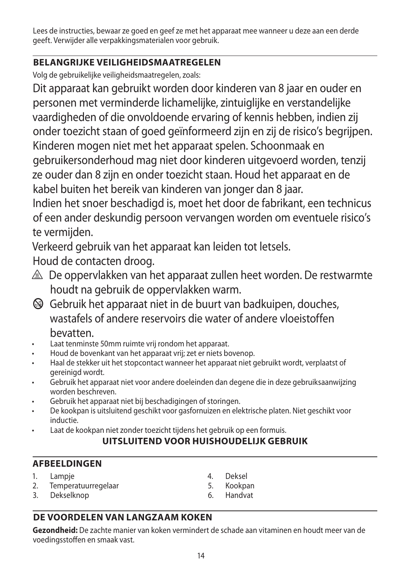Lees de instructies, bewaar ze goed en geef ze met het apparaat mee wanneer u deze aan een derde geeft. Verwijder alle verpakkingsmaterialen voor gebruik.

## **BELANGRIJKE VEILIGHEIDSMAATREGELEN**

Volg de gebruikelijke veiligheidsmaatregelen, zoals:

Dit apparaat kan gebruikt worden door kinderen van 8 jaar en ouder en personen met verminderde lichamelijke, zintuiglijke en verstandelijke vaardigheden of die onvoldoende ervaring of kennis hebben, indien zij onder toezicht staan of goed geïnformeerd zijn en zij de risico's begrijpen. Kinderen mogen niet met het apparaat spelen. Schoonmaak en gebruikersonderhoud mag niet door kinderen uitgevoerd worden, tenzij ze ouder dan 8 zijn en onder toezicht staan. Houd het apparaat en de kabel buiten het bereik van kinderen van jonger dan 8 jaar.

Indien het snoer beschadigd is, moet het door de fabrikant, een technicus of een ander deskundig persoon vervangen worden om eventuele risico's te vermijden.

Verkeerd gebruik van het apparaat kan leiden tot letsels.

Houd de contacten droog.

- $\triangle$  De oppervlakken van het apparaat zullen heet worden. De restwarmte houdt na gebruik de oppervlakken warm.
- $\bigcirc$  Gebruik het apparaat niet in de buurt van badkuipen, douches, wastafels of andere reservoirs die water of andere vloeistoffen bevatten.
- Laat tenminste 50mm ruimte vrij rondom het apparaat.
- Houd de bovenkant van het apparaat vrij; zet er niets bovenop.
- Haal de stekker uit het stopcontact wanneer het apparaat niet gebruikt wordt, verplaatst of gereinigd wordt.
- Gebruik het apparaat niet voor andere doeleinden dan degene die in deze gebruiksaanwijzing worden beschreven.
- Gebruik het apparaat niet bij beschadigingen of storingen.
- De kookpan is uitsluitend geschikt voor gasfornuizen en elektrische platen. Niet geschikt voor inductie.
- Laat de kookpan niet zonder toezicht tijdens het gebruik op een formuis.

## **UITSLUITEND VOOR HUISHOUDELIJK GEBRUIK**

## **AFBEELDINGEN**

- 1. Lampje
- 2. Temperatuurregelaar
- 3. Dekselknop
- 4. Deksel
- 5. Kookpan
- 6. Handvat

## **DE VOORDELEN VAN LANGZAAM KOKEN**

**Gezondheid:** De zachte manier van koken vermindert de schade aan vitaminen en houdt meer van de voedingsstoffen en smaak vast.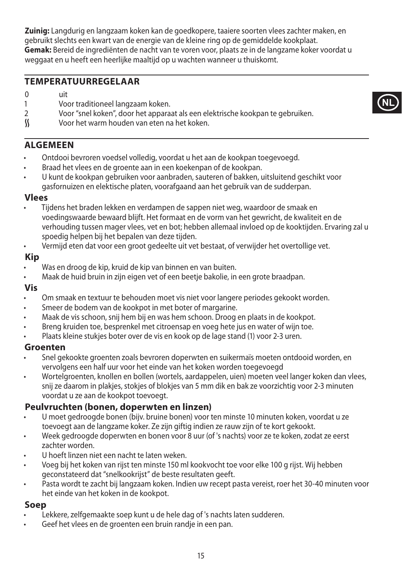**Zuinig:** Langdurig en langzaam koken kan de goedkopere, taaiere soorten vlees zachter maken, en gebruikt slechts een kwart van de energie van de kleine ring op de gemiddelde kookplaat. **Gemak:** Bereid de ingrediënten de nacht van te voren voor, plaats ze in de langzame koker voordat u weggaat en u heeft een heerlijke maaltijd op u wachten wanneer u thuiskomt.

**NL**

### **TEMPERATUURREGELAAR**

- $0$  uit
- 1 Voor traditioneel langzaam koken.<br>2 Voor "snel koken", door het appara
- 2 Voor "snel koken", door het apparaat als een elektrische kookpan te gebruiken.<br> $\mathcal{L}$  Voor het warm houden van eten na het koken.
- O Voor het warm houden van eten na het koken.

### **ALGEMEEN**

- Ontdooi bevroren voedsel volledig, voordat u het aan de kookpan toegevoegd.
- Braad het vlees en de groente aan in een koekenpan of de kookpan.
- U kunt de kookpan gebruiken voor aanbraden, sauteren of bakken, uitsluitend geschikt voor gasfornuizen en elektische platen, voorafgaand aan het gebruik van de sudderpan.

#### **Vlees**

- Tijdens het braden lekken en verdampen de sappen niet weg, waardoor de smaak en voedingswaarde bewaard blijft. Het formaat en de vorm van het gewricht, de kwaliteit en de verhouding tussen mager vlees, vet en bot; hebben allemaal invloed op de kooktijden. Ervaring zal u spoedig helpen bij het bepalen van deze tijden.
- Vermijd eten dat voor een groot gedeelte uit vet bestaat, of verwijder het overtollige vet.

### **Kip**

- Was en droog de kip, kruid de kip van binnen en van buiten.
- Maak de huid bruin in zijn eigen vet of een beetje bakolie, in een grote braadpan.

#### **Vis**

- Om smaak en textuur te behouden moet vis niet voor langere periodes gekookt worden.
- Smeer de bodem van de kookpot in met boter of margarine.
- Maak de vis schoon, snij hem bij en was hem schoon. Droog en plaats in de kookpot.
- Breng kruiden toe, besprenkel met citroensap en voeg hete jus en water of wijn toe.
- Plaats kleine stukjes boter over de vis en kook op de lage stand (1) voor 2-3 uren.

#### **Groenten**

- Snel gekookte groenten zoals bevroren doperwten en suikermaïs moeten ontdooid worden, en vervolgens een half uur voor het einde van het koken worden toegevoegd
- Wortelgroenten, knollen en bollen (wortels, aardappelen, uien) moeten veel langer koken dan vlees, snij ze daarom in plakjes, stokjes of blokjes van 5 mm dik en bak ze voorzichtig voor 2-3 minuten voordat u ze aan de kookpot toevoegt.

#### **Peulvruchten (bonen, doperwten en linzen)**

- U moet gedroogde bonen (bijv. bruine bonen) voor ten minste 10 minuten koken, voordat u ze toevoegt aan de langzame koker. Ze zijn giftig indien ze rauw zijn of te kort gekookt.
- Week gedroogde doperwten en bonen voor 8 uur (of 's nachts) voor ze te koken, zodat ze eerst zachter worden
- U hoeft linzen niet een nacht te laten weken.
- Voeg bij het koken van rijst ten minste 150 ml kookvocht toe voor elke 100 g rijst. Wij hebben geconstateerd dat "snelkookrijst" de beste resultaten geeft.
- Pasta wordt te zacht bij langzaam koken. Indien uw recept pasta vereist, roer het 30-40 minuten voor het einde van het koken in de kookpot.

### **Soep**

- Lekkere, zelfgemaakte soep kunt u de hele dag of 's nachts laten sudderen.
- Geef het vlees en de groenten een bruin randje in een pan.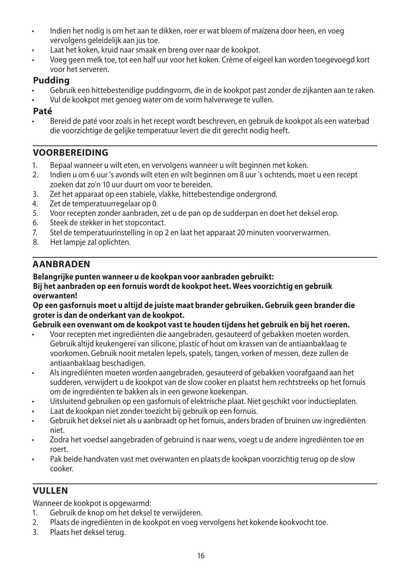- Indien het nodig is om het aan te dikken, roer er wat bloem of maïzena door heen, en voeg vervolgens geleidelijk aan jus toe.
- Laat het koken, kruid naar smaak en breng over naar de kookpot.
- Voeg geen melk toe, tot een half uur voor het koken. Crème of eigeel kan worden toegevoegd kort voor het serveren.

## **Pudding**

- Gebruik een hittebestendige puddingvorm, die in de kookpot past zonder de zijkanten aan te raken.
- Vul de kookpot met genoeg water om de vorm halverwege te vullen.

### **Paté**

• Bereid de paté voor zoals in het recept wordt beschreven, en gebruik de kookpot als een waterbad die voorzichtige de gelijke temperatuur levert die dit gerecht nodig heeft.

## **VOORBEREIDING**

- 1. Bepaal wanneer u wilt eten, en vervolgens wanneer u wilt beginnen met koken.
- 2. Indien u om 6 uur 's avonds wilt eten en wilt beginnen om 8 uur 's ochtends, moet u een recept zoeken dat zo'n 10 uur duurt om voor te bereiden.
- 3. Zet het apparaat op een stabiele, vlakke, hittebestendige ondergrond.
- 4. Zet de temperatuurregelaar op 0.<br>5. Voor recepten zonder aanbraden.
- 5. Voor recepten zonder aanbraden, zet u de pan op de sudderpan en doet het deksel erop.
- 6. Steek de stekker in het stopcontact.
- 7. Stel de temperatuurinstelling in op 2 en laat het apparaat 20 minuten voorverwarmen.
- Het lampje zal oplichten.

## **AANBRADEN**

#### **Belangrijke punten wanneer u de kookpan voor aanbraden gebruikt:**

#### **Bij het aanbraden op een fornuis wordt de kookpot heet. Wees voorzichtig en gebruik overwanten!**

#### **Op een gasfornuis moet u altijd de juiste maat brander gebruiken. Gebruik geen brander die groter is dan de onderkant van de kookpot.**

#### **Gebruik een ovenwant om de kookpot vast te houden tijdens het gebruik en bij het roeren.**

- Voor recepten met ingrediënten die aangebraden, gesauteerd of gebakken moeten worden. Gebruik altijd keukengerei van silicone, plastic of hout om krassen van de antiaanbaklaag te voorkomen. Gebruik nooit metalen lepels, spatels, tangen, vorken of messen, deze zullen de antiaanbaklaag beschadigen.
- Als ingrediënten moeten worden aangebraden, gesauteerd of gebakken voorafgaand aan het sudderen, verwijdert u de kookpot van de slow cooker en plaatst hem rechtstreeks op het fornuis om de ingrediënten te bakken als in een gewone koekenpan.
- Uitsluitend gebruiken op een gasfornuis of elektrische plaat. Niet geschikt voor inductieplaten.
- Laat de kookpan niet zonder toezicht bij gebruik op een fornuis.
- Gebruik het deksel niet als u aanbraadt op het fornuis, anders braden of bruinen uw ingrediënten niet.
- Zodra het voedsel aangebraden of gebruind is naar wens, voegt u de andere ingrediënten toe en roert.
- Pak beide handvaten vast met overwanten en plaats de kookpan voorzichtig terug op de slow cooker.

## **VULLEN**

#### Wanneer de kookpot is opgewarmd:

- 1. Gebruik de knop om het deksel te verwijderen.
- 2. Plaats de ingrediënten in de kookpot en voeg vervolgens het kokende kookvocht toe.
- 3. Plaats het deksel terug.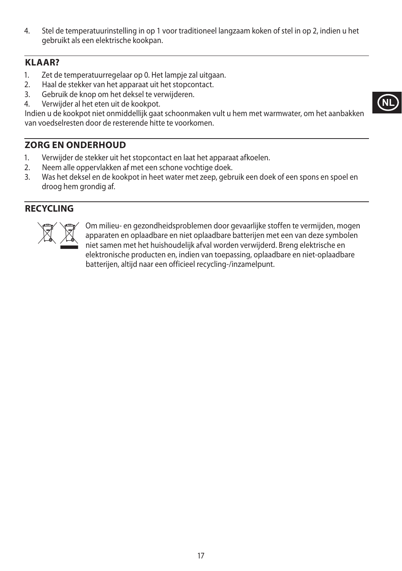4. Stel de temperatuurinstelling in op 1 voor traditioneel langzaam koken of stel in op 2, indien u het gebruikt als een elektrische kookpan.

## **KLAAR?**

- 1. Zet de temperatuurregelaar op 0. Het lampje zal uitgaan.
- 2. Haal de stekker van het apparaat uit het stopcontact.
- 3. Gebruik de knop om het deksel te verwijderen.
- 4. Verwijder al het eten uit de kookpot.

Indien u de kookpot niet onmiddellijk gaat schoonmaken vult u hem met warmwater, om het aanbakken van voedselresten door de resterende hitte te voorkomen.

## **ZORG EN ONDERHOUD**

- 1. Verwijder de stekker uit het stopcontact en laat het apparaat afkoelen.
- 2. Neem alle oppervlakken af met een schone vochtige doek.
- 3. Was het deksel en de kookpot in heet water met zeep, gebruik een doek of een spons en spoel en droog hem grondig af.

## **RECYCLING**



Om milieu- en gezondheidsproblemen door gevaarlijke stoffen te vermijden, mogen<br>apparaten en oplaadbare en niet oplaadbare batterijen met een van deze symbolen<br>niet samen met het huishoudelijk afval worden verwijderd. Bren apparaten en oplaadbare en niet oplaadbare batterijen met een van deze symbolen niet samen met het huishoudelijk afval worden verwijderd. Breng elektrische en elektronische producten en, indien van toepassing, oplaadbare en niet-oplaadbare batterijen, altijd naar een officieel recycling-/inzamelpunt.

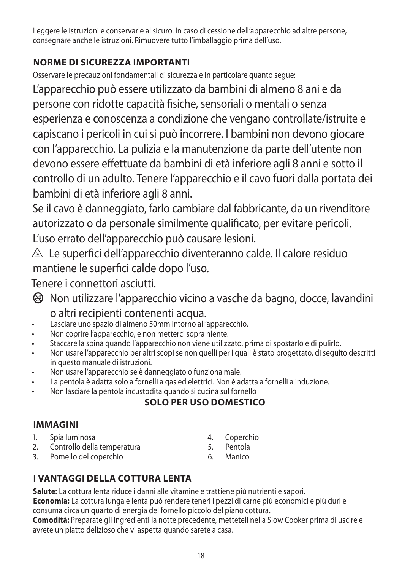Leggere le istruzioni e conservarle al sicuro. In caso di cessione dell'apparecchio ad altre persone, consegnare anche le istruzioni. Rimuovere tutto l'imballaggio prima dell'uso.

## **NORME DI SICUREZZA IMPORTANTI**

Osservare le precauzioni fondamentali di sicurezza e in particolare quanto segue:

L'apparecchio può essere utilizzato da bambini di almeno 8 ani e da persone con ridotte capacità fisiche, sensoriali o mentali o senza esperienza e conoscenza a condizione che vengano controllate/istruite e capiscano i pericoli in cui si può incorrere. I bambini non devono giocare con l'apparecchio. La pulizia e la manutenzione da parte dell'utente non devono essere effettuate da bambini di età inferiore agli 8 anni e sotto il controllo di un adulto. Tenere l'apparecchio e il cavo fuori dalla portata dei bambini di età inferiore agli 8 anni.

Se il cavo è danneggiato, farlo cambiare dal fabbricante, da un rivenditore autorizzato o da personale similmente qualificato, per evitare pericoli. L'uso errato dell'apparecchio può causare lesioni.

 $\triangle$  Le superfici dell'apparecchio diventeranno calde. Il calore residuo mantiene le superfici calde dopo l'uso.

Tenere i connettori asciutti.

- b Non utilizzare l'apparecchio vicino a vasche da bagno, docce, lavandini o altri recipienti contenenti acqua.
- Lasciare uno spazio di almeno 50mm intorno all'apparecchio.
- Non coprire l'apparecchio, e non metterci sopra niente.
- Staccare la spina quando l'apparecchio non viene utilizzato, prima di spostarlo e di pulirlo.
- Non usare l'apparecchio per altri scopi se non quelli per i quali è stato progettato, di seguito descritti in questo manuale di istruzioni.
- Non usare l'apparecchio se è danneggiato o funziona male.
- La pentola è adatta solo a fornelli a gas ed elettrici. Non è adatta a fornelli a induzione.
- Non lasciare la pentola incustodita quando si cucina sul fornello

## **SOLO PER USO DOMESTICO**

## **IMMAGINI**

- 1. Spia luminosa
- 2. Controllo della temperatura
- 3. Pomello del coperchio
- 4. Coperchio
- 5. Pentola
- 6. Manico

## **I VANTAGGI DELLA COTTURA LENTA**

**Salute:** La cottura lenta riduce i danni alle vitamine e trattiene più nutrienti e sapori.

**Economia:** La cottura lunga e lenta può rendere teneri i pezzi di carne più economici e più duri e consuma circa un quarto di energia del fornello piccolo del piano cottura.

**Comodità:** Preparate gli ingredienti la notte precedente, metteteli nella Slow Cooker prima di uscire e avrete un piatto delizioso che vi aspetta quando sarete a casa.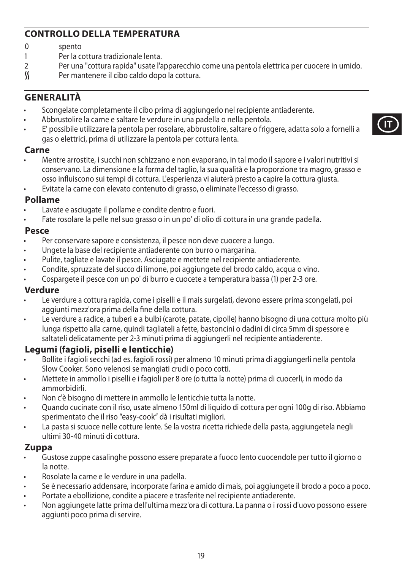## **CONTROLLO DELLA TEMPERATURA**

- 0 spento<br>1 Per la c
- 1 Per la cottura tradizionale lenta.<br>2 Per una "cottura rapida" usate l'a
- 2 Per una "cottura rapida" usate l'apparecchio come una pentola elettrica per cuocere in umido.<br>
Si Per mantenere il cibo caldo dopo la cottura.
- Per mantenere il cibo caldo dopo la cottura.

### **GENERALITÀ**

- Scongelate completamente il cibo prima di aggiungerlo nel recipiente antiaderente.
- Abbrustolire la carne e saltare le verdure in una padella o nella pentola.
- E' possibile utilizzare la pentola per rosolare, abbrustolire, saltare o friggere, adatta solo a fornelli a gas o elettrici, prima di utilizzare la pentola per cottura lenta.

#### **Carne**

- Mentre arrostite, i succhi non schizzano e non evaporano, in tal modo il sapore e i valori nutritivi si conservano. La dimensione e la forma del taglio, la sua qualità e la proporzione tra magro, grasso e osso influiscono sui tempi di cottura. L'esperienza vi aiuterà presto a capire la cottura giusta.
- Evitate la carne con elevato contenuto di grasso, o eliminate l'eccesso di grasso.

#### **Pollame**

- Lavate e asciugate il pollame e condite dentro e fuori.
- Fate rosolare la pelle nel suo grasso o in un po' di olio di cottura in una grande padella.

#### **Pesce**

- Per conservare sapore e consistenza, il pesce non deve cuocere a lungo.
- Ungete la base del recipiente antiaderente con burro o margarina.
- Pulite, tagliate e lavate il pesce. Asciugate e mettete nel recipiente antiaderente.
- Condite, spruzzate del succo di limone, poi aggiungete del brodo caldo, acqua o vino.
- Cospargete il pesce con un po' di burro e cuocete a temperatura bassa (1) per 2-3 ore.

#### **Verdure**

- Le verdure a cottura rapida, come i piselli e il mais surgelati, devono essere prima scongelati, poi aggiunti mezz'ora prima della fine della cottura.
- Le verdure a radice, a tuberi e a bulbi (carote, patate, cipolle) hanno bisogno di una cottura molto più lunga rispetto alla carne, quindi tagliateli a fette, bastoncini o dadini di circa 5mm di spessore e saltateli delicatamente per 2-3 minuti prima di aggiungerli nel recipiente antiaderente.

### **Legumi (fagioli, piselli e lenticchie)**

- Bollite i fagioli secchi (ad es. fagioli rossi) per almeno 10 minuti prima di aggiungerli nella pentola Slow Cooker. Sono velenosi se mangiati crudi o poco cotti.
- Mettete in ammollo i piselli e i fagioli per 8 ore (o tutta la notte) prima di cuocerli, in modo da ammorbidirli.
- Non c'è bisogno di mettere in ammollo le lenticchie tutta la notte.
- Quando cucinate con il riso, usate almeno 150ml di liquido di cottura per ogni 100g di riso. Abbiamo sperimentato che il riso "easy-cook" dà i risultati migliori.
- La pasta si scuoce nelle cotture lente. Se la vostra ricetta richiede della pasta, aggiungetela negli ultimi 30-40 minuti di cottura.

#### **Zuppa**

- Gustose zuppe casalinghe possono essere preparate a fuoco lento cuocendole per tutto il giorno o la notte.
- Rosolate la carne e le verdure in una padella.
- Se è necessario addensare, incorporate farina e amido di mais, poi aggiungete il brodo a poco a poco.
- Portate a ebollizione, condite a piacere e trasferite nel recipiente antiaderente.
- Non aggiungete latte prima dell'ultima mezz'ora di cottura. La panna o i rossi d'uovo possono essere aggiunti poco prima di servire.

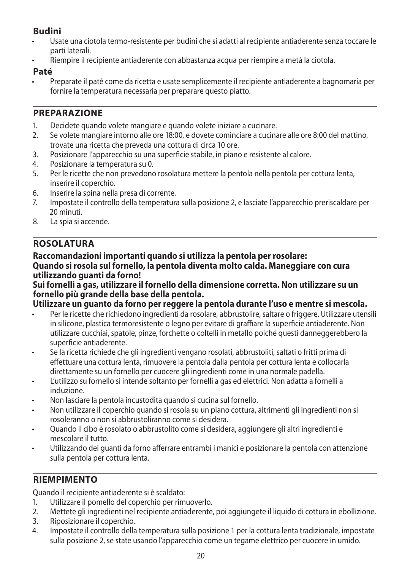## **Budini**

- Usate una ciotola termo-resistente per budini che si adatti al recipiente antiaderente senza toccare le parti laterali.
- Riempire il recipiente antiaderente con abbastanza acqua per riempire a metà la ciotola.

### **Paté**

• Preparate il paté come da ricetta e usate semplicemente il recipiente antiaderente a bagnomaria per fornire la temperatura necessaria per preparare questo piatto.

## **PREPARAZIONE**

- 1. Decidete quando volete mangiare e quando volete iniziare a cucinare.
- 2. Se volete mangiare intorno alle ore 18:00, e dovete cominciare a cucinare alle ore 8:00 del mattino, trovate una ricetta che preveda una cottura di circa 10 ore.
- 3. Posizionare l'apparecchio su una superficie stabile, in piano e resistente al calore.
- 4. Posizionare la temperatura su 0.<br>5 Per le ricette che non prevedonc
- 5. Per le ricette che non prevedono rosolatura mettere la pentola nella pentola per cottura lenta, inserire il coperchio.
- 6. Inserire la spina nella presa di corrente.
- 7. Impostate il controllo della temperatura sulla posizione 2, e lasciate l'apparecchio preriscaldare per 20 minuti.
- 8. La spia si accende.

## **ROSOLATURA**

#### **Raccomandazioni importanti quando si utilizza la pentola per rosolare: Quando si rosola sul fornello, la pentola diventa molto calda. Maneggiare con cura utilizzando guanti da forno!**

### **Sui fornelli a gas, utilizzare il fornello della dimensione corretta. Non utilizzare su un fornello più grande della base della pentola.**

### **Utilizzare un guanto da forno per reggere la pentola durante l'uso e mentre si mescola.**

- Per le ricette che richiedono ingredienti da rosolare, abbrustolire, saltare o friggere. Utilizzare utensili in silicone, plastica termoresistente o legno per evitare di graffiare la superficie antiaderente. Non utilizzare cucchiai, spatole, pinze, forchette o coltelli in metallo poiché questi danneggerebbero la superficie antiaderente.
- Se la ricetta richiede che gli ingredienti vengano rosolati, abbrustoliti, saltati o fritti prima di effettuare una cottura lenta, rimuovere la pentola dalla pentola per cottura lenta e collocarla direttamente su un fornello per cuocere gli ingredienti come in una normale padella.
- L'utilizzo su fornello si intende soltanto per fornelli a gas ed elettrici. Non adatta a fornelli a induzione.
- Non lasciare la pentola incustodita quando si cucina sul fornello.
- Non utilizzare il coperchio quando si rosola su un piano cottura, altrimenti gli ingredienti non si rosoleranno o non si abbrustoliranno come si desidera.
- Quando il cibo è rosolato o abbrustolito come si desidera, aggiungere gli altri ingredienti e mescolare il tutto.
- Utilizzando dei guanti da forno afferrare entrambi i manici e posizionare la pentola con attenzione sulla pentola per cottura lenta.

## **RIEMPIMENTO**

Quando il recipiente antiaderente si è scaldato:

- 1. Utilizzare il pomello del coperchio per rimuoverlo.
- 2. Mettete gli ingredienti nel recipiente antiaderente, poi aggiungete il liquido di cottura in ebollizione.
- 3. Riposizionare il coperchio.
- 4. Impostate il controllo della temperatura sulla posizione 1 per la cottura lenta tradizionale, impostate sulla posizione 2, se state usando l'apparecchio come un tegame elettrico per cuocere in umido.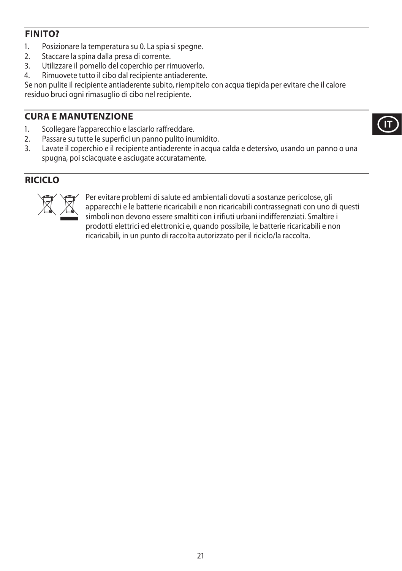## **FINITO?**

- 1. Posizionare la temperatura su 0. La spia si spegne.
- 2. Staccare la spina dalla presa di corrente.<br>3. Utilizzare il pomello del conerchio per ri-
- 3. Utilizzare il pomello del coperchio per rimuoverlo.
- 4. Rimuovete tutto il cibo dal recipiente antiaderente.

Se non pulite il recipiente antiaderente subito, riempitelo con acqua tiepida per evitare che il calore residuo bruci ogni rimasuglio di cibo nel recipiente.

## **CURA E MANUTENZIONE**

- 1. Scollegare l'apparecchio e lasciarlo raffreddare.
- 2. Passare su tutte le superfici un panno pulito inumidito.<br>3 lavate il conerchio e il recipiente antiaderente in acqua
- Lavate il coperchio e il recipiente antiaderente in acqua calda e detersivo, usando un panno o una spugna, poi sciacquate e asciugate accuratamente.

## **RICICLO**



Per evitare problemi di salute ed ambientali dovuti a sostanze pericolose, gli<br>apparecchi e le batterie ricaricabili e non ricaricabili contrassegnati con uno o<br>simboli non devono essere smaltiti con i rifiuti urbani indif apparecchi e le batterie ricaricabili e non ricaricabili contrassegnati con uno di questi simboli non devono essere smaltiti con i rifiuti urbani indifferenziati. Smaltire i prodotti elettrici ed elettronici e, quando possibile, le batterie ricaricabili e non ricaricabili, in un punto di raccolta autorizzato per il riciclo/la raccolta.

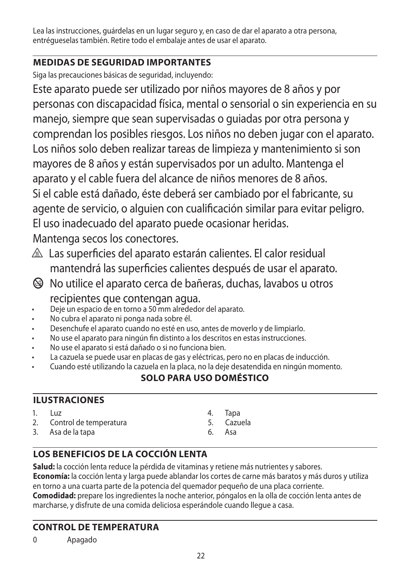Lea las instrucciones, guárdelas en un lugar seguro y, en caso de dar el aparato a otra persona, entrégueselas también. Retire todo el embalaje antes de usar el aparato.

## **MEDIDAS DE SEGURIDAD IMPORTANTES**

Siga las precauciones básicas de seguridad, incluyendo:

Este aparato puede ser utilizado por niños mayores de 8 años y por personas con discapacidad física, mental o sensorial o sin experiencia en su manejo, siempre que sean supervisadas o guiadas por otra persona y comprendan los posibles riesgos. Los niños no deben jugar con el aparato. Los niños solo deben realizar tareas de limpieza y mantenimiento si son mayores de 8 años y están supervisados por un adulto. Mantenga el aparato y el cable fuera del alcance de niños menores de 8 años. Si el cable está dañado, éste deberá ser cambiado por el fabricante, su agente de servicio, o alguien con cualificación similar para evitar peligro. El uso inadecuado del aparato puede ocasionar heridas. Mantenga secos los conectores.

- $\triangle$  Las superficies del aparato estarán calientes. El calor residual mantendrá las superficies calientes después de usar el aparato.
- b No utilice el aparato cerca de bañeras, duchas, lavabos u otros recipientes que contengan agua.
- Deje un espacio de en torno a 50 mm alrededor del aparato.
- No cubra el aparato ni ponga nada sobre él.
- Desenchufe el aparato cuando no esté en uso, antes de moverlo y de limpiarlo.
- No use el aparato para ningún fin distinto a los descritos en estas instrucciones.
- No use el aparato si está dañado o si no funciona bien.
- La cazuela se puede usar en placas de gas y eléctricas, pero no en placas de inducción.
- Cuando esté utilizando la cazuela en la placa, no la deje desatendida en ningún momento.

## **SOLO PARA USO DOMÉSTICO**

## **ILUSTRACIONES**

- $1.$   $\overline{1}$   $\overline{1}$
- 2. Control de temperatura
- 3. Asa de la tapa
- 4. Tapa
- 5. Cazuela
- 6. Asa

## **LOS BENEFICIOS DE LA COCCIÓN LENTA**

**Salud:** la cocción lenta reduce la pérdida de vitaminas y retiene más nutrientes y sabores. **Economía:** la cocción lenta y larga puede ablandar los cortes de carne más baratos y más duros y utiliza en torno a una cuarta parte de la potencia del quemador pequeño de una placa corriente. **Comodidad:** prepare los ingredientes la noche anterior, póngalos en la olla de cocción lenta antes de marcharse, y disfrute de una comida deliciosa esperándole cuando llegue a casa.

## **CONTROL DE TEMPERATURA**

0 Apagado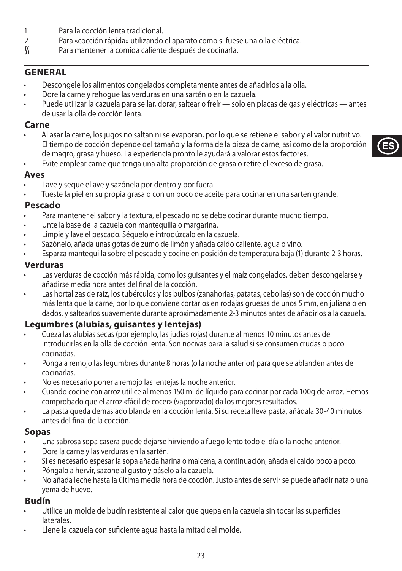- 1 Para la cocción lenta tradicional.<br>2 Para «cocción ránida» utilizando
- 2 Para «cocción rápida» utilizando el aparato como si fuese una olla eléctrica.<br>S Para mantener la comida caliente después de cocinarla.
- Para mantener la comida caliente después de cocinarla.

### **GENERAL**

- Descongele los alimentos congelados completamente antes de añadirlos a la olla.
- Dore la carne y rehogue las verduras en una sartén o en la cazuela.
- Puede utilizar la cazuela para sellar, dorar, saltear o freír solo en placas de gas y eléctricas antes de usar la olla de cocción lenta.

### **Carne**

• Al asar la carne, los jugos no saltan ni se evaporan, por lo que se retiene el sabor y el valor nutritivo. El tiempo de cocción depende del tamaño y la forma de la pieza de carne, así como de la proporción de magro, grasa y hueso. La experiencia pronto le ayudará a valorar estos factores.

**ES**

• Evite emplear carne que tenga una alta proporción de grasa o retire el exceso de grasa.

### **Aves**

- Lave y seque el ave y sazónela por dentro y por fuera.
- Tueste la piel en su propia grasa o con un poco de aceite para cocinar en una sartén grande.

### **Pescado**

- Para mantener el sabor y la textura, el pescado no se debe cocinar durante mucho tiempo.
- Unte la base de la cazuela con mantequilla o margarina.
- Limpie y lave el pescado. Séquelo e introdúzcalo en la cazuela.
- Sazónelo, añada unas gotas de zumo de limón y añada caldo caliente, agua o vino.
- Esparza mantequilla sobre el pescado y cocine en posición de temperatura baja (1) durante 2-3 horas.

### **Verduras**

- Las verduras de cocción más rápida, como los quisantes y el maíz congelados, deben descongelarse y añadirse media hora antes del final de la cocción.
- Las hortalizas de raíz, los tubérculos y los bulbos (zanahorias, patatas, cebollas) son de cocción mucho más lenta que la carne, por lo que conviene cortarlos en rodajas gruesas de unos 5 mm, en juliana o en dados, y saltearlos suavemente durante aproximadamente 2-3 minutos antes de añadirlos a la cazuela.

## **Legumbres (alubias, guisantes y lentejas)**

- Cueza las alubias secas (por ejemplo, las judías rojas) durante al menos 10 minutos antes de introducirlas en la olla de cocción lenta. Son nocivas para la salud si se consumen crudas o poco cocinadas.
- Ponga a remojo las legumbres durante 8 horas (o la noche anterior) para que se ablanden antes de cocinarlas.
- No es necesario poner a remojo las lentejas la noche anterior.
- Cuando cocine con arroz utilice al menos 150 ml de líquido para cocinar por cada 100g de arroz. Hemos comprobado que el arroz «fácil de cocer» (vaporizado) da los mejores resultados.
- La pasta queda demasiado blanda en la cocción lenta. Si su receta lleva pasta, añádala 30-40 minutos antes del final de la cocción.

### **Sopas**

- Una sabrosa sopa casera puede dejarse hirviendo a fuego lento todo el día o la noche anterior.
- Dore la carne y las verduras en la sartén.
- Si es necesario espesar la sopa añada harina o maicena, a continuación, añada el caldo poco a poco.
- Póngalo a hervir, sazone al gusto y páselo a la cazuela.
- No añada leche hasta la última media hora de cocción. Justo antes de servir se puede añadir nata o una yema de huevo.

### **Budín**

- Utilice un molde de budín resistente al calor que quepa en la cazuela sin tocar las superficies laterales.
- Llene la cazuela con suficiente agua hasta la mitad del molde.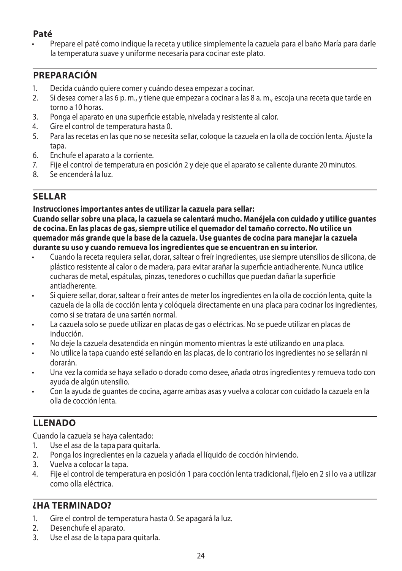## **Paté**

• Prepare el paté como indique la receta y utilice simplemente la cazuela para el baño María para darle la temperatura suave y uniforme necesaria para cocinar este plato.

## **PREPARACIÓN**

- 1. Decida cuándo quiere comer y cuándo desea empezar a cocinar.
- 2. Si desea comer a las 6 p. m., y tiene que empezar a cocinar a las 8 a. m., escoja una receta que tarde en torno a 10 horas.
- 3. Ponga el aparato en una superficie estable, nivelada y resistente al calor.
- 4. Gire el control de temperatura hasta 0.
- 5. Para las recetas en las que no se necesita sellar, coloque la cazuela en la olla de cocción lenta. Ajuste la tapa.
- 6. Enchufe el aparato a la corriente.
- 7. Fije el control de temperatura en posición 2 y deje que el aparato se caliente durante 20 minutos.
- 8. Se encenderá la luz.

### **SELLAR**

#### **Instrucciones importantes antes de utilizar la cazuela para sellar:**

**Cuando sellar sobre una placa, la cazuela se calentará mucho. Manéjela con cuidado y utilice guantes de cocina. En las placas de gas, siempre utilice el quemador del tamaño correcto. No utilice un quemador más grande que la base de la cazuela. Use guantes de cocina para manejar la cazuela durante su uso y cuando remueva los ingredientes que se encuentran en su interior.** 

- Cuando la receta requiera sellar, dorar, saltear o freír ingredientes, use siempre utensilios de silicona, de plástico resistente al calor o de madera, para evitar arañar la superficie antiadherente. Nunca utilice cucharas de metal, espátulas, pinzas, tenedores o cuchillos que puedan dañar la superficie antiadherente.
- Si quiere sellar, dorar, saltear o freír antes de meter los ingredientes en la olla de cocción lenta, quite la cazuela de la olla de cocción lenta y colóquela directamente en una placa para cocinar los ingredientes, como si se tratara de una sartén normal.
- La cazuela solo se puede utilizar en placas de gas o eléctricas. No se puede utilizar en placas de inducción.
- No deje la cazuela desatendida en ningún momento mientras la esté utilizando en una placa.
- No utilice la tapa cuando esté sellando en las placas, de lo contrario los ingredientes no se sellarán ni dorarán.
- Una vez la comida se haya sellado o dorado como desee, añada otros ingredientes y remueva todo con ayuda de algún utensilio.
- Con la ayuda de guantes de cocina, agarre ambas asas y vuelva a colocar con cuidado la cazuela en la olla de cocción lenta.

### **LLENADO**

Cuando la cazuela se haya calentado:

- 1. Use el asa de la tapa para quitarla.
- 2. Ponga los ingredientes en la cazuela y añada el líquido de cocción hirviendo.
- 3. Vuelva a colocar la tapa.
- 4. Fije el control de temperatura en posición 1 para cocción lenta tradicional, fíjelo en 2 si lo va a utilizar como olla eléctrica.

### **¿HA TERMINADO?**

- 1. Gire el control de temperatura hasta 0. Se apagará la luz.
- 2. Desenchufe el aparato.
- 3. Use el asa de la tapa para quitarla.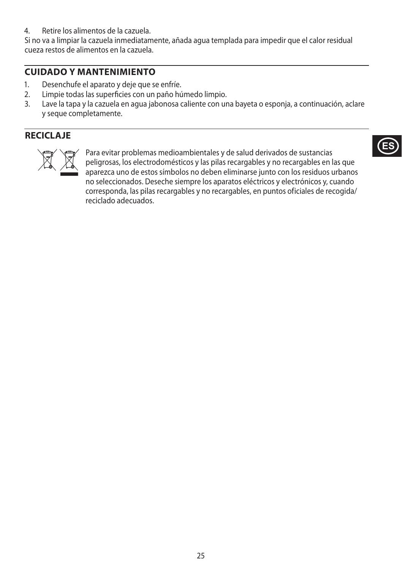4. Retire los alimentos de la cazuela.

Si no va a limpiar la cazuela inmediatamente, añada agua templada para impedir que el calor residual cueza restos de alimentos en la cazuela.

## **CUIDADO Y MANTENIMIENTO**

- 1. Desenchufe el aparato y deje que se enfríe.
- 2. Limpie todas las superficies con un paño húmedo limpio.<br>3. Lave la tana y la cazuela en aqua jabonosa caliente con un
- Lave la tapa y la cazuela en agua jabonosa caliente con una bayeta o esponia, a continuación, aclare y seque completamente.

## **RECICLAJE**



Para evitar problemas medioambientales y de salud derivados de sustancias<br>peligrosas, los electrodomésticos y las pilas recargables y no recargables en l<br>aparezca uno de estos símbolos no deben eliminarse junto con los res peligrosas, los electrodomésticos y las pilas recargables y no recargables en las que aparezca uno de estos símbolos no deben eliminarse junto con los residuos urbanos no seleccionados. Deseche siempre los aparatos eléctricos y electrónicos y, cuando corresponda, las pilas recargables y no recargables, en puntos oficiales de recogida/ reciclado adecuados.

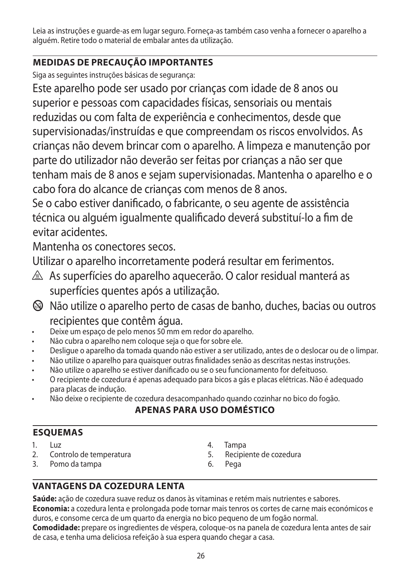Leia as instruções e guarde-as em lugar seguro. Forneça-as também caso venha a fornecer o aparelho a alguém. Retire todo o material de embalar antes da utilização.

## **MEDIDAS DE PRECAUÇÃO IMPORTANTES**

Siga as seguintes instruções básicas de segurança:

Este aparelho pode ser usado por crianças com idade de 8 anos ou superior e pessoas com capacidades físicas, sensoriais ou mentais reduzidas ou com falta de experiência e conhecimentos, desde que supervisionadas/instruídas e que compreendam os riscos envolvidos. As crianças não devem brincar com o aparelho. A limpeza e manutenção por parte do utilizador não deverão ser feitas por crianças a não ser que tenham mais de 8 anos e sejam supervisionadas. Mantenha o aparelho e o cabo fora do alcance de crianças com menos de 8 anos.

Se o cabo estiver danificado, o fabricante, o seu agente de assistência técnica ou alguém igualmente qualificado deverá substituí-lo a fim de evitar acidentes.

Mantenha os conectores secos.

Utilizar o aparelho incorretamente poderá resultar em ferimentos.

- $\triangle$  As superfícies do aparelho aquecerão. O calor residual manterá as superfícies quentes após a utilização.
- b Não utilize o aparelho perto de casas de banho, duches, bacias ou outros recipientes que contêm água.
	- Deixe um espaço de pelo menos 50 mm em redor do aparelho.
- Não cubra o aparelho nem coloque seja o que for sobre ele.
- Desligue o aparelho da tomada quando não estiver a ser utilizado, antes de o deslocar ou de o limpar.
- Não utilize o aparelho para quaisquer outras finalidades senão as descritas nestas instruções.
- Não utilize o aparelho se estiver danificado ou se o seu funcionamento for defeituoso.
- O recipiente de cozedura é apenas adequado para bicos a gás e placas elétricas. Não é adequado para placas de indução.
- Não deixe o recipiente de cozedura desacompanhado quando cozinhar no bico do fogão.

## **APENAS PARA USO DOMÉSTICO**

## **ESQUEMAS**

- $1.$   $| \text{u}z$
- 2. Controlo de temperatura
- 3. Pomo da tampa
- 4. Tampa
- 5. Recipiente de cozedura
- 6. Pega

## **VANTAGENS DA COZEDURA LENTA**

**Saúde:** ação de cozedura suave reduz os danos às vitaminas e retém mais nutrientes e sabores. **Economia:** a cozedura lenta e prolongada pode tornar mais tenros os cortes de carne mais económicos e duros, e consome cerca de um quarto da energia no bico pequeno de um fogão normal.

**Comodidade:** prepare os ingredientes de véspera, coloque-os na panela de cozedura lenta antes de sair de casa, e tenha uma deliciosa refeição à sua espera quando chegar a casa.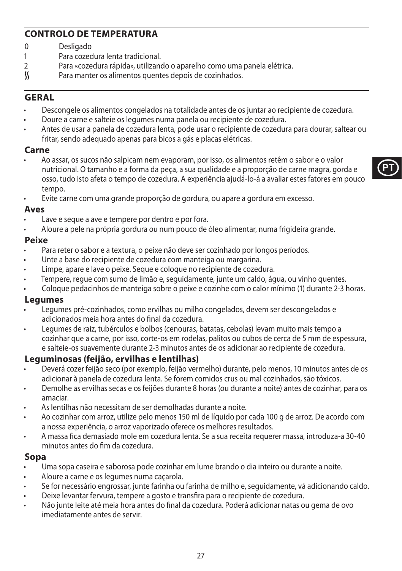## **CONTROLO DE TEMPERATURA**

- 0 Desligado<br>1 Para cozec
- 1 Para cozedura lenta tradicional.<br>2 Para «cozedura rápida» utilizano
- 2 Para «cozedura rápida», utilizando o aparelho como uma panela elétrica.<br>S Para manter os alimentos quentes depois de cozinhados.
- Para manter os alimentos quentes depois de cozinhados.

### **GERAL**

- Descongele os alimentos congelados na totalidade antes de os juntar ao recipiente de cozedura.
- Doure a carne e salteie os legumes numa panela ou recipiente de cozedura.
- Antes de usar a panela de cozedura lenta, pode usar o recipiente de cozedura para dourar, saltear ou fritar, sendo adequado apenas para bicos a gás e placas elétricas.

#### **Carne**

- Ao assar, os sucos não salpicam nem evaporam, por isso, os alimentos retêm o sabor e o valor nutricional. O tamanho e a forma da peça, a sua qualidade e a proporção de carne magra, gorda e osso, tudo isto afeta o tempo de cozedura. A experiência ajudá-lo-á a avaliar estes fatores em pouco tempo.
- Evite carne com uma grande proporção de gordura, ou apare a gordura em excesso.

#### **Aves**

- Lave e seque a ave e tempere por dentro e por fora.
- Aloure a pele na própria gordura ou num pouco de óleo alimentar, numa frigideira grande.

### **Peixe**

- Para reter o sabor e a textura, o peixe não deve ser cozinhado por longos períodos.
- Unte a base do recipiente de cozedura com manteiga ou margarina.
- Limpe, apare e lave o peixe. Seque e coloque no recipiente de cozedura.
- Tempere, regue com sumo de limão e, seguidamente, junte um caldo, água, ou vinho quentes.
- Coloque pedacinhos de manteiga sobre o peixe e cozinhe com o calor mínimo (1) durante 2-3 horas.

#### **Legumes**

- Legumes pré-cozinhados, como ervilhas ou milho congelados, devem ser descongelados e adicionados meia hora antes do final da cozedura.
- Legumes de raiz, tubérculos e bolbos (cenouras, batatas, cebolas) levam muito mais tempo a cozinhar que a carne, por isso, corte-os em rodelas, palitos ou cubos de cerca de 5 mm de espessura, e salteie-os suavemente durante 2-3 minutos antes de os adicionar ao recipiente de cozedura.

#### **Leguminosas (feijão, ervilhas e lentilhas)**

- Deverá cozer feijão seco (por exemplo, feijão vermelho) durante, pelo menos, 10 minutos antes de os adicionar à panela de cozedura lenta. Se forem comidos crus ou mal cozinhados, são tóxicos.
- Demolhe as ervilhas secas e os feijões durante 8 horas (ou durante a noite) antes de cozinhar, para os amaciar.
- As lentilhas não necessitam de ser demolhadas durante a noite.
- Ao cozinhar com arroz, utilize pelo menos 150 ml de líquido por cada 100 g de arroz. De acordo com a nossa experiência, o arroz vaporizado oferece os melhores resultados.
- A massa fica demasiado mole em cozedura lenta. Se a sua receita requerer massa, introduza-a 30-40 minutos antes do fim da cozedura.

#### **Sopa**

- Uma sopa caseira e saborosa pode cozinhar em lume brando o dia inteiro ou durante a noite.
- Aloure a carne e os legumes numa caçarola.
- Se for necessário engrossar, junte farinha ou farinha de milho e, seguidamente, vá adicionando caldo.
- Deixe levantar fervura, tempere a gosto e transfira para o recipiente de cozedura.
- Não junte leite até meia hora antes do final da cozedura. Poderá adicionar natas ou gema de ovo imediatamente antes de servir.

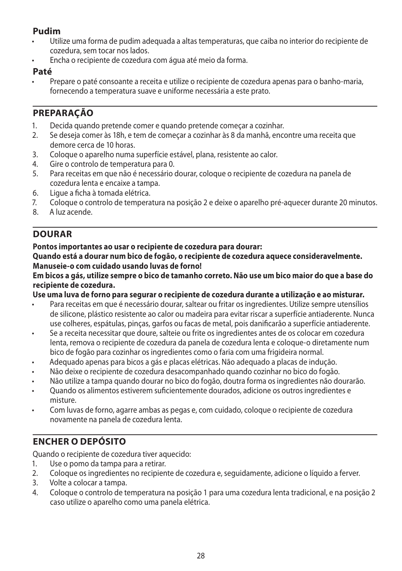## **Pudim**

- Utilize uma forma de pudim adequada a altas temperaturas, que caiba no interior do recipiente de cozedura, sem tocar nos lados.
- Encha o recipiente de cozedura com água até meio da forma.

#### **Paté**

• Prepare o paté consoante a receita e utilize o recipiente de cozedura apenas para o banho-maria, fornecendo a temperatura suave e uniforme necessária a este prato.

## **PREPARAÇÃO**

- 1. Decida quando pretende comer e quando pretende começar a cozinhar.
- 2. Se deseja comer às 18h, e tem de começar a cozinhar às 8 da manhã, encontre uma receita que demore cerca de 10 horas.
- 3. Coloque o aparelho numa superfície estável, plana, resistente ao calor.
- 4. Gire o controlo de temperatura para 0.<br>5. Para receitas em que não é necessário o
- 5. Para receitas em que não é necessário dourar, coloque o recipiente de cozedura na panela de cozedura lenta e encaixe a tampa.
- 6. Ligue a ficha à tomada elétrica.
- 7. Coloque o controlo de temperatura na posição 2 e deixe o aparelho pré-aquecer durante 20 minutos.
- 8. A luz acende.

## **DOURAR**

#### **Pontos importantes ao usar o recipiente de cozedura para dourar:**

**Quando está a dourar num bico de fogão, o recipiente de cozedura aquece consideravelmente. Manuseie-o com cuidado usando luvas de forno!**

**Em bicos a gás, utilize sempre o bico de tamanho correto. Não use um bico maior do que a base do recipiente de cozedura.**

**Use uma luva de forno para segurar o recipiente de cozedura durante a utilização e ao misturar.**

- Para receitas em que é necessário dourar, saltear ou fritar os ingredientes. Utilize sempre utensílios de silicone, plástico resistente ao calor ou madeira para evitar riscar a superfície antiaderente. Nunca use colheres, espátulas, pinças, garfos ou facas de metal, pois danificarão a superfície antiaderente.
- Se a receita necessitar que doure, salteie ou frite os ingredientes antes de os colocar em cozedura lenta, remova o recipiente de cozedura da panela de cozedura lenta e coloque-o diretamente num bico de fogão para cozinhar os ingredientes como o faria com uma frigideira normal.
- Adequado apenas para bicos a gás e placas elétricas. Não adequado a placas de indução.
- Não deixe o recipiente de cozedura desacompanhado quando cozinhar no bico do fogão.
- Não utilize a tampa quando dourar no bico do fogão, doutra forma os ingredientes não dourarão.
- Quando os alimentos estiverem suficientemente dourados, adicione os outros ingredientes e misture.
- Com luvas de forno, agarre ambas as pegas e, com cuidado, coloque o recipiente de cozedura novamente na panela de cozedura lenta.

## **ENCHER O DEPÓSITO**

Quando o recipiente de cozedura tiver aquecido:

- 1. Use o pomo da tampa para a retirar.
- 2. Coloque os ingredientes no recipiente de cozedura e, seguidamente, adicione o líquido a ferver.
- 3. Volte a colocar a tampa.
- 4. Coloque o controlo de temperatura na posição 1 para uma cozedura lenta tradicional, e na posição 2 caso utilize o aparelho como uma panela elétrica.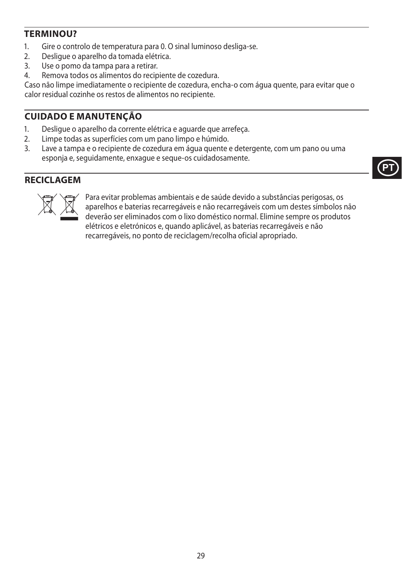## **TERMINOU?**

- 1. Gire o controlo de temperatura para 0. O sinal luminoso desliga-se.
- 2. Desligue o aparelho da tomada elétrica.<br>3. Use o nomo da tampa para a retirar
- Use o pomo da tampa para a retirar.
- 4. Remova todos os alimentos do recipiente de cozedura.

Caso não limpe imediatamente o recipiente de cozedura, encha-o com água quente, para evitar que o calor residual cozinhe os restos de alimentos no recipiente.

## **CUIDADO E MANUTENÇÃO**

- 1. Desligue o aparelho da corrente elétrica e aguarde que arrefeça.
- 2. Limpe todas as superfícies com um pano limpo e húmido.<br>3. Lave a tampa e o recipiente de cozedura em áqua quente e
- Lave a tampa e o recipiente de cozedura em água quente e detergente, com um pano ou uma esponja e, seguidamente, enxague e seque-os cuidadosamente.

## **RECICLAGEM**



Para evitar problemas ambientais e de saúde devido a substâncias perigosas, os<br>aparelhos e baterias recarregáveis e não recarregáveis com um destes símbolos i<br>deverão ser eliminados com o lixo doméstico normal. Elimine sem aparelhos e baterias recarregáveis e não recarregáveis com um destes símbolos não deverão ser eliminados com o lixo doméstico normal. Elimine sempre os produtos elétricos e eletrónicos e, quando aplicável, as baterias recarregáveis e não recarregáveis, no ponto de reciclagem/recolha oficial apropriado.

**PT**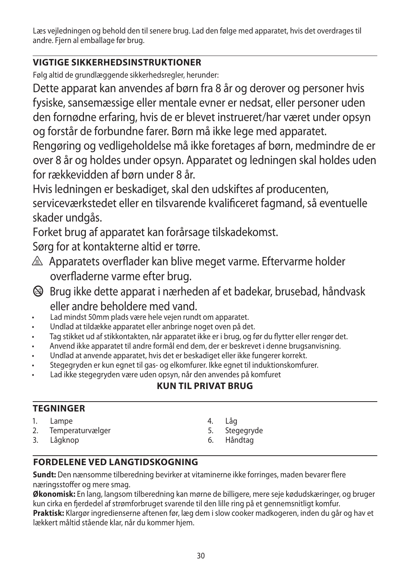Læs vejledningen og behold den til senere brug. Lad den følge med apparatet, hvis det overdrages til andre. Fjern al emballage før brug.

## **VIGTIGE SIKKERHEDSINSTRUKTIONER**

Følg altid de grundlæggende sikkerhedsregler, herunder:

Dette apparat kan anvendes af børn fra 8 år og derover og personer hvis fysiske, sansemæssige eller mentale evner er nedsat, eller personer uden den fornødne erfaring, hvis de er blevet instrueret/har været under opsyn og forstår de forbundne farer. Børn må ikke lege med apparatet.

Rengøring og vedligeholdelse må ikke foretages af børn, medmindre de er over 8 år og holdes under opsyn. Apparatet og ledningen skal holdes uden for rækkevidden af børn under 8 år.

Hvis ledningen er beskadiget, skal den udskiftes af producenten, serviceværkstedet eller en tilsvarende kvalificeret fagmand, så eventuelle skader undgås.

Forket brug af apparatet kan forårsage tilskadekomst.

Sørg for at kontakterne altid er tørre.

- $\triangle$  Apparatets overflader kan blive meget varme. Eftervarme holder overfladerne varme efter brug.
- b Brug ikke dette apparat i nærheden af et badekar, brusebad, håndvask eller andre beholdere med vand.
- Lad mindst 50mm plads være hele vejen rundt om apparatet.
- Undlad at tildække apparatet eller anbringe noget oven på det.
- Tag stikket ud af stikkontakten, når apparatet ikke er i brug, og før du flytter eller rengør det.
- Anvend ikke apparatet til andre formål end dem, der er beskrevet i denne brugsanvisning.
- Undlad at anvende apparatet, hvis det er beskadiget eller ikke fungerer korrekt.
- Stegegryden er kun egnet til gas- og elkomfurer. Ikke egnet til induktionskomfurer.
- Lad ikke stegegryden være uden opsyn, når den anvendes på komfuret

## **KUN TIL PRIVAT BRUG**

## **TEGNINGER**

- 1. Lampe
- 2. Temperaturvælger
- 3. Lågknop
- 4. Låg
- 5. Stegegryde
- 6. Håndtag

## **FORDELENE VED LANGTIDSKOGNING**

**Sundt:** Den nænsomme tilberedning bevirker at vitaminerne ikke forringes, maden bevarer flere næringsstoffer og mere smag.

**Økonomisk:** En lang, langsom tilberedning kan mørne de billigere, mere seje kødudskæringer, og bruger kun cirka en fjerdedel af strømforbruget svarende til den lille ring på et gennemsnitligt komfur.

**Praktisk:** Klargør ingredienserne aftenen før, læg dem i slow cooker madkogeren, inden du går og hav et lækkert måltid stående klar, når du kommer hjem.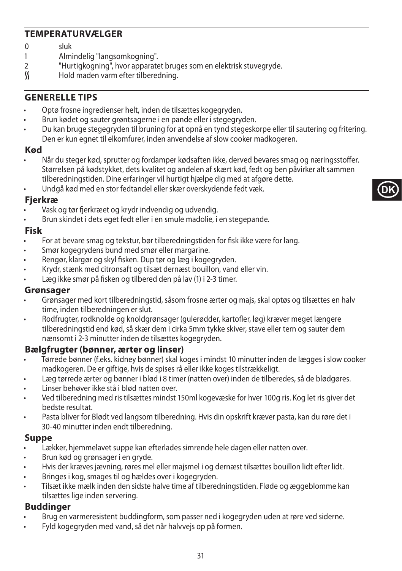## **TEMPERATURVÆLGER**

# 0 sluk<br>1 Almi

- 1 Almindelig "langsomkogning".<br>2 Fluttigkogning" bygrapparate
- 2 "Hurtigkogning", hvor apparatet bruges som en elektrisk stuvegryde.<br>K Hold maden varm efter tilberedning.
- Hold maden varm efter tilberedning.

### **GENERELLE TIPS**

- Optø frosne ingredienser helt, inden de tilsættes kogegryden.
- Brun kødet og sauter grøntsagerne i en pande eller i stegegryden.
- Du kan bruge stegegryden til bruning for at opnå en tynd stegeskorpe eller til sautering og fritering. Den er kun egnet til elkomfurer, inden anvendelse af slow cooker madkogeren.

#### **Kød**

• Når du steger kød, sprutter og fordamper kødsaften ikke, derved bevares smag og næringsstoffer. Størrelsen på kødstykket, dets kvalitet og andelen af skært kød, fedt og ben påvirker alt sammen tilberedningstiden. Dine erfaringer vil hurtigt hjælpe dig med at afgøre dette.

**DK**

• Undgå kød med en stor fedtandel eller skær overskydende fedt væk.

#### **Fjerkræ**

- Vask og tør fjerkræet og krydr indvendig og udvendig.
- Brun skindet i dets eget fedt eller i en smule madolie, i en stegepande.

#### **Fisk**

- For at bevare smag og tekstur, bør tilberedningstiden for fisk ikke være for lang.
- Smør kogegrydens bund med smør eller margarine.
- Rengør, klargør og skyl fisken. Dup tør og læg i kogegryden.
- Krydr, stænk med citronsaft og tilsæt dernæst bouillon, vand eller vin.
- Læg ikke smør på fisken og tilbered den på lav (1) i 2-3 timer.

#### **Grønsager**

- Grønsager med kort tilberedningstid, såsom frosne ærter og majs, skal optøs og tilsættes en halv time, inden tilberedningen er slut.
- Rodfrugter, rodknolde og knoldgrønsager (gulerødder, kartofler, løg) kræver meget længere tilberedningstid end kød, så skær dem i cirka 5mm tykke skiver, stave eller tern og sauter dem nænsomt i 2-3 minutter inden de tilsættes kogegryden.

#### **Bælgfrugter (bønner, ærter og linser)**

- Tørrede bønner (f.eks. kidney bønner) skal koges i mindst 10 minutter inden de lægges i slow cooker madkogeren. De er giftige, hvis de spises rå eller ikke koges tilstrækkeligt.
- Læg tørrede ærter og bønner i blød i 8 timer (natten over) inden de tilberedes, så de blødgøres.
- Linser behøver ikke stå i blød natten over.
- Ved tilberedning med ris tilsættes mindst 150ml kogevæske for hver 100g ris. Kog let ris giver det bedste resultat.
- Pasta bliver for Blødt ved langsom tilberedning. Hvis din opskrift kræver pasta, kan du røre det i 30-40 minutter inden endt tilberedning.

#### **Suppe**

- Lækker, hjemmelavet suppe kan efterlades simrende hele dagen eller natten over.
- Brun kød og grønsager i en gryde.
- Hvis der kræves jævning, røres mel eller majsmel i og dernæst tilsættes bouillon lidt efter lidt.
- Bringes i kog, smages til og hældes over i kogegryden.
- Tilsæt ikke mælk inden den sidste halve time af tilberedningstiden. Fløde og æggeblomme kan tilsættes lige inden servering.

#### **Buddinger**

- Brug en varmeresistent buddingform, som passer ned i kogegryden uden at røre ved siderne.
- Fyld kogegryden med vand, så det når halvvejs op på formen.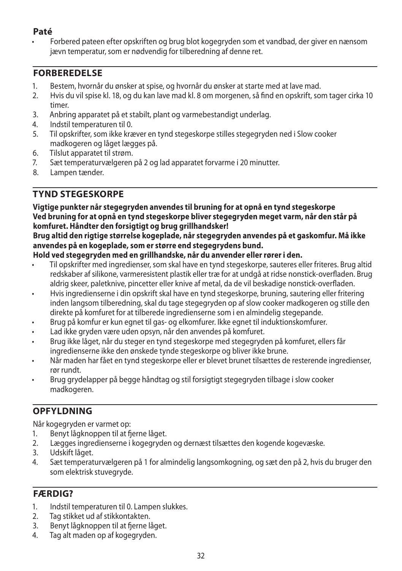## **Paté**

• Forbered pateen efter opskriften og brug blot kogegryden som et vandbad, der giver en nænsom jævn temperatur, som er nødvendig for tilberedning af denne ret.

## **FORBEREDELSE**

- 1. Bestem, hvornår du ønsker at spise, og hvornår du ønsker at starte med at lave mad.
- 2. Hvis du vil spise kl. 18, og du kan lave mad kl. 8 om morgenen, så find en opskrift, som tager cirka 10 timer.
- 3. Anbring apparatet på et stabilt, plant og varmebestandigt underlag.
- 4. Indstil temperaturen til 0.
- 5. Til opskrifter, som ikke kræver en tynd stegeskorpe stilles stegegryden ned i Slow cooker madkogeren og låget lægges på.
- 6. Tilslut apparatet til strøm.
- 7. Sæt temperaturvælgeren på 2 og lad apparatet forvarme i 20 minutter.
- Lampen tænder.

## **TYND STEGESKORPE**

#### **Vigtige punkter når stegegryden anvendes til bruning for at opnå en tynd stegeskorpe Ved bruning for at opnå en tynd stegeskorpe bliver stegegryden meget varm, når den står på komfuret. Håndter den forsigtigt og brug grillhandsker!**

#### **Brug altid den rigtige størrelse kogeplade, når stegegryden anvendes på et gaskomfur. Må ikke anvendes på en kogeplade, som er større end stegegrydens bund.**

#### **Hold ved stegegryden med en grillhandske, når du anvender eller rører i den.**

- Til opskrifter med ingredienser, som skal have en tynd stegeskorpe, sauteres eller friteres. Brug altid redskaber af silikone, varmeresistent plastik eller træ for at undgå at ridse nonstick-overfladen. Brug aldrig skeer, paletknive, pincetter eller knive af metal, da de vil beskadige nonstick-overfladen.
- Hvis ingredienserne i din opskrift skal have en tynd stegeskorpe, bruning, sautering eller fritering inden langsom tilberedning, skal du tage stegegryden op af slow cooker madkogeren og stille den direkte på komfuret for at tilberede ingredienserne som i en almindelig stegepande.
- Brug på komfur er kun egnet til gas- og elkomfurer. Ikke egnet til induktionskomfurer.
- Lad ikke gryden være uden opsyn, når den anvendes på komfuret.
- Brug ikke låget, når du steger en tynd stegeskorpe med stegegryden på komfuret, ellers får ingredienserne ikke den ønskede tynde stegeskorpe og bliver ikke brune.
- Når maden har fået en tynd stegeskorpe eller er blevet brunet tilsættes de resterende ingredienser, rør rundt.
- Brug grydelapper på begge håndtag og stil forsigtigt stegegryden tilbage i slow cooker madkogeren.

## **OPFYLDNING**

Når kogegryden er varmet op:

- 1. Benyt lågknoppen til at fjerne låget.
- 2. Lægges ingredienserne i kogegryden og dernæst tilsættes den kogende kogevæske.
- Udskift låget.
- 4. Sæt temperaturvælgeren på 1 for almindelig langsomkogning, og sæt den på 2, hvis du bruger den som elektrisk stuvegryde.

## **FÆRDIG?**

- 1. Indstil temperaturen til 0. Lampen slukkes.
- 2. Tag stikket ud af stikkontakten.
- 3. Benyt lågknoppen til at fjerne låget.
- 4. Tag alt maden op af kogegryden.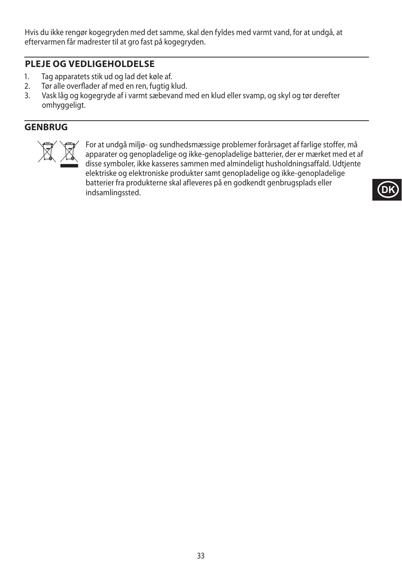Hvis du ikke rengør kogegryden med det samme, skal den fyldes med varmt vand, for at undgå, at eftervarmen får madrester til at gro fast på kogegryden.

### **PLEJE OG VEDLIGEHOLDELSE**

- 1. Tag apparatets stik ud og lad det køle af.
- 2. Tør alle overflader af med en ren, fugtig klud.
- 3. Vask låg og kogegryde af i varmt sæbevand med en klud eller svamp, og skyl og tør derefter omhyggeligt.

## **GENBRUG**



For at undgå miljø- og sundhedsmæssige problemer forårsaget af farlige stoffer, må<br>apparater og genopladelige og ikke-genopladelige batterier, der er mærket med et a<br>disse symboler, ikke kasseres sammen med almindeligt hus apparater og genopladelige og ikke-genopladelige batterier, der er mærket med et af disse symboler, ikke kasseres sammen med almindeligt husholdningsaffald. Udtjente elektriske og elektroniske produkter samt genopladelige og ikke-genopladelige batterier fra produkterne skal afleveres på en godkendt genbrugsplads eller indsamlingssted.

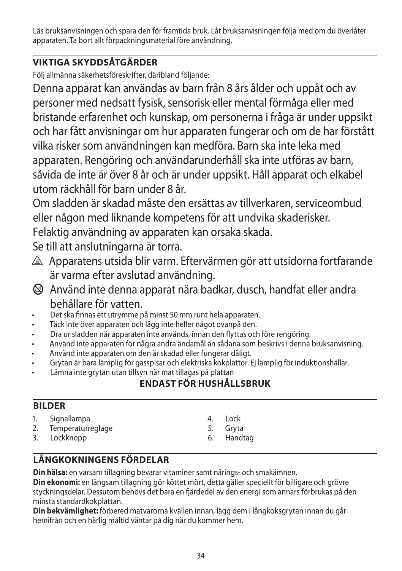Läs bruksanvisningen och spara den för framtida bruk. Låt bruksanvisningen följa med om du överlåter apparaten. Ta bort allt förpackningsmaterial före användning.

## **VIKTIGA SKYDDSÅTGÄRDER**

Följ allmänna säkerhetsföreskrifter, däribland följande:

Denna apparat kan användas av barn från 8 års ålder och uppåt och av personer med nedsatt fysisk, sensorisk eller mental förmåga eller med bristande erfarenhet och kunskap, om personerna i fråga är under uppsikt och har fått anvisningar om hur apparaten fungerar och om de har förstått vilka risker som användningen kan medföra. Barn ska inte leka med apparaten. Rengöring och användarunderhåll ska inte utföras av barn, såvida de inte är över 8 år och är under uppsikt. Håll apparat och elkabel utom räckhåll för barn under 8 år.

Om sladden är skadad måste den ersättas av tillverkaren, serviceombud eller någon med liknande kompetens för att undvika skaderisker. Felaktig användning av apparaten kan orsaka skada.

Se till att anslutningarna är torra.

- $\triangle$  Apparatens utsida blir varm. Eftervärmen gör att utsidorna fortfarande är varma efter avslutad användning.
- $\circledA$  Använd inte denna apparat nära badkar, dusch, handfat eller andra behållare för vatten.
- Det ska finnas ett utrymme på minst 50 mm runt hela apparaten.
- Täck inte över apparaten och lägg inte heller något ovanpå den.
- Dra ur sladden när apparaten inte används, innan den flyttas och före rengöring.
- Använd inte apparaten för några andra ändamål än sådana som beskrivs i denna bruksanvisning.
- Använd inte apparaten om den är skadad eller fungerar dåligt.
- Grytan är bara lämplig för gasspisar och elektriska kokplattor. Ej lämplig för induktionshällar.
- Lämna inte grytan utan tillsyn när mat tillagas på plattan

## **ENDAST FÖR HUSHÅLLSBRUK**

## **BILDER**

- 1. Signallampa
- 2. Temperaturreglage
- 3. Lockknopp
- 4. Lock
- 5. Gryta
- 6. Handtag

## **LÅNGKOKNINGENS FÖRDELAR**

**Din hälsa:** en varsam tillagning bevarar vitaminer samt närings- och smakämnen. **Din ekonomi:** en långsam tillagning gör köttet mört, detta gäller speciellt för billigare och grövre styckningsdelar. Dessutom behövs det bara en fjärdedel av den energi som annars förbrukas på den

minsta standardkokplattan. **Din bekvämlighet:** förbered matvarorna kvällen innan, lägg dem i långkoksgrytan innan du går

hemifrån och en härlig måltid väntar på dig när du kommer hem.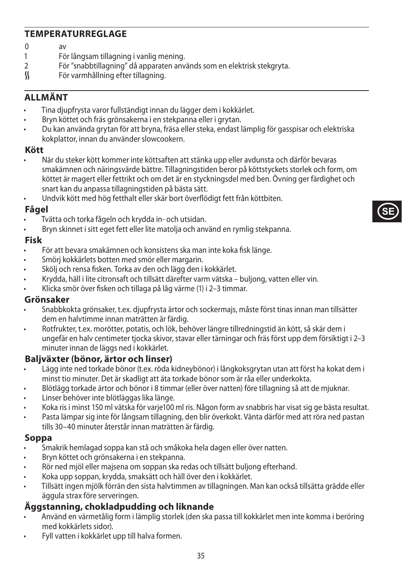## **TEMPERATURREGLAGE**

# $0$  av<br>1 Fö

- 1 För långsam tillagning i vanlig mening.<br>2 För "snabbtillagning" då annaraten anv
- 2 För "snabbtillagning" då apparaten används som en elektrisk stekgryta.<br>K För varmhållning efter tillagning.
- För varmhållning efter tillagning.

## **ALLMÄNT**

- Tina djupfrysta varor fullständigt innan du lägger dem i kokkärlet.
- Bryn köttet och fräs grönsakerna i en stekpanna eller i grytan.
- Du kan använda grytan för att bryna, fräsa eller steka, endast lämplig för gasspisar och elektriska kokplattor, innan du använder slowcookern.

#### **Kött**

• När du steker kött kommer inte köttsaften att stänka upp eller avdunsta och därför bevaras smakämnen och näringsvärde bättre. Tillagningstiden beror på köttstyckets storlek och form, om köttet är magert eller fettrikt och om det är en styckningsdel med ben. Övning ger färdighet och snart kan du anpassa tillagningstiden på bästa sätt.

**SE**

• Undvik kött med hög fetthalt eller skär bort överflödigt fett från köttbiten.

### **Fågel**

- Tvätta och torka fågeln och krydda in- och utsidan.
- Bryn skinnet i sitt eget fett eller lite matolja och använd en rymlig stekpanna.

#### **Fisk**

- För att bevara smakämnen och konsistens ska man inte koka fisk länge.
- Smörj kokkärlets botten med smör eller margarin.
- Skölj och rensa fisken. Torka av den och lägg den i kokkärlet.
- Krydda, häll i lite citronsaft och tillsätt därefter varm vätska buljong, vatten eller vin.
- Klicka smör över fisken och tillaga på låg värme (1) i 2–3 timmar.

#### **Grönsaker**

- Snabbkokta grönsaker, t.ex. djupfrysta ärtor och sockermajs, måste först tinas innan man tillsätter dem en halvtimme innan maträtten är färdig.
- Rotfrukter, t.ex. morötter, potatis, och lök, behöver längre tillredningstid än kött, så skär dem i ungefär en halv centimeter tjocka skivor, stavar eller tärningar och fräs först upp dem försiktigt i 2–3 minuter innan de läggs ned i kokkärlet.

### **Baljväxter (bönor, ärtor och linser)**

- Lägg inte ned torkade bönor (t.ex. röda kidneybönor) i långkoksgrytan utan att först ha kokat dem i minst tio minuter. Det är skadligt att äta torkade bönor som är råa eller underkokta.
- Blötlägg torkade ärtor och bönor i 8 timmar (eller över natten) före tillagning så att de mjuknar.
- Linser behöver inte blötläggas lika länge.
- Koka ris i minst 150 ml vätska för varje100 ml ris. Någon form av snabbris har visat sig ge bästa resultat.
- Pasta lämpar sig inte för långsam tillagning, den blir överkokt. Vänta därför med att röra ned pastan tills 30–40 minuter återstår innan maträtten är färdig.

#### **Soppa**

- Smakrik hemlagad soppa kan stå och småkoka hela dagen eller över natten.
- Bryn köttet och grönsakerna i en stekpanna.
- Rör ned mjöl eller majsena om soppan ska redas och tillsätt buljong efterhand.
- Koka upp soppan, krydda, smaksätt och häll över den i kokkärlet.
- Tillsätt ingen mjölk förrän den sista halvtimmen av tillagningen. Man kan också tillsätta grädde eller äggula strax före serveringen.

## **Äggstanning, chokladpudding och liknande**

- Använd en värmetålig form i lämplig storlek (den ska passa till kokkärlet men inte komma i beröring med kokkärlets sidor).
- Fyll vatten i kokkärlet upp till halva formen.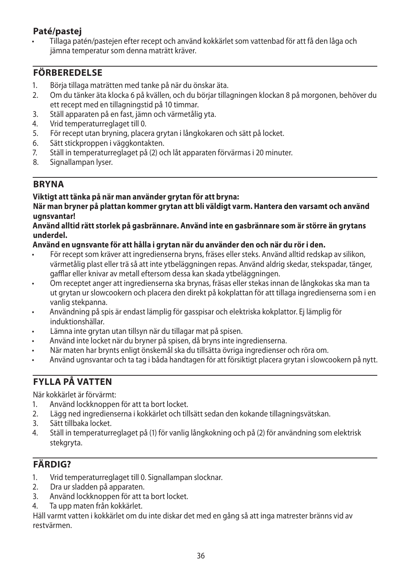## **Paté/pastej**

• Tillaga patén/pastejen efter recept och använd kokkärlet som vattenbad för att få den låga och jämna temperatur som denna maträtt kräver.

## **FÖRBEREDELSE**

- 1. Börja tillaga maträtten med tanke på när du önskar äta.
- 2. Om du tänker äta klocka 6 på kvällen, och du börjar tillagningen klockan 8 på morgonen, behöver du ett recept med en tillagningstid på 10 timmar.
- 3. Ställ apparaten på en fast, jämn och värmetålig yta.
- 4. Vrid temperaturreglaget till 0.<br>5. För recept utan bryning, place
- 5. För recept utan bryning, placera grytan i långkokaren och sätt på locket.
- 6. Sätt stickproppen i väggkontakten.
- 7. Ställ in temperaturreglaget på (2) och låt apparaten förvärmas i 20 minuter.
- Signallampan lyser.

## **BRYNA**

#### **Viktigt att tänka på när man använder grytan för att bryna:**

**När man bryner på plattan kommer grytan att bli väldigt varm. Hantera den varsamt och använd ugnsvantar!**

#### **Använd alltid rätt storlek på gasbrännare. Använd inte en gasbrännare som är större än grytans underdel.**

#### **Använd en ugnsvante för att hålla i grytan när du använder den och när du rör i den.**

- För recept som kräver att ingredienserna bryns, fräses eller steks. Använd alltid redskap av silikon, värmetålig plast eller trä så att inte ytbeläggningen repas. Använd aldrig skedar, stekspadar, tänger, gafflar eller knivar av metall eftersom dessa kan skada ytbeläggningen.
- Om receptet anger att ingredienserna ska brynas, fräsas eller stekas innan de långkokas ska man ta ut grytan ur slowcookern och placera den direkt på kokplattan för att tillaga ingredienserna som i en vanlig stekpanna.
- Användning på spis är endast lämplig för gasspisar och elektriska kokplattor. Ej lämplig för induktionshällar.
- Lämna inte grytan utan tillsyn när du tillagar mat på spisen.
- Använd inte locket när du bryner på spisen, då bryns inte ingredienserna.
- När maten har brynts enligt önskemål ska du tillsätta övriga ingredienser och röra om.
- Använd ugnsvantar och ta tag i båda handtagen för att försiktigt placera grytan i slowcookern på nytt.

## **FYLLA PÅ VATTEN**

När kokkärlet är förvärmt:

- 1. Använd lockknoppen för att ta bort locket.
- 2. Lägg ned ingredienserna i kokkärlet och tillsätt sedan den kokande tillagningsvätskan.
- 3. Sätt tillbaka locket.
- 4. Ställ in temperaturreglaget på (1) för vanlig långkokning och på (2) för användning som elektrisk stekgryta.

## **FÄRDIG?**

- 1. Vrid temperaturreglaget till 0. Signallampan slocknar.
- 2. Dra ur sladden på apparaten.
- 3. Använd lockknoppen för att ta bort locket.
- 4. Ta upp maten från kokkärlet.

Häll varmt vatten i kokkärlet om du inte diskar det med en gång så att inga matrester bränns vid av restvärmen.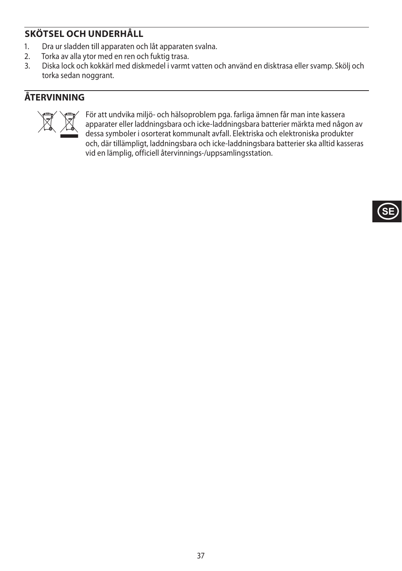# **SKÖTSEL OCH UNDERHÅLL**

- 1. Dra ur sladden till apparaten och låt apparaten svalna.<br>2. Torka av alla vtor med en ren och fuktig trasa.
- 2. Torka av alla ytor med en ren och fuktig trasa.<br>2. Diska lock och kokkärl med diskmadel i varmt
- 3. Diska lock och kokkärl med diskmedel i varmt vatten och använd en disktrasa eller svamp. Skölj och torka sedan noggrant.

# **ÅTERVINNING**



För att undvika miljö- och hälsoproblem pga. farliga ämnen får man inte kassera<br>apparater eller laddningsbara och icke-laddningsbara batterier märkta med någe<br>dessa symboler i osorterat kommunalt avfall. Elektriska och ele apparater eller laddningsbara och icke-laddningsbara batterier märkta med någon av dessa symboler i osorterat kommunalt avfall. Elektriska och elektroniska produkter och, där tillämpligt, laddningsbara och icke-laddningsbara batterier ska alltid kasseras vid en lämplig, officiell återvinnings-/uppsamlingsstation.

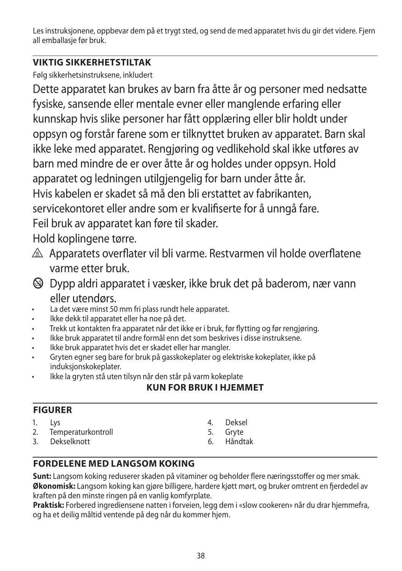Les instruksjonene, oppbevar dem på et trygt sted, og send de med apparatet hvis du gir det videre. Fjern all emballasje før bruk.

# **VIKTIG SIKKERHETSTILTAK**

Følg sikkerhetsinstruksene, inkludert

Dette apparatet kan brukes av barn fra åtte år og personer med nedsatte fysiske, sansende eller mentale evner eller manglende erfaring eller kunnskap hvis slike personer har fått opplæring eller blir holdt under oppsyn og forstår farene som er tilknyttet bruken av apparatet. Barn skal ikke leke med apparatet. Rengjøring og vedlikehold skal ikke utføres av barn med mindre de er over åtte år og holdes under oppsyn. Hold apparatet og ledningen utilgjengelig for barn under åtte år. Hvis kabelen er skadet så må den bli erstattet av fabrikanten, servicekontoret eller andre som er kvalifiserte for å unngå fare. Feil bruk av apparatet kan føre til skader.

Hold koplingene tørre.

- A Apparatets overflater vil bli varme. Restvarmen vil holde overflatene varme etter bruk.
- b Dypp aldri apparatet i væsker, ikke bruk det på baderom, nær vann eller utendørs.
- La det være minst 50 mm fri plass rundt hele apparatet.
- Ikke dekk til apparatet eller ha noe på det.
- Trekk ut kontakten fra apparatet når det ikke er i bruk, før flytting og før rengjøring.
- Ikke bruk apparatet til andre formål enn det som beskrives i disse instruksene.
- Ikke bruk apparatet hvis det er skadet eller har mangler.
- Gryten egner seg bare for bruk på gasskokeplater og elektriske kokeplater, ikke på induksjonskokeplater.
- Ikke la gryten stå uten tilsyn når den står på varm kokeplate

# **KUN FOR BRUK I HJEMMET**

# **FIGURER**

- $1.$  lys
- 2. Temperaturkontroll
- 3. Dekselknott
- 4. Deksel
- 5. Gryte
- 6. Håndtak

# **FORDELENE MED LANGSOM KOKING**

**Sunt:** Langsom koking reduserer skaden på vitaminer og beholder flere næringsstoffer og mer smak. **Økonomisk:** Langsom koking kan gjøre billigere, hardere kjøtt mørt, og bruker omtrent en fjerdedel av kraften på den minste ringen på en vanlig komfyrplate.

**Praktisk:** Forbered ingrediensene natten i forveien, legg dem i «slow cookeren» når du drar hjemmefra, og ha et deilig måltid ventende på deg når du kommer hjem.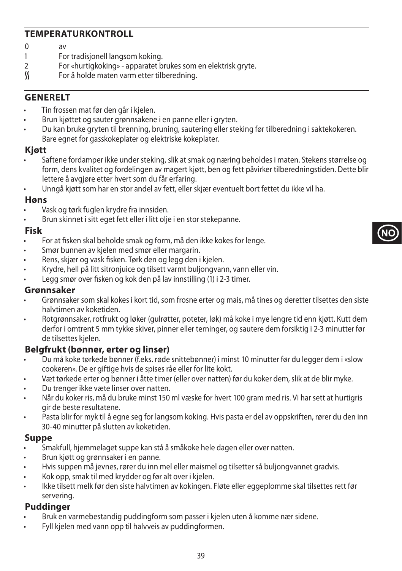## **TEMPERATURKONTROLL**

- $0 \quad \text{av}$
- 1 For tradisjonell langsom koking.<br>2 For «burtigkoking» apparatet b
- 2 For «hurtigkoking» apparatet brukes som en elektrisk gryte.<br>
Som a holde maten varm etter tilberedning.
- For å holde maten varm etter tilberedning.

## **GENERELT**

- Tin frossen mat før den går i kjelen.
- Brun kjøttet og sauter grønnsakene i en panne eller i gryten.
- Du kan bruke gryten til brenning, bruning, sautering eller steking før tilberedning i saktekokeren. Bare egnet for gasskokeplater og elektriske kokeplater.

### **Kjøtt**

• Saftene fordamper ikke under steking, slik at smak og næring beholdes i maten. Stekens størrelse og form, dens kvalitet og fordelingen av magert kjøtt, ben og fett påvirker tilberedningstiden. Dette blir lettere å avgjøre etter hvert som du får erfaring.

**NO**

• Unngå kjøtt som har en stor andel av fett, eller skjær eventuelt bort fettet du ikke vil ha.

#### **Høns**

- Vask og tørk fuglen krydre fra innsiden.
- Brun skinnet i sitt eget fett eller i litt olje i en stor stekepanne.

### **Fisk**

- For at fisken skal beholde smak og form, må den ikke kokes for lenge.
- Smør bunnen av kjelen med smør eller margarin.
- Rens, skjær og vask fisken. Tørk den og legg den i kjelen.
- Krydre, hell på litt sitronjuice og tilsett varmt buljongvann, vann eller vin.
- Legg smør over fisken og kok den på lav innstilling (1) i 2-3 timer.

### **Grønnsaker**

- Grønnsaker som skal kokes i kort tid, som frosne erter og mais, må tines og deretter tilsettes den siste halvtimen av koketiden.
- Rotgrønnsaker, rotfrukt og løker (gulrøtter, poteter, løk) må koke i mye lengre tid enn kjøtt. Kutt dem derfor i omtrent 5 mm tykke skiver, pinner eller terninger, og sautere dem forsiktig i 2-3 minutter før de tilsettes kjelen.

## **Belgfrukt (bønner, erter og linser)**

- Du må koke tørkede bønner (f.eks. røde snittebønner) i minst 10 minutter før du legger dem i «slow cookeren». De er giftige hvis de spises råe eller for lite kokt.
- Væt tørkede erter og bønner i åtte timer (eller over natten) før du koker dem, slik at de blir myke.
- Du trenger ikke væte linser over natten.
- Når du koker ris, må du bruke minst 150 ml væske for hvert 100 gram med ris. Vi har sett at hurtigris gir de beste resultatene.
- Pasta blir for myk til å egne seg for langsom koking. Hvis pasta er del av oppskriften, rører du den inn 30-40 minutter på slutten av koketiden.

### **Suppe**

- Smakfull, hjemmelaget suppe kan stå å småkoke hele dagen eller over natten.
- Brun kjøtt og grønnsaker i en panne.
- Hvis suppen må jevnes, rører du inn mel eller maismel og tilsetter så buljongvannet gradvis.
- Kok opp, smak til med krydder og før alt over i kjelen.
- Ikke tilsett melk før den siste halvtimen av kokingen. Fløte eller eggeplomme skal tilsettes rett før servering.

### **Puddinger**

- Bruk en varmebestandig puddingform som passer i kjelen uten å komme nær sidene.
- Fyll kjelen med vann opp til halvveis av puddingformen.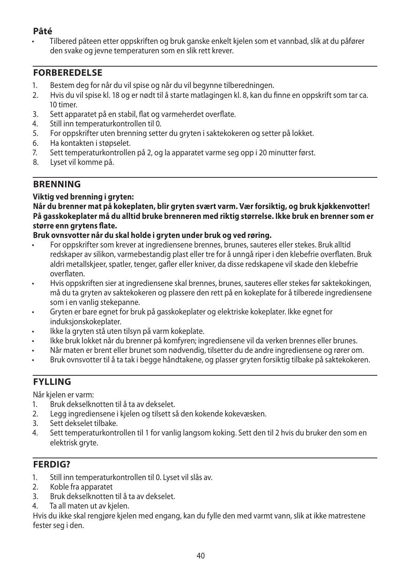# **Pâté**

• Tilbered pâteen etter oppskriften og bruk ganske enkelt kjelen som et vannbad, slik at du påfører den svake og jevne temperaturen som en slik rett krever.

## **FORBEREDELSE**

- 1. Bestem deg for når du vil spise og når du vil begynne tilberedningen.
- 2. Hvis du vil spise kl. 18 og er nødt til å starte matlagingen kl. 8, kan du finne en oppskrift som tar ca. 10 timer.
- 3. Sett apparatet på en stabil, flat og varmeherdet overflate.
- 4. Still inn temperaturkontrollen til 0.<br>5. For oppskrifter uten brenning sette
- 5. For oppskrifter uten brenning setter du gryten i saktekokeren og setter på lokket.
- 6. Ha kontakten i støpselet.
- 7. Sett temperaturkontrollen på 2, og la apparatet varme seg opp i 20 minutter først.
- 8. Lyset vil komme på.

# **BRENNING**

#### **Viktig ved brenning i gryten:**

**Når du brenner mat på kokeplaten, blir gryten svært varm. Vær forsiktig, og bruk kjøkkenvotter! På gasskokeplater må du alltid bruke brenneren med riktig størrelse. Ikke bruk en brenner som er større enn grytens flate.**

### **Bruk ovnsvotter når du skal holde i gryten under bruk og ved røring.**

- For oppskrifter som krever at ingrediensene brennes, brunes, sauteres eller stekes. Bruk alltid redskaper av silikon, varmebestandig plast eller tre for å unngå riper i den klebefrie overflaten. Bruk aldri metallskjeer, spatler, tenger, gafler eller kniver, da disse redskapene vil skade den klebefrie overflaten.
- Hvis oppskriften sier at ingrediensene skal brennes, brunes, sauteres eller stekes før saktekokingen, må du ta gryten av saktekokeren og plassere den rett på en kokeplate for å tilberede ingrediensene som i en vanlig stekepanne.
- Gryten er bare egnet for bruk på gasskokeplater og elektriske kokeplater. Ikke egnet for induksjonskokeplater.
- Ikke la gryten stå uten tilsyn på varm kokeplate.
- Ikke bruk lokket når du brenner på komfyren; ingrediensene vil da verken brennes eller brunes.
- Når maten er brent eller brunet som nødvendig, tilsetter du de andre ingrediensene og rører om.
- Bruk ovnsvotter til å ta tak i begge håndtakene, og plasser gryten forsiktig tilbake på saktekokeren.

# **FYLLING**

Når kjelen er varm:

- 1. Bruk dekselknotten til å ta av dekselet.
- 2. Legg ingrediensene i kjelen og tilsett så den kokende kokevæsken.
- 3. Sett dekselet tilbake.
- 4. Sett temperaturkontrollen til 1 for vanlig langsom koking. Sett den til 2 hvis du bruker den som en elektrisk gryte.

# **FERDIG?**

- 1. Still inn temperaturkontrollen til 0. Lyset vil slås av.
- 2. Koble fra apparatet
- 3. Bruk dekselknotten til å ta av dekselet.
- 4. Ta all maten ut av kjelen.

Hvis du ikke skal rengjøre kjelen med engang, kan du fylle den med varmt vann, slik at ikke matrestene fester seg i den.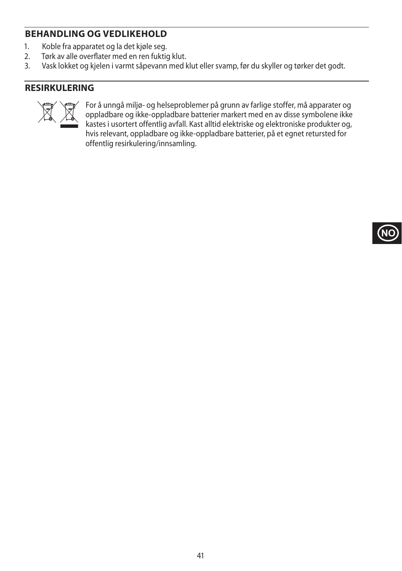# **BEHANDLING OG VEDLIKEHOLD**

- 1. Koble fra apparatet og la det kjøle seg.<br>2. Tørk av alle overflater med en ren fuktio
- 2. Tørk av alle overflater med en ren fuktig klut.<br>3. Vask lokket og kjelen i varmt sånevann med k
- Vask lokket og kjelen i varmt såpevann med klut eller svamp, før du skyller og tørker det godt.

## **RESIRKULERING**



For å unngå miljø- og helseproblemer på grunn av farlige stoffer, må apparater og<br>oppladbare og ikke-oppladbare batterier markert med en av disse symbolene ikke<br>kastes i usortert offentlig avfall. Kast alltid elektriske og oppladbare og ikke-oppladbare batterier markert med en av disse symbolene ikke kastes i usortert offentlig avfall. Kast alltid elektriske og elektroniske produkter og, hvis relevant, oppladbare og ikke-oppladbare batterier, på et egnet retursted for offentlig resirkulering/innsamling.

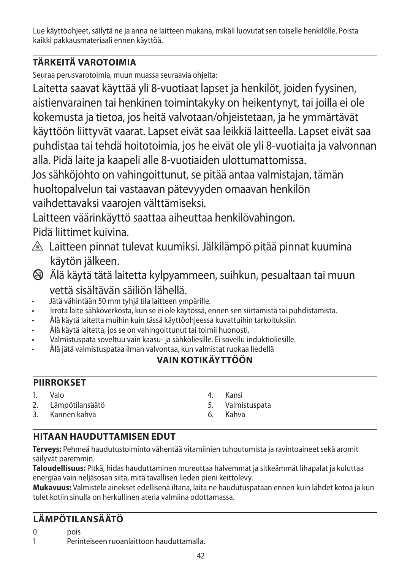Lue käyttöohjeet, säilytä ne ja anna ne laitteen mukana, mikäli luovutat sen toiselle henkilölle. Poista kaikki pakkausmateriaali ennen käyttöä.

# **TÄRKEITÄ VAROTOIMIA**

Seuraa perusvarotoimia, muun muassa seuraavia ohjeita:

Laitetta saavat käyttää yli 8-vuotiaat lapset ja henkilöt, joiden fyysinen, aistienvarainen tai henkinen toimintakyky on heikentynyt, tai joilla ei ole kokemusta ja tietoa, jos heitä valvotaan/ohjeistetaan, ja he ymmärtävät käyttöön liittyvät vaarat. Lapset eivät saa leikkiä laitteella. Lapset eivät saa puhdistaa tai tehdä hoitotoimia, jos he eivät ole yli 8-vuotiaita ja valvonnan alla. Pidä laite ja kaapeli alle 8-vuotiaiden ulottumattomissa.

Jos sähköjohto on vahingoittunut, se pitää antaa valmistajan, tämän huoltopalvelun tai vastaavan pätevyyden omaavan henkilön vaihdettavaksi vaarojen välttämiseksi.

Laitteen väärinkäyttö saattaa aiheuttaa henkilövahingon. Pidä liittimet kuivina.

- $\triangle$  Laitteen pinnat tulevat kuumiksi. Jälkilämpö pitää pinnat kuumina käytön jälkeen.
- $\circledast$  Älä käytä tätä laitetta kylpyammeen, suihkun, pesualtaan tai muun vettä sisältävän säiliön lähellä.
- Jätä vähintään 50 mm tyhjä tila laitteen ympärille.
- Irrota laite sähköverkosta, kun se ei ole käytössä, ennen sen siirtämistä tai puhdistamista.
- Älä käytä laitetta muihin kuin tässä käyttöohjeessa kuvattuihin tarkoituksiin.
- Älä käytä laitetta, jos se on vahingoittunut tai toimii huonosti.
- Valmistuspata soveltuu vain kaasu- ja sähköliesille. Ei sovellu induktioliesille.
- Älä jätä valmistuspataa ilman valvontaa, kun valmistat ruokaa liedellä

# **VAIN KOTIKÄYTTÖÖN**

# **PIIRROKSET**

- 1. Valo
- 2. Lämpötilansäätö
- 3. Kannen kahva
- 4. Kansi
- 5. Valmistuspata
- 6. Kahva

# **HITAAN HAUDUTTAMISEN EDUT**

**Terveys:** Pehmeä haudutustoiminto vähentää vitamiinien tuhoutumista ja ravintoaineet sekä aromit säilyvät paremmin.

**Taloudellisuus:** Pitkä, hidas hauduttaminen mureuttaa halvemmat ja sitkeämmät lihapalat ja kuluttaa energiaa vain neljäsosan siitä, mitä tavallisen lieden pieni keittolevy.

**Mukavuus:** Valmistele ainekset edellisenä iltana, laita ne haudutuspataan ennen kuin lähdet kotoa ja kun tulet kotiin sinulla on herkullinen ateria valmiina odottamassa.

# **LÄMPÖTILANSÄÄTÖ**

0 pois

1 Perinteiseen ruoanlaittoon hauduttamalla.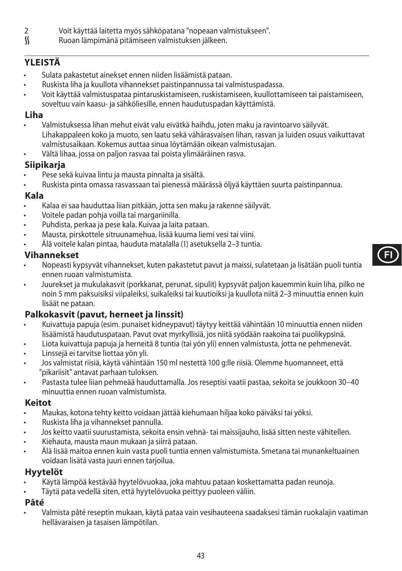- 2 Voit käyttää laitetta myös sähköpatana "nopeaan valmistukseen".<br>K kuoan lämpimänä pitämiseen valmistuksen jälkeen.
- Ruoan lämpimänä pitämiseen valmistuksen jälkeen.

# **YLEISTÄ**

- Sulata pakastetut ainekset ennen niiden lisäämistä pataan.
- Ruskista liha ja kuullota vihannekset paistinpannussa tai valmistuspadassa.
- Voit käyttää valmistuspataa pintaruskistamiseen, ruskistamiseen, kuullottamiseen tai paistamiseen, soveltuu vain kaasu- ja sähköliesille, ennen haudutuspadan käyttämistä.

### **Liha**

- Valmistuksessa lihan mehut eivät valu eivätkä haihdu, joten maku ja ravintoarvo säilyvät. Lihakappaleen koko ja muoto, sen laatu sekä vähärasvaisen lihan, rasvan ja luiden osuus vaikuttavat valmistusaikaan. Kokemus auttaa sinua löytämään oikean valmistusajan.
- Vältä lihaa, jossa on paljon rasvaa tai poista ylimääräinen rasva.

## **Siipikarja**

- Pese sekä kuivaa lintu ja mausta pinnalta ja sisältä.
- Ruskista pinta omassa rasvassaan tai pienessä määrässä öljyä käyttäen suurta paistinpannua.

## **Kala**

- Kalaa ei saa hauduttaa liian pitkään, jotta sen maku ja rakenne säilyvät.
- Voitele padan pohja voilla tai margariinilla.
- Puhdista, perkaa ja pese kala. Kuivaa ja laita pataan.
- Mausta, pirskottele sitruunamehua, lisää kuuma liemi vesi tai viini.
- Älä voitele kalan pintaa, hauduta matalalla (1) asetuksella 2–3 tuntia.

## **Vihannekset**

- Nopeasti kypsyvät vihannekset, kuten pakastetut pavut ja maissi, sulatetaan ja lisätään puoli tuntia ennen ruoan valmistumista.
- Juurekset ja mukulakasvit (porkkanat, perunat, sipulit) kypsyvät paljon kauemmin kuin liha, pilko ne noin 5 mm paksuisiksi viipaleiksi, suikaleiksi tai kuutioiksi ja kuullota niitä 2–3 minuuttia ennen kuin lisäät ne pataan.

# **Palkokasvit (pavut, herneet ja linssit)**

- Kuivattuja papuja (esim. punaiset kidneypavut) täytyy keittää vähintään 10 minuuttia ennen niiden lisäämistä haudutuspataan. Pavut ovat myrkyllisiä, jos niitä syödään raakoina tai puolikypsinä.
- Liota kuivattuja papuja ja herneitä 8 tuntia (tai yön yli) ennen valmistusta, jotta ne pehmenevät.
- Linssejä ei tarvitse liottaa yön yli.
- Jos valmistat riisiä, käytä vähintään 150 ml nestettä 100 g:lle riisiä. Olemme huomanneet, että "pikariisit" antavat parhaan tuloksen.
- Pastasta tulee liian pehmeää hauduttamalla. Jos reseptisi vaatii pastaa, sekoita se joukkoon 30–40 minuuttia ennen ruoan valmistumista.

### **Keitot**

- Maukas, kotona tehty keitto voidaan jättää kiehumaan hiljaa koko päiväksi tai yöksi.
- Ruskista liha ja vihannekset pannulla.
- Jos keitto vaatii suurustamista, sekoita ensin vehnä- tai maissijauho, lisää sitten neste vähitellen.
- Kiehauta, mausta maun mukaan ja siirrä pataan.
- Älä lisää maitoa ennen kuin vasta puoli tuntia ennen valmistumista. Smetana tai munankeltuainen voidaan lisätä vasta juuri ennen tarjoilua.

## **Hyytelöt**

- Käytä lämpöä kestävää hyytelövuokaa, joka mahtuu pataan koskettamatta padan reunoja.
- Täytä pata vedellä siten, että hyytelövuoka peittyy puoleen väliin.

## **Pâté**

• Valmista pâté reseptin mukaan, käytä pataa vain vesihauteena saadaksesi tämän ruokalajin vaatiman hellävaraisen ja tasaisen lämpötilan.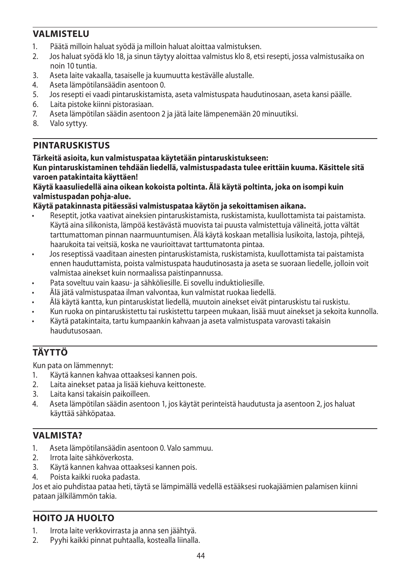# **VALMISTELU**

- 1. Päätä milloin haluat syödä ja milloin haluat aloittaa valmistuksen.
- 2. Jos haluat syödä klo 18, ja sinun täytyy aloittaa valmistus klo 8, etsi resepti, jossa valmistusaika on noin 10 tuntia.
- 3. Aseta laite vakaalla, tasaiselle ja kuumuutta kestävälle alustalle.
- 4. Aseta lämpötilansäädin asentoon 0.<br>5. los resenti ei vaadi pintaruskistamist
- 5. Jos resepti ei vaadi pintaruskistamista, aseta valmistuspata haudutinosaan, aseta kansi päälle.
- 6. Laita pistoke kiinni pistorasiaan.
- 7. Aseta lämpötilan säädin asentoon 2 ja jätä laite lämpenemään 20 minuutiksi.
- Valo syttyy.

# **PINTARUSKISTUS**

### **Tärkeitä asioita, kun valmistuspataa käytetään pintaruskistukseen:**

**Kun pintaruskistaminen tehdään liedellä, valmistuspadasta tulee erittäin kuuma. Käsittele sitä varoen patakintaita käyttäen!**

#### **Käytä kaasuliedellä aina oikean kokoista poltinta. Älä käytä poltinta, joka on isompi kuin valmistuspadan pohja-alue.**

### **Käytä patakinnasta pitäessäsi valmistuspataa käytön ja sekoittamisen aikana.**

- Reseptit, jotka vaativat aineksien pintaruskistamista, ruskistamista, kuullottamista tai paistamista. Käytä aina silikonista, lämpöä kestävästä muovista tai puusta valmistettuja välineitä, jotta vältät tarttumattoman pinnan naarmuuntumisen. Älä käytä koskaan metallisia lusikoita, lastoja, pihtejä, haarukoita tai veitsiä, koska ne vaurioittavat tarttumatonta pintaa.
- Jos reseptissä vaaditaan ainesten pintaruskistamista, ruskistamista, kuullottamista tai paistamista ennen hauduttamista, poista valmistuspata haudutinosasta ja aseta se suoraan liedelle, jolloin voit valmistaa ainekset kuin normaalissa paistinpannussa.
- Pata soveltuu vain kaasu- ja sähköliesille. Ei sovellu induktioliesille.
- Älä jätä valmistuspataa ilman valvontaa, kun valmistat ruokaa liedellä.
- Älä käytä kantta, kun pintaruskistat liedellä, muutoin ainekset eivät pintaruskistu tai ruskistu.
- Kun ruoka on pintaruskistettu tai ruskistettu tarpeen mukaan, lisää muut ainekset ja sekoita kunnolla.
- Käytä patakintaita, tartu kumpaankin kahvaan ja aseta valmistuspata varovasti takaisin haudutusosaan.

# **TÄYTTÖ**

Kun pata on lämmennyt:

- 1. Käytä kannen kahvaa ottaaksesi kannen pois.<br>2. Laita ainekset pataa ja lisää kiehuva keittones
- 2. Laita ainekset pataa ja lisää kiehuva keittoneste.
- 3. Laita kansi takaisin paikoilleen.
- 4. Aseta lämpötilan säädin asentoon 1, jos käytät perinteistä haudutusta ja asentoon 2, jos haluat käyttää sähköpataa.

# **VALMISTA?**

- 1. Aseta lämpötilansäädin asentoon 0. Valo sammuu.
- 2. Irrota laite sähköverkosta.
- 3. Käytä kannen kahvaa ottaaksesi kannen pois.
- 4. Poista kaikki ruoka padasta.

Jos et aio puhdistaa pataa heti, täytä se lämpimällä vedellä estääksesi ruokajäämien palamisen kiinni pataan jälkilämmön takia.

# **HOITO JA HUOLTO**

- 1. Irrota laite verkkovirrasta ja anna sen jäähtyä.
- 2. Pyyhi kaikki pinnat puhtaalla, kostealla liinalla.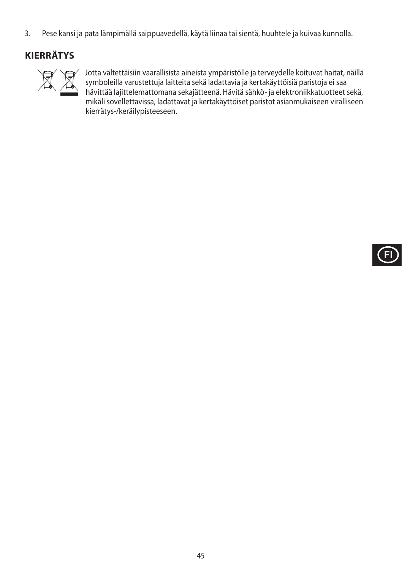3. Pese kansi ja pata lämpimällä saippuavedellä, käytä liinaa tai sientä, huuhtele ja kuivaa kunnolla.

# **KIERRÄTYS**



Jotta vältettäisiin vaarallisista aineista ympäristölle ja terveydelle koituvat haitat, näillä<br>symboleilla varustettuja laitteita sekä ladattavia ja kertakäyttöisiä paristoja ei saa<br>hävittää lajittelemattomana sekajätteenä symboleilla varustettuja laitteita sekä ladattavia ja kertakäyttöisiä paristoja ei saa hävittää lajittelemattomana sekajätteenä. Hävitä sähkö- ja elektroniikkatuotteet sekä, mikäli sovellettavissa, ladattavat ja kertakäyttöiset paristot asianmukaiseen viralliseen kierrätys-/keräilypisteeseen.

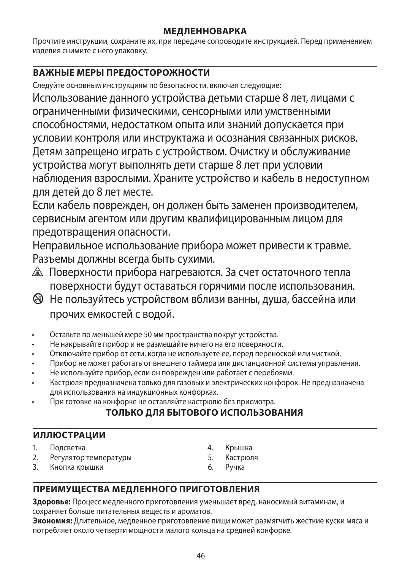## **МЕДЛЕННОВАРКА**

Прочтите инструкции, сохраните их, при передаче сопроводите инструкцией. Перед применением изделия снимите с него упаковку.

# **ВАЖНЫЕ МЕРЫ ПРЕДОСТОРОЖНОСТИ**

Следуйте основным инструкциям по безопасности, включая следующие:

Использование данного устройства детьми старше 8 лет, лицами с ограниченными физическими, сенсорными или умственными способностями, недостатком опыта или знаний допускается при условии контроля или инструктажа и осознания связанных рисков. Детям запрещено играть с устройством. Очистку и обслуживание устройства могут выполнять дети старше 8 лет при условии наблюдения взрослыми. Храните устройство и кабель в недоступном для детей до 8 лет месте.

Если кабель поврежден, он должен быть заменен производителем, сервисным агентом или другим квалифицированным лицом для предотвращения опасности.

Неправильное использование прибора может привести к травме. Разъемы должны всегда быть сухими.

- $\triangle$  Поверхности прибора нагреваются. За счет остаточного тепла поверхности будут оставаться горячими после использования.
- b Не пользуйтесь устройством вблизи ванны, душа, бассейна или прочих емкостей с водой.
- Оставьте по меньшей мере 50 мм пространства вокруг устройства.
- Не накрывайте прибор и не размещайте ничего на его поверхности.
- Отключайте прибор от сети, когда не используете ее, перед переноской или чисткой.
- Прибор не может работать от внешнего таймера или дистанционной системы управления.
- Не используйте прибор, если он поврежден или работает с перебоями.
- Кастрюля предназначена только для газовых и электрических конфорок. Не предназначена для использования на индукционных конфорках.
- При готовке на конфорке не оставляйте кастрюлю без присмотра.

# **ТОЛЬКО ДЛЯ БЫТОВОГО ИСПОЛЬЗОВАНИЯ**

## **ИЛЛЮСТРАЦИИ**

- 1. Подсветка
- 2. Регулятор температуры
- 3. Кнопка крышки
- 4. Крышка
- 5. Кастрюля<br>6 Ручка
- Ручка

# **ПРЕИМУЩЕСТВА МЕДЛЕННОГО ПРИГОТОВЛЕНИЯ**

**Здоровье:** Процесс медленного приготовления уменьшает вред, наносимый витаминам, и сохраняет больше питательных веществ и ароматов.

**Экономия:** Длительное, медленное приготовление пищи может размягчить жесткие куски мяса и потребляет около четверти мощности малого кольца на средней конфорке.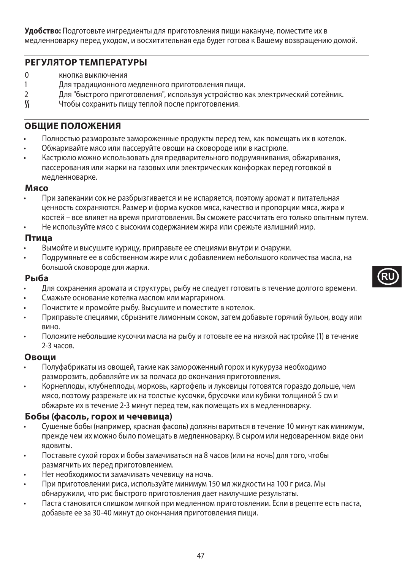**Удобство:** Подготовьте ингредиенты для приготовления пищи накануне, поместите их в медленноварку перед уходом, и восхитительная еда будет готова к Вашему возвращению домой.

### **РЕГУЛЯТОР ТЕМПЕРАТУРЫ**

- 0 кнопка выключения<br>1 Лля тралиционного
- 1 Для традиционного медленного приготовления пищи.<br>2 Лля "быстрого приготовления" используя устройство і
- 2 Для "быстрого приготовления", используя устройство как электрический сотейник.<br>К чтобы сохранить пишу теплой после приготовления.
- Чтобы сохранить пишу теплой после приготовления.

#### **ОБЩИЕ ПОЛОЖЕНИЯ**

- Полностью разморозьте замороженные продукты перед тем, как помещать их в котелок.
- Обжаривайте мясо или пассеруйте овощи на сковороде или в кастрюле.
- Кастрюлю можно использовать для предварительного подрумянивания, обжаривания, пассерования или жарки на газовых или электрических конфорках перед готовкой в медленноварке.

#### **Мясо**

• При запекании сок не разбрызгивается и не испаряется, поэтому аромат и питательная ценность сохраняются. Размер и форма кусков мяса, качество и пропорции мяса, жира и костей – все влияет на время приготовления. Вы сможете рассчитать его только опытным путем.

• Не используйте мясо с высоким содержанием жира или срежьте излишний жир.

#### **Птица**

- Вымойте и высушите курицу, приправьте ее специями внутри и снаружи.
- Подрумяньте ее в собственном жире или с добавлением небольшого количества масла, на большой сковороде для жарки.

#### **Рыба**

- Для сохранения аромата и структуры, рыбу не следует готовить в течение долгого времени.
- Смажьте основание котелка маслом или маргарином.
- Почистите и промойте рыбу. Высушите и поместите в котелок.
- Приправьте специями, сбрызните лимонным соком, затем добавьте горячий бульон, воду или вино.
- Положите небольшие кусочки масла на рыбу и готовьте ее на низкой настройке (1) в течение 2-3 часов.

#### **Овощи**

- Полуфабрикаты из овощей, такие как замороженный горох и кукуруза необходимо разморозить, добавляйте их за полчаса до окончания приготовления.
- Корнеплоды, клубнеплоды, морковь, картофель и луковицы готовятся гораздо дольше, чем мясо, поэтому разрежьте их на толстые кусочки, брусочки или кубики толщиной 5 см и обжарьте их в течение 2-3 минут перед тем, как помещать их в медленноварку.

#### **Бобы (фасоль, горох и чечевица)**

- Сушеные бобы (например, красная фасоль) должны вариться в течение 10 минут как минимум, прежде чем их можно было помещать в медленноварку. В сыром или недоваренном виде они ядовиты.
- Поставьте сухой горох и бобы замачиваться на 8 часов (или на ночь) для того, чтобы размягчить их перед приготовлением.
- Нет необходимости замачивать чечевицу на ночь.
- При приготовлении риса, используйте минимум 150 мл жидкости на 100 г риса. Мы обнаружили, что рис быстрого приготовления дает наилучшие результаты.
- Паста становится слишком мягкой при медленном приготовлении. Если в рецепте есть паста, добавьте ее за 30-40 минут до окончания приготовления пищи.



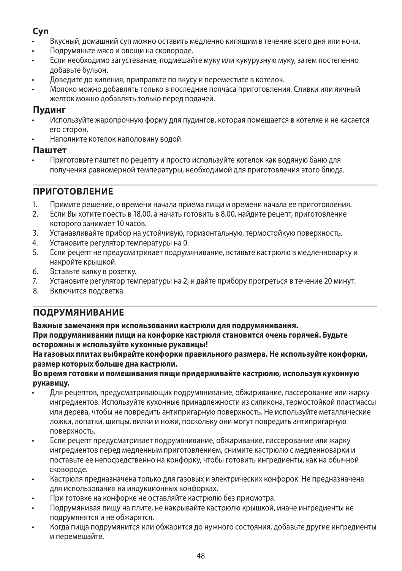# **Суп**

- Вкусный, домашний суп можно оставить медленно кипящим в течение всего дня или ночи.
- Подрумяньте мясо и овощи на сковороде.
- Если необходимо загустевание, подмешайте муку или кукурузную муку, затем постепенно добавьте бульон.
- Доведите до кипения, приправьте по вкусу и переместите в котелок.
- Молоко можно добавлять только в последние полчаса приготовления. Сливки или яичный желток можно добавлять только перед подачей.

### **Пудинг**

- Используйте жаропрочную форму для пудингов, которая помещается в котелке и не касается его сторон.
- Наполните котелок наполовину водой.

#### **Паштет**

• Приготовьте паштет по рецепту и просто используйте котелок как водяную баню для получения равномерной температуры, необходимой для приготовления этого блюда.

## **ПРИГОТОВЛЕНИЕ**

- 1. Примите решение, о времени начала приема пищи и времени начала ее приготовления.<br>2. Ресли Вы хотите поесть в 18.00, а начать готовить в 8.00, найдите рецепт, приготовление
- 2. Если Вы хотите поесть в 18.00, а начать готовить в 8.00, найдите рецепт, приготовление которого занимает 10 часов.
- 3. Устанавливайте прибор на устойчивую, горизонтальную, термостойкую поверхность.
- 4. Установите регулятор температуры на 0.
- 5. Если рецепт не предусматривает подрумянивание, вставьте кастрюлю в медленноварку и накройте крышкой.
- 6. Вставьте вилку в розетку.
- 7. Установите регулятор температуры на 2, и дайте прибору прогреться в течение 20 минут.
- 8. Включится подсветка.

# **ПОДРУМЯНИВАНИЕ**

**Важные замечания при использовании кастрюли для подрумянивания.**

**При подрумянивании пищи на конфорке кастрюля становится очень горячей. Будьте осторожны и используйте кухонные рукавицы!**

**На газовых плитах выбирайте конфорки правильного размера. Не используйте конфорки, размер которых больше дна кастрюли.**

#### **Во время готовки и помешивания пищи придерживайте кастрюлю, используя кухонную рукавицу.**

- Для рецептов, предусматривающих подрумянивание, обжаривание, пассерование или жарку ингредиентов. Используйте кухонные принадлежности из силикона, термостойкой пластмассы или дерева, чтобы не повредить антипригарную поверхность. Не используйте металлические ложки, лопатки, щипцы, вилки и ножи, поскольку они могут повредить антипригарную поверхность.
- Если рецепт предусматривает подрумянивание, обжаривание, пассерование или жарку ингредиентов перед медленным приготовлением, снимите кастрюлю с медленноварки и поставьте ее непосредственно на конфорку, чтобы готовить ингредиенты, как на обычной сковороде.
- Кастрюля предназначена только для газовых и электрических конфорок. Не предназначена для использования на индукционных конфорках.
- При готовке на конфорке не оставляйте кастрюлю без присмотра.
- Подрумянивая пищу на плите, не накрывайте кастрюлю крышкой, иначе ингредиенты не подрумянятся и не обжарятся.
- Когда пища подрумянится или обжарится до нужного состояния, добавьте другие ингредиенты и перемешайте.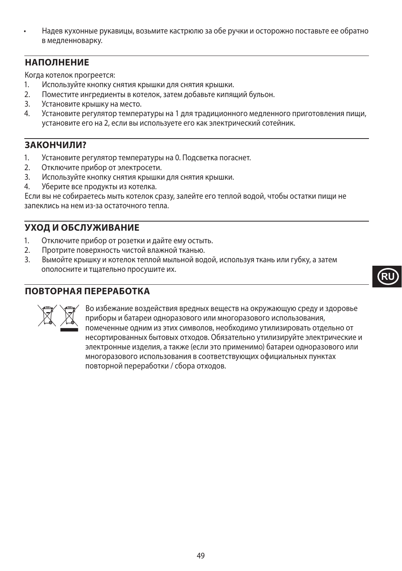• Надев кухонные рукавицы, возьмите кастрюлю за обе ручки и осторожно поставьте ее обратно в медленноварку.

## **НАПОЛНЕНИЕ**

Когда котелок прогреется:

- 1. Используйте кнопку снятия крышки для снятия крышки.
- 2. Поместите ингредиенты в котелок, затем добавьте кипящий бульон.
- 3. Установите крышку на место.
- 4. Установите регулятор температуры на 1 для традиционного медленного приготовления пищи, установите его на 2, если вы используете его как электрический сотейник.

## **ЗАКОНЧИЛИ?**

- 1. Установите регулятор температуры на 0. Подсветка погаснет.
- 2. Отключите прибор от электросети.
- 3. Используйте кнопку снятия крышки для снятия крышки.
- 4. Уберите все продукты из котелка.

Если вы не собираетесь мыть котелок сразу, залейте его теплой водой, чтобы остатки пищи не запеклись на нем из-за остаточного тепла.

## **УХОД И ОБСЛУЖИВАНИЕ**

- 1. Отключите прибор от розетки и дайте ему остыть.
- 2. Протрите поверхность чистой влажной тканью.
- 3. Вымойте крышку и котелок теплой мыльной водой, используя ткань или губку, а затем ополосните и тщательно просушите их.

### **ПОВТОРНАЯ ПЕРЕРАБОТКА**



WBO избежание воздействия вредных веществ на окружающую среду и здоровье<br>приборы и батареи одноразового или многоразового использования,<br>помеченные одним из этих символов, необходимо утилизировать отдельно от<br>несортирован приборы и батареи одноразового или многоразового использования, помеченные одним из этих символов, необходимо утилизировать отдельно от несортированных бытовых отходов. Обязательно утилизируйте электрические и электронные изделия, а также (если это применимо) батареи одноразового или многоразового использования в соответствующих официальных пунктах повторной переработки / сбора отходов.

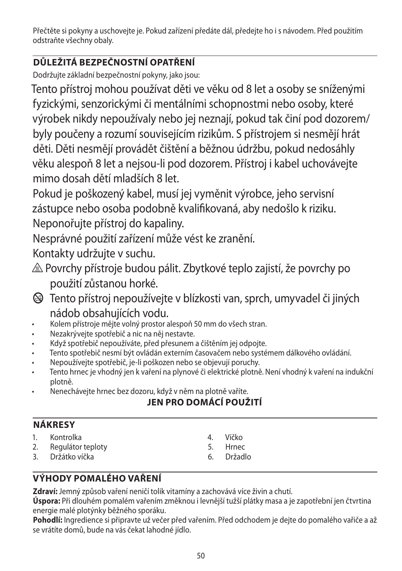Přečtěte si pokyny a uschovejte je. Pokud zařízení předáte dál, předejte ho i s návodem. Před použitím odstraňte všechny obaly.

# **DŮLEŽITÁ BEZPEČNOSTNÍ OPATŘENÍ**

Dodržujte základní bezpečnostní pokyny, jako jsou:

Tento přístroj mohou používat děti ve věku od 8 let a osoby se sníženými fyzickými, senzorickými či mentálními schopnostmi nebo osoby, které výrobek nikdy nepoužívaly nebo jej neznají, pokud tak činí pod dozorem/ byly poučeny a rozumí souvisejícím rizikům. S přístrojem si nesmějí hrát děti. Děti nesmějí provádět čištění a běžnou údržbu, pokud nedosáhly věku alespoň 8 let a nejsou-li pod dozorem. Přístroj i kabel uchovávejte mimo dosah dětí mladších 8 let.

Pokud je poškozený kabel, musí jej vyměnit výrobce, jeho servisní zástupce nebo osoba podobně kvalifikovaná, aby nedošlo k riziku. Neponořujte přístroj do kapaliny.

Nesprávné použití zařízení může vést ke zranění.

Kontakty udržujte v suchu.

- $\triangle$  Povrchy přístroje budou pálit. Zbytkové teplo zajistí, že povrchy po použití zůstanou horké.
- b Tento přístroj nepoužívejte v blízkosti van, sprch, umyvadel či jiných nádob obsahujících vodu.
- Kolem přístroje mějte volný prostor alespoň 50 mm do všech stran.
- Nezakrývejte spotřebič a nic na něj nestavte.
- Když spotřebič nepoužíváte, před přesunem a čištěním jej odpojte.
- Tento spotřebič nesmí být ovládán externím časovačem nebo systémem dálkového ovládání.
- Nepoužívejte spotřebič, je-li poškozen nebo se objevují poruchy.
- Tento hrnec je vhodný jen k vaření na plynové či elektrické plotně. Není vhodný k vaření na indukční plotně.
- Nenechávejte hrnec bez dozoru, když v něm na plotně vaříte.

# **JEN PRO DOMÁCÍ POUŽITÍ**

|         | u   |    |
|---------|-----|----|
| н<br>м. | INN | ۰. |

- 1. Kontrolka
- 2. Regulátor teploty
- 3. Držátko víčka
- 4. Víčko
- 5. Hrnec
- 6. Držadlo

# **VÝHODY POMALÉHO VAŘENÍ**

**Zdraví:** Jemný způsob vaření neničí tolik vitamíny a zachovává více živin a chutí.

**Úspora:** Při dlouhém pomalém vařením změknou i levnější tužší plátky masa a je zapotřební jen čtvrtina energie malé plotýnky běžného sporáku.

**Pohodlí:** Ingredience si připravte už večer před vařením. Před odchodem je dejte do pomalého vařiče a až se vrátíte domů, bude na vás čekat lahodné jídlo.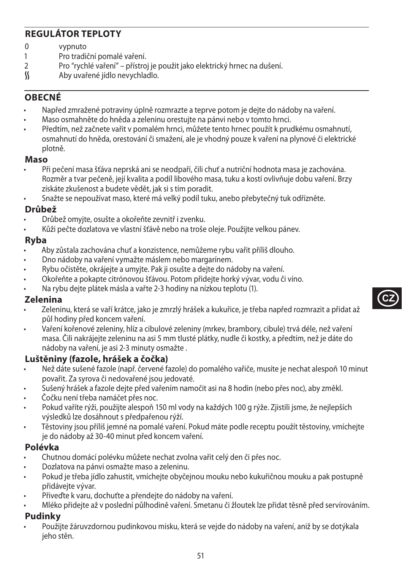# **REGULÁTOR TEPLOTY**

- 0 vypnuto<br>1 Pro tradi
- 1 Pro tradiční pomalé vaření.<br>2 Pro "rvchlé vaření" přístro
- 2 Pro "rychlé vaření" přístroj je použit jako elektrický hrnec na dušení.<br>S Aby uvařené jídlo nevychladlo.
- O Aby uvařené jídlo nevychladlo.

## **OBECNÉ**

- Napřed zmražené potraviny úplně rozmrazte a teprve potom je dejte do nádoby na vaření.
- Maso osmahněte do hněda a zeleninu orestujte na pánvi nebo v tomto hrnci.
- Předtím, než začnete vařit v pomalém hrnci, můžete tento hrnec použít k prudkému osmahnutí, osmahnutí do hněda, orestování či smažení, ale je vhodný pouze k vaření na plynové či elektrické plotně.

#### **Maso**

- Při pečení masa šťáva neprská ani se neodpaří, čili chuť a nutriční hodnota masa je zachována. Rozměr a tvar pečeně, její kvalita a podíl libového masa, tuku a kostí ovlivňuje dobu vaření. Brzy získáte zkušenost a budete vědět, jak si s tím poradit.
- Snažte se nepoužívat maso, které má velký podíl tuku, anebo přebytečný tuk odřízněte.

### **Drůbež**

- Drůbež omyjte, osušte a okořeňte zevnitř i zvenku.
- Kůži pečte dozlatova ve vlastní šťávě nebo na troše oleje. Použijte velkou pánev.

#### **Ryba**

- Aby zůstala zachována chuť a konzistence, nemůžeme rybu vařit příliš dlouho.
- Dno nádoby na vaření vymažte máslem nebo margarínem.
- Rybu očistěte, okrájejte a umyjte. Pak ji osušte a dejte do nádoby na vaření.
- Okořeňte a pokapte citrónovou šťávou. Potom přidejte horký vývar, vodu či víno.
- Na rybu dejte plátek másla a vařte 2-3 hodiny na nízkou teplotu (1).

#### **Zelenina**

- Zeleninu, která se vaří krátce, jako je zmrzlý hrášek a kukuřice, je třeba napřed rozmrazit a přidat až půl hodiny před koncem vaření.
- Vaření kořenové zeleniny, hlíz a cibulové zeleniny (mrkev, brambory, cibule) trvá déle, než vaření masa. Čili nakrájejte zeleninu na asi 5 mm tlusté plátky, nudle či kostky, a předtím, než je dáte do nádoby na vaření, je asi 2-3 minuty osmažte .

### **Luštěniny (fazole, hrášek a čočka)**

- Než dáte sušené fazole (např. červené fazole) do pomalého vařiče, musíte je nechat alespoň 10 minut povařit. Za syrova či nedovařené jsou jedovaté.
- Sušený hrášek a fazole dejte před vařením namočit asi na 8 hodin (nebo přes noc), aby změkl.
- Čočku není třeba namáčet přes noc.
- Pokud vaříte rýži, použijte alespoň 150 ml vody na každých 100 g rýže. Zjistili jsme, že nejlepších výsledků lze dosáhnout s předpařenou rýží.
- Těstoviny jsou příliš jemné na pomalé vaření. Pokud máte podle receptu použít těstoviny, vmíchejte je do nádoby až 30-40 minut před koncem vaření.

### **Polévka**

- Chutnou domácí polévku můžete nechat zvolna vařit celý den či přes noc.
- Dozlatova na pánvi osmažte maso a zeleninu.
- Pokud je třeba jídlo zahustit, vmíchejte obyčejnou mouku nebo kukuřičnou mouku a pak postupně přidávejte vývar.
- Přiveďte k varu, dochuťte a přendejte do nádoby na vaření.
- Mléko přidejte až v poslední půlhodině vaření. Smetanu či žloutek lze přidat těsně před servírováním.

### **Pudinky**

• Použijte žáruvzdornou pudinkovou misku, která se vejde do nádoby na vaření, aniž by se dotýkala jeho stěn.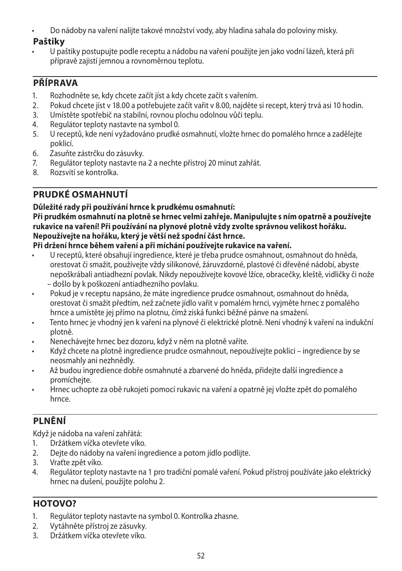• Do nádoby na vaření nalijte takové množství vody, aby hladina sahala do poloviny misky.

## **Paštiky**

• U paštiky postupujte podle receptu a nádobu na vaření použijte jen jako vodní lázeň, která při přípravě zajistí jemnou a rovnoměrnou teplotu.

# **PŘÍPRAVA**

- 1. Rozhodněte se, kdy chcete začít jíst a kdy chcete začít s vařením.<br>2. Pokud chcete jíst v 18.00 a potřebujete začít vařit v 8.00. naiděte
- 2. Pokud chcete jíst v 18.00 a potřebujete začít vařit v 8.00, najděte si recept, který trvá asi 10 hodin.
- 3. Umístěte spotřebič na stabilní, rovnou plochu odolnou vůči teplu.
- 4. Regulátor teploty nastavte na symbol 0.<br>5. U receptů, kde není vyžadováno prudké
- 5. U receptů, kde není vyžadováno prudké osmahnutí, vložte hrnec do pomalého hrnce a zadělejte poklicí.
- 6. Zasuňte zástrčku do zásuvky.<br>7. Regulátor teploty nastavte na
- 7. Regulátor teploty nastavte na 2 a nechte přístroj 20 minut zahřát.<br>8. Rozsvítí se kontrolka.
- 8. Rozsvítí se kontrolka.

# **PRUDKÉ OSMAHNUTÍ**

## **Důležité rady při používání hrnce k prudkému osmahnutí:**

#### **Při prudkém osmahnutí na plotně se hrnec velmi zahřeje. Manipulujte s ním opatrně a používejte rukavice na vaření! Při používání na plynové plotně vždy zvolte správnou velikost hořáku. Nepoužívejte na hořáku, který je větší než spodní část hrnce.**

### **Při držení hrnce během vaření a při míchání používejte rukavice na vaření.**

- U receptů, které obsahují ingredience, které je třeba prudce osmahnout, osmahnout do hněda, orestovat či smažit, používejte vždy silikonové, žáruvzdorné, plastové či dřevěné nádobí, abyste nepoškrábali antiadhezní povlak. Nikdy nepoužívejte kovové lžíce, obracečky, kleště, vidličky či nože – došlo by k poškození antiadhezního povlaku.
- Pokud je v receptu napsáno, že máte ingredience prudce osmahnout, osmahnout do hněda, orestovat či smažit předtím, než začnete jídlo vařit v pomalém hrnci, vyjměte hrnec z pomalého hrnce a umístěte jej přímo na plotnu, čímž získá funkci běžné pánve na smažení.
- Tento hrnec je vhodný jen k vaření na plynové či elektrické plotně. Není vhodný k vaření na indukční plotně.
- Nenechávejte hrnec bez dozoru, když v něm na plotně vaříte.
- Když chcete na plotně ingredience prudce osmahnout, nepoužívejte poklici ingredience by se neosmahly ani nezhnědly.
- Až budou ingredience dobře osmahnuté a zbarvené do hněda, přidejte další ingredience a promícheite.
- Hrnec uchopte za obě rukojeti pomocí rukavic na vaření a opatrně jej vložte zpět do pomalého hrnce.

# **PLNĚNÍ**

Když je nádoba na vaření zahřátá:

- 1. Držátkem víčka otevřete víko.
- 2. Dejte do nádoby na vaření ingredience a potom jídlo podlijte.
- 3. Vraťte zpět víko.
- 4. Regulátor teploty nastavte na 1 pro tradiční pomalé vaření. Pokud přístroj používáte jako elektrický hrnec na dušení, použijte polohu 2.

# **HOTOVO?**

- 1. Regulátor teploty nastavte na symbol 0. Kontrolka zhasne.
- 2. Vytáhněte přístroj ze zásuvky.
- 3. Držátkem víčka otevřete víko.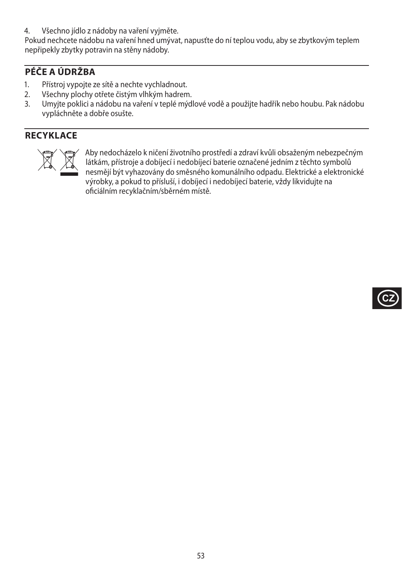4. Všechno jídlo z nádoby na vaření vyjměte.

Pokud nechcete nádobu na vaření hned umývat, napusťte do ní teplou vodu, aby se zbytkovým teplem nepřipekly zbytky potravin na stěny nádoby.

# **PÉČE A ÚDRŽBA**

- 1. Přístroj vypojte ze sítě a nechte vychladnout.
- 2. Všechny plochy otřete čistým vlhkým hadrem.<br>3. Umvite poklici a nádobu na vaření v teplé mýd
- 3. Umyjte poklici a nádobu na vaření v teplé mýdlové vodě a použijte hadřík nebo houbu. Pak nádobu vypláchněte a dobře osušte.

# **RECYKLACE**



MAby nedocházelo k ničení životního prostředí a zdraví kvůli obsaženým nebezpečným<br>látkám, přístroje a dobíjecí i nedobíjecí baterie označené jedním z těchto symbolů<br>nesmějí být vyhazovány do směsného komunálního odpadu. E látkám, přístroje a dobíjecí i nedobíjecí baterie označené jedním z těchto symbolů nesmějí být vyhazovány do směsného komunálního odpadu. Elektrické a elektronické výrobky, a pokud to přísluší, i dobíjecí i nedobíjecí baterie, vždy likvidujte na oficiálním recyklačním/sběrném místě.

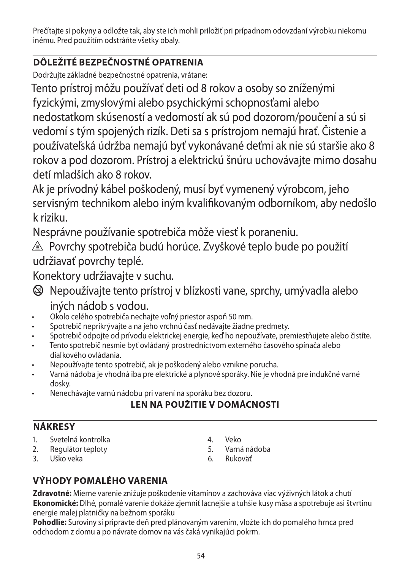Prečítajte si pokyny a odložte tak, aby ste ich mohli priložiť pri prípadnom odovzdaní výrobku niekomu inému. Pred použitím odstráňte všetky obaly.

# **DÔLEŽITÉ BEZPEČNOSTNÉ OPATRENIA**

Dodržujte základné bezpečnostné opatrenia, vrátane:

Tento prístroj môžu používať deti od 8 rokov a osoby so zníženými fyzickými, zmyslovými alebo psychickými schopnosťami alebo nedostatkom skúseností a vedomostí ak sú pod dozorom/poučení a sú si vedomí s tým spojených rizík. Deti sa s prístrojom nemajú hrať. Čistenie a používateľská údržba nemajú byť vykonávané deťmi ak nie sú staršie ako 8 rokov a pod dozorom. Prístroj a elektrickú šnúru uchovávajte mimo dosahu detí mladších ako 8 rokov.

Ak je prívodný kábel poškodený, musí byť vymenený výrobcom, jeho servisným technikom alebo iným kvalifikovaným odborníkom, aby nedošlo k riziku.

Nesprávne používanie spotrebiča môže viesť k poraneniu.

 $\triangle$  Povrchy spotrebiča budú horúce. Zvyškové teplo bude po použití udržiavať povrchy teplé.

Konektory udržiavajte v suchu.

- b Nepoužívajte tento prístroj v blízkosti vane, sprchy, umývadla alebo iných nádob s vodou.
- Okolo celého spotrebiča nechajte voľný priestor aspoň 50 mm.
- Spotrebič neprikrývajte a na jeho vrchnú časť nedávajte žiadne predmety.
- Spotrebič odpojte od prívodu elektrickej energie, keď ho nepoužívate, premiestňujete alebo čistíte.
- Tento spotrebič nesmie byť ovládaný prostredníctvom externého časového spínača alebo diaľkového ovládania.
- Nepoužívajte tento spotrebič, ak je poškodený alebo vznikne porucha.
- Varná nádoba je vhodná iba pre elektrické a plynové sporáky. Nie je vhodná pre indukčné varné dosky.
- Nenechávajte varnú nádobu pri varení na sporáku bez dozoru.

# **LEN NA POUŽITIE V DOMÁCNOSTI**

# **NÁKRESY**

- 1. Svetelná kontrolka
- 2. Regulátor teploty
- 3. Uško veka
- 4. Veko
- 5. Varná nádoba
- 6. Rukoväť

# **VÝHODY POMALÉHO VARENIA**

**Zdravotné:** Mierne varenie znižuje poškodenie vitamínov a zachováva viac výživných látok a chutí **Ekonomické:** Dlhé, pomalé varenie dokáže zjemniť lacnejšie a tuhšie kusy mäsa a spotrebuje asi štvrtinu energie malej platničky na bežnom sporáku

**Pohodlie:** Suroviny si pripravte deň pred plánovaným varením, vložte ich do pomalého hrnca pred odchodom z domu a po návrate domov na vás čaká vynikajúci pokrm.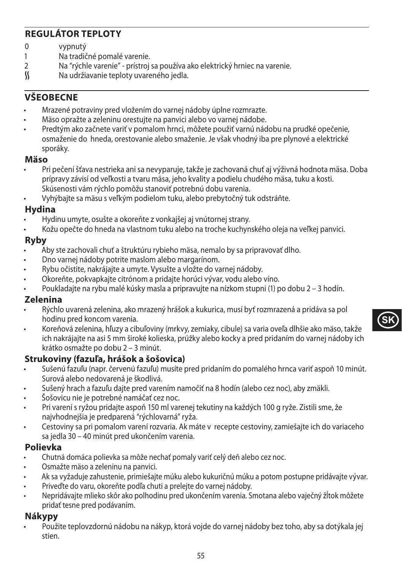# **REGULÁTOR TEPLOTY**

- 0 vypnutý<br>1 Na tradič
- 1 Na tradičné pomalé varenie.<br>2 Na "rýchle varenie" prístroi
- 2 Na "rýchle varenie" prístroj sa používa ako elektrický hrniec na varenie.<br>K Na udržiavanie teploty uvareného iedla.
- Na udržiavanie teploty uvareného jedla.

## **VŠEOBECNE**

- Mrazené potraviny pred vložením do varnej nádoby úplne rozmrazte.
- Mäso opražte a zeleninu orestujte na panvici alebo vo varnej nádobe.
- Predtým ako začnete variť v pomalom hrnci, môžete použiť varnú nádobu na prudké opečenie, osmaženie do hneda, orestovanie alebo smaženie. Je však vhodný iba pre plynové a elektrické sporáky.

#### **Mäso**

- Pri pečení šťava nestrieka ani sa nevyparuje, takže je zachovaná chuť aj výživná hodnota mäsa. Doba prípravy závisí od veľkosti a tvaru mäsa, jeho kvality a podielu chudého mäsa, tuku a kosti. Skúsenosti vám rýchlo pomôžu stanoviť potrebnú dobu varenia.
- Vyhýbajte sa mäsu s veľkým podielom tuku, alebo prebytočný tuk odstráňte.

### **Hydina**

- Hydinu umyte, osušte a okoreňte z vonkajšej aj vnútornej strany.
- Kožu opečte do hneda na vlastnom tuku alebo na troche kuchynského oleja na veľkej panvici.

### **Ryby**

- Aby ste zachovali chuť a štruktúru rybieho mäsa, nemalo by sa pripravovať dlho.
- Dno varnej nádoby potrite maslom alebo margarínom.
- Rybu očistite, nakrájajte a umyte. Vysušte a vložte do varnej nádoby.
- Okoreňte, pokvapkajte citrónom a pridajte horúci vývar, vodu alebo víno.
- Poukladajte na rybu malé kúsky masla a pripravujte na nízkom stupni (1) po dobu 2 3 hodín.

### **Zelenina**

- Rýchlo uvarená zelenina, ako mrazený hrášok a kukurica, musí byť rozmrazená a pridáva sa pol hodinu pred koncom varenia.
- Koreňová zelenina, hľuzy a cibuľoviny (mrkvy, zemiaky, cibule) sa varia oveľa dlhšie ako mäso, takže ich nakrájajte na asi 5 mm široké kolieska, prúžky alebo kocky a pred pridaním do varnej nádoby ich krátko osmažte po dobu 2 – 3 minút.

## **Strukoviny (fazuľa, hrášok a šošovica)**

- Sušenú fazuľu (napr. červenú fazuľu) musíte pred pridaním do pomalého hrnca variť aspoň 10 minút. Surová alebo nedovarená je škodlivá.
- Sušený hrach a fazuľu dajte pred varením namočiť na 8 hodín (alebo cez noc), aby zmäkli.
- Šošovicu nie je potrebné namáčať cez noc.
- Pri varení s ryžou pridajte aspoň 150 ml varenej tekutiny na každých 100 g ryže. Zistili sme, že najvhodnejšia je predparená "rýchlovarná" ryža.
- Cestoviny sa pri pomalom varení rozvaria. Ak máte v recepte cestoviny, zamiešajte ich do variaceho sa jedla 30 – 40 minút pred ukončením varenia.

### **Polievka**

- Chutná domáca polievka sa môže nechať pomaly variť celý deň alebo cez noc.
- Osmažte mäso a zeleninu na panvici.
- Ak sa vyžaduje zahustenie, primiešajte múku alebo kukuričnú múku a potom postupne pridávajte vývar.
- Priveďte do varu, okoreňte podľa chuti a prelejte do varnej nádoby.
- Nepridávajte mlieko skôr ako polhodinu pred ukončením varenia. Smotana alebo vaječný žĺtok môžete pridať tesne pred podávaním.

### **Nákypy**

• Použite teplovzdornú nádobu na nákyp, ktorá vojde do varnej nádoby bez toho, aby sa dotýkala jej stien.



55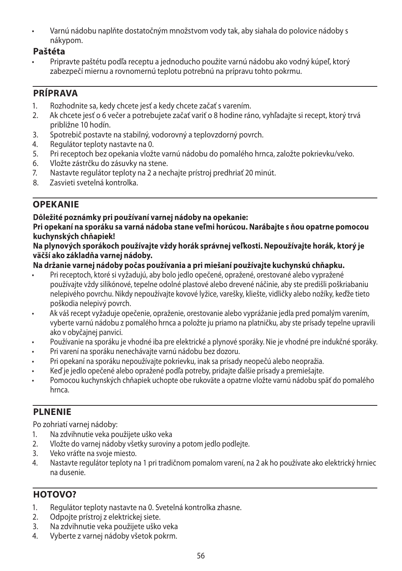• Varnú nádobu naplňte dostatočným množstvom vody tak, aby siahala do polovice nádoby s nákypom.

## **Paštéta**

• Pripravte paštétu podľa receptu a jednoducho použite varnú nádobu ako vodný kúpeľ, ktorý zabezpečí miernu a rovnomernú teplotu potrebnú na prípravu tohto pokrmu.

# **PRÍPRAVA**

- 1. Rozhodnite sa, kedy chcete jesť a kedy chcete začať s varením.<br>2. Ak chcete jesť o 6 večer a potrebujete začať variť o 8 hodine rár
- 2. Ak chcete jesť o 6 večer a potrebujete začať variť o 8 hodine ráno, vyhľadajte si recept, ktorý trvá približne 10 hodín.
- 3. Spotrebič postavte na stabilný, vodorovný a teplovzdorný povrch.<br>4. Regulátor teploty nastavte na 0.
- 4. Regulátor teploty nastavte na 0.
- 5. Pri receptoch bez opekania vložte varnú nádobu do pomalého hrnca, založte pokrievku/veko.
- 6. Vložte zástrčku do zásuvky na stene.<br>7. Nastavte regulátor teploty na 2 a nec
- Nastavte regulátor teploty na 2 a nechajte prístroj predhriať 20 minút.
- 8. Zasvieti svetelná kontrolka.

# **OPEKANIE**

### **Dôležité poznámky pri používaní varnej nádoby na opekanie:**

**Pri opekaní na sporáku sa varná nádoba stane veľmi horúcou. Narábajte s ňou opatrne pomocou kuchynských chňapiek!**

#### **Na plynových sporákoch používajte vždy horák správnej veľkosti. Nepoužívajte horák, ktorý je väčší ako základňa varnej nádoby.**

### **Na držanie varnej nádoby počas používania a pri miešaní používajte kuchynskú chňapku.**

- Pri receptoch, ktoré si vyžadujú, aby bolo jedlo opečené, opražené, orestované alebo vypražené používajte vždy silikónové, tepelne odolné plastové alebo drevené náčinie, aby ste predišli poškriabaniu nelepivého povrchu. Nikdy nepoužívajte kovové lyžice, varešky, kliešte, vidličky alebo nožíky, keďže tieto poškodia nelepivý povrch.
- Ak váš recept vyžaduje opečenie, opraženie, orestovanie alebo vyprážanie jedla pred pomalým varením, vyberte varnú nádobu z pomalého hrnca a položte ju priamo na platničku, aby ste prísady tepelne upravili ako v obyčajnej panvici.
- Používanie na sporáku je vhodné iba pre elektrické a plynové sporáky. Nie je vhodné pre indukčné sporáky.
- Pri varení na sporáku nenechávajte varnú nádobu bez dozoru.
- Pri opekaní na sporáku nepoužívajte pokrievku, inak sa prísady neopečú alebo neopražia.
- Keď je jedlo opečené alebo opražené podľa potreby, pridajte ďalšie prísady a premiešajte.
- Pomocou kuchynských chňapiek uchopte obe rukoväte a opatrne vložte varnú nádobu späť do pomalého hrnca.

# **PLNENIE**

Po zohriatí varnej nádoby:

- 1. Na zdvihnutie veka použijete uško veka
- 2. Vložte do varnej nádoby všetky suroviny a potom jedlo podlejte.
- 3. Veko vráťte na svoje miesto.
- 4. Nastavte regulátor teploty na 1 pri tradičnom pomalom varení, na 2 ak ho používate ako elektrický hrniec na dusenie.

# **HOTOVO?**

- 1. Regulátor teploty nastavte na 0. Svetelná kontrolka zhasne.
- 2. Odpojte prístroj z elektrickej siete.
- 3. Na zdvihnutie veka použijete uško veka
- 4. Vyberte z varnej nádoby všetok pokrm.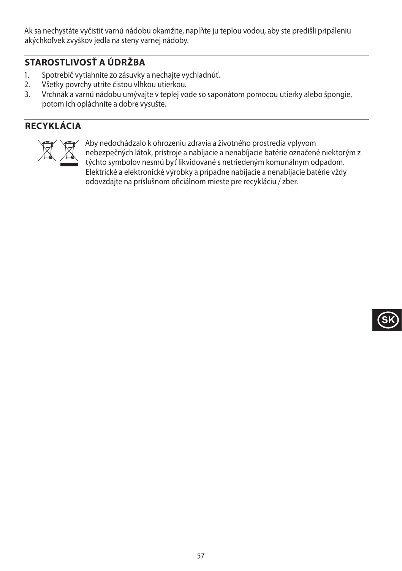Ak sa nechystáte vyčistiť varnú nádobu okamžite, naplňte ju teplou vodou, aby ste predišli pripáleniu akýchkoľvek zvyškov jedla na steny varnej nádoby.

# **STAROSTLIVOSŤ A ÚDRŽBA**

- 1. Spotrebič vytiahnite zo zásuvky a nechajte vychladnúť.
- 2. Všetky povrchy utrite čistou vlhkou utierkou.
- 3. Vrchnák a varnú nádobu umývajte v teplej vode so saponátom pomocou utierky alebo špongie, potom ich opláchnite a dobre vysušte.

# **RECYKLÁCIA**



Aby nedochádzalo k ohrozeniu zdravia a životného prostredia vplyvom<br>nebezpečných látok, prístroje a nabíjacie a nenabíjacie batérie označení<br>týchto symbolov nesmú byť likvidované s netriedeným komunálnym od<br>Elektrické a el nebezpečných látok, prístroje a nabíjacie a nenabíjacie batérie označené niektorým z týchto symbolov nesmú byť likvidované s netriedeným komunálnym odpadom. Elektrické a elektronické výrobky a prípadne nabíjacie a nenabíjacie batérie vždy odovzdajte na príslušnom oficiálnom mieste pre recykláciu / zber.

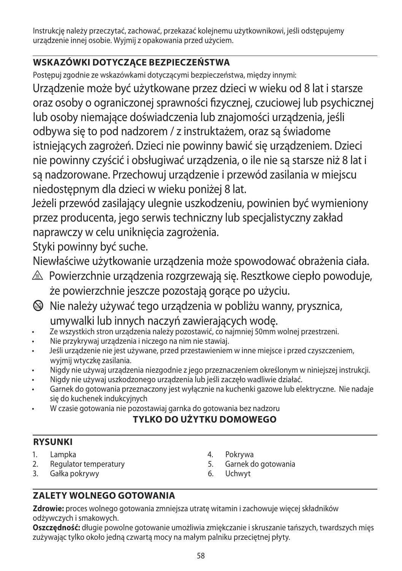Instrukcję należy przeczytać, zachować, przekazać kolejnemu użytkownikowi, jeśli odstępujemy urządzenie innej osobie. Wyjmij z opakowania przed użyciem.

# **WSKAZÓWKI DOTYCZĄCE BEZPIECZEŃSTWA**

Postępuj zgodnie ze wskazówkami dotyczącymi bezpieczeństwa, między innymi:

Urządzenie może być użytkowane przez dzieci w wieku od 8 lat i starsze oraz osoby o ograniczonej sprawności fizycznej, czuciowej lub psychicznej lub osoby niemające doświadczenia lub znajomości urządzenia, jeśli odbywa się to pod nadzorem / z instruktażem, oraz są świadome istniejących zagrożeń. Dzieci nie powinny bawić się urządzeniem. Dzieci nie powinny czyścić i obsługiwać urządzenia, o ile nie są starsze niż 8 lat i są nadzorowane. Przechowuj urządzenie i przewód zasilania w miejscu niedostępnym dla dzieci w wieku poniżej 8 lat.

Jeżeli przewód zasilający ulegnie uszkodzeniu, powinien być wymieniony przez producenta, jego serwis techniczny lub specjalistyczny zakład naprawczy w celu uniknięcia zagrożenia.

Styki powinny być suche.

Niewłaściwe użytkowanie urządzenia może spowodować obrażenia ciała.

- $\triangle$  Powierzchnie urządzenia rozgrzewają się. Resztkowe ciepło powoduje, że powierzchnie jeszcze pozostają gorące po użyciu.
- $\bigcirc$  Nie należy używać tego urządzenia w pobliżu wanny, prysznica, umywalki lub innych naczyń zawierających wodę.
- Ze wszystkich stron urządzenia należy pozostawić, co najmniej 50mm wolnej przestrzeni.
- Nie przykrywaj urządzenia i niczego na nim nie stawiaj.
- Jeśli urządzenie nie jest używane, przed przestawieniem w inne miejsce i przed czyszczeniem, wyjmij wtyczkę zasilania.
- Nigdy nie używaj urządzenia niezgodnie z jego przeznaczeniem określonym w niniejszej instrukcji.
- Nigdy nie używaj uszkodzonego urządzenia lub jeśli zaczęło wadliwie działać.
- Garnek do gotowania przeznaczony jest wyłącznie na kuchenki gazowe lub elektryczne. Nie nadaje się do kuchenek indukcyjnych
- W czasie gotowania nie pozostawiaj garnka do gotowania bez nadzoru

# **TYLKO DO UŻYTKU DOMOWEGO**

# **RYSUNKI**

- 1. Lampka
- 2. Regulator temperatury
- 3. Gałka pokrywy
- 4. Pokrywa
- 5. Garnek do gotowania
- 6. Uchwyt

# **ZALETY WOLNEGO GOTOWANIA**

**Zdrowie:** proces wolnego gotowania zmniejsza utratę witamin i zachowuje więcej składników odżywczych i smakowych.

**Oszczędność:** długie powolne gotowanie umożliwia zmiękczanie i skruszanie tańszych, twardszych mięs zużywając tylko około jedną czwartą mocy na małym palniku przeciętnej płyty.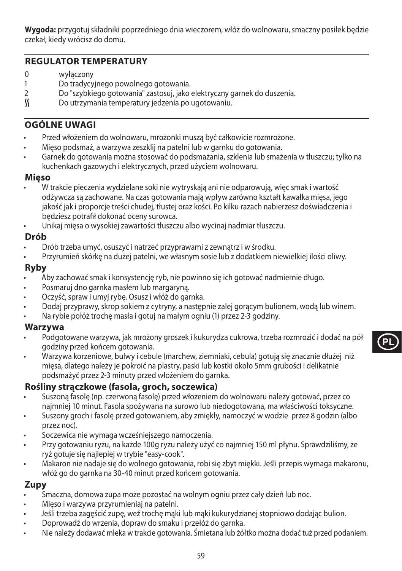**Wygoda:** przygotuj składniki poprzedniego dnia wieczorem, włóż do wolnowaru, smaczny posiłek będzie czekał, kiedy wrócisz do domu.

## **REGULATOR TEMPERATURY**

- 0 wyłączony<br>1 Do tradycyj
- Do tradycyjnego powolnego gotowania.
- 2 Do "szybkiego gotowania" zastosuj, jako elektryczny garnek do duszenia.<br>
So utrzymania temperatury jedzenia po ugotowaniu.
- O Do utrzymania temperatury jedzenia po ugotowaniu.

## **OGÓLNE UWAGI**

- Przed włożeniem do wolnowaru, mrożonki muszą być całkowicie rozmrożone.
- Mięso podsmaż, a warzywa zeszklij na patelni lub w garnku do gotowania.
- Garnek do gotowania można stosować do podsmażania, szklenia lub smażenia w tłuszczu; tylko na kuchenkach gazowych i elektrycznych, przed użyciem wolnowaru.

#### **Mięso**

- W trakcie pieczenia wydzielane soki nie wytryskają ani nie odparowują, więc smak i wartość odżywcza są zachowane. Na czas gotowania mają wpływ zarówno kształt kawałka mięsa, jego jakość jak i proporcje treści chudej, tłustej oraz kości. Po kilku razach nabierzesz doświadczenia i będziesz potrafił dokonać oceny surowca.
- Unikaj mięsa o wysokiej zawartości tłuszczu albo wycinaj nadmiar tłuszczu.

### **Drób**

- Drób trzeba umyć, osuszyć i natrzeć przyprawami z zewnątrz i w środku.
- Przyrumień skórkę na dużej patelni, we własnym sosie lub z dodatkiem niewielkiej ilości oliwy.

### **Ryby**

- Aby zachować smak i konsystencję ryb, nie powinno się ich gotować nadmiernie długo.
- Posmaruj dno garnka masłem lub margaryną.
- Oczyść, spraw i umyj rybę. Osusz i włóż do garnka.
- Dodaj przyprawy, skrop sokiem z cytryny, a następnie zalej gorącym bulionem, wodą lub winem.
- Na rybie połóż trochę masła i gotuj na małym ogniu (1) przez 2-3 godziny.

### **Warzywa**

- Podgotowane warzywa, jak mrożony groszek i kukurydza cukrowa, trzeba rozmrozić i dodać na pół godziny przed końcem gotowania.
- Warzywa korzeniowe, bulwy i cebule (marchew, ziemniaki, cebula) gotują się znacznie dłużej niż mięsa, dlatego należy je pokroić na plastry, paski lub kostki około 5mm grubości i delikatnie podsmażyć przez 2-3 minuty przed włożeniem do garnka.



- Suszoną fasolę (np. czerwoną fasolę) przed włożeniem do wolnowaru należy gotować, przez co najmniej 10 minut. Fasola spożywana na surowo lub niedogotowana, ma właściwości toksyczne.
- Suszony groch i fasolę przed gotowaniem, aby zmiękły, namoczyć w wodzie przez 8 godzin (albo przez noc).
- Soczewica nie wymaga wcześniejszego namoczenia.
- Przy gotowaniu ryżu, na każde 100g ryżu należy użyć co najmniej 150 ml płynu. Sprawdziliśmy, że ryż gotuje się najlepiej w trybie "easy-cook".
- Makaron nie nadaje się do wolnego gotowania, robi się zbyt miękki. Jeśli przepis wymaga makaronu, włóż go do garnka na 30-40 minut przed końcem gotowania.

## **Zupy**

- Smaczna, domowa zupa może pozostać na wolnym ogniu przez cały dzień lub noc.
- Mięso i warzywa przyrumieniaj na patelni.
- Jeśli trzeba zagęścić zupę, weź trochę mąki lub mąki kukurydzianej stopniowo dodając bulion.
- Doprowadź do wrzenia, dopraw do smaku i przełóż do garnka.
- Nie należy dodawać mleka w trakcie gotowania. Śmietana lub żółtko można dodać tuż przed podaniem.

59



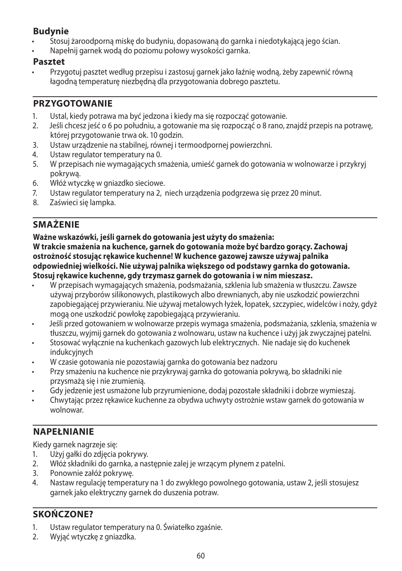# **Budynie**

- Stosuj żaroodporną miskę do budyniu, dopasowaną do garnka i niedotykającą jego ścian.
- Napełnij garnek wodą do poziomu połowy wysokości garnka.

### **Pasztet**

• Przygotuj pasztet według przepisu i zastosuj garnek jako łaźnię wodną, żeby zapewnić równą łagodną temperaturę niezbędną dla przygotowania dobrego pasztetu.

## **PRZYGOTOWANIE**

- 1. Ustal, kiedy potrawa ma być jedzona i kiedy ma się rozpocząć gotowanie.
- 2. Jeśli chcesz jeść o 6 po południu, a gotowanie ma się rozpocząć o 8 rano, znajdź przepis na potrawę, której przygotowanie trwa ok. 10 godzin.
- 3. Ustaw urządzenie na stabilnej, równej i termoodpornej powierzchni.
- 4. Ustaw regulator temperatury na 0.
- 5. W przepisach nie wymagających smażenia, umieść garnek do gotowania w wolnowarze i przykryj pokrywą.
- 6. Włóż wtyczkę w gniazdko sieciowe.
- 7. Ustaw regulator temperatury na 2, niech urządzenia podgrzewa się przez 20 minut.
- Zaświeci się lampka.

# **SMAŻENIE**

**Ważne wskazówki, jeśli garnek do gotowania jest użyty do smażenia: W trakcie smażenia na kuchence, garnek do gotowania może być bardzo gorący. Zachowaj ostrożność stosując rękawice kuchenne! W kuchence gazowej zawsze używaj palnika odpowiedniej wielkości. Nie używaj palnika większego od podstawy garnka do gotowania. Stosuj rękawice kuchenne, gdy trzymasz garnek do gotowania i w nim mieszasz.**

- W przepisach wymagających smażenia, podsmażania, szklenia lub smażenia w tłuszczu. Zawsze używaj przyborów silikonowych, plastikowych albo drewnianych, aby nie uszkodzić powierzchni zapobiegającej przywieraniu. Nie używaj metalowych łyżek, łopatek, szczypiec, widelców i noży, gdyż mogą one uszkodzić powłokę zapobiegającą przywieraniu.
- Jeśli przed gotowaniem w wolnowarze przepis wymaga smażenia, podsmażania, szklenia, smażenia w tłuszczu, wyjmij garnek do gotowania z wolnowaru, ustaw na kuchence i użyj jak zwyczajnej patelni.
- Stosować wyłącznie na kuchenkach gazowych lub elektrycznych. Nie nadaje się do kuchenek indukcyjnych
- W czasie gotowania nie pozostawiaj garnka do gotowania bez nadzoru
- Przy smażeniu na kuchence nie przykrywaj garnka do gotowania pokrywą, bo składniki nie przysmażą się i nie zrumienią.
- Gdy jedzenie jest usmażone lub przyrumienione, dodaj pozostałe składniki i dobrze wymieszaj.
- Chwytając przez rękawice kuchenne za obydwa uchwyty ostrożnie wstaw garnek do gotowania w wolnowar.

# **NAPEŁNIANIE**

Kiedy garnek nagrzeje się:

- 1. Użyj gałki do zdjęcia pokrywy.
- 2. Włóż składniki do garnka, a następnie zalej je wrzącym płynem z patelni.
- 3. Ponownie załóż pokrywę.
- 4. Nastaw regulację temperatury na 1 do zwykłego powolnego gotowania, ustaw 2, jeśli stosujesz garnek jako elektryczny garnek do duszenia potraw.

# **SKOŃCZONE?**

- 1. Ustaw regulator temperatury na 0. Światełko zgaśnie.
- 2. Wyjąć wtyczkę z gniazdka.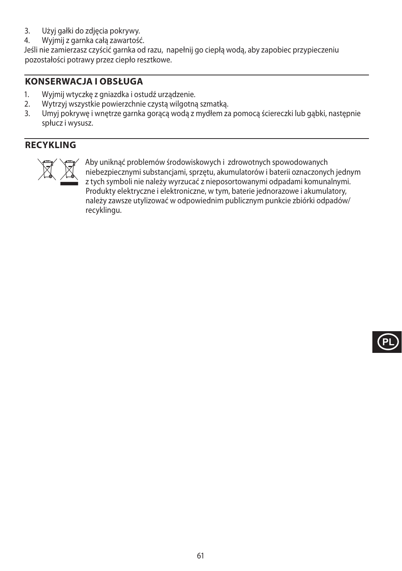- 3. Użyj gałki do zdjęcia pokrywy.
- 4. Wyjmij z garnka całą zawartość.

Jeśli nie zamierzasz czyścić garnka od razu, napełnij go ciepłą wodą, aby zapobiec przypieczeniu pozostałości potrawy przez ciepło resztkowe.

# **KONSERWACJA I OBSŁUGA**

- 1. Wyjmij wtyczkę z gniazdka i ostudź urządzenie.<br>2. Wytrzyj wszystkie powierzchnie czysta wilgotna
- 2. Wytrzyj wszystkie powierzchnie czystą wilgotną szmatką.
- 3. Umyj pokrywę i wnętrze garnka gorącą wodą z mydłem za pomocą ściereczki lub gąbki, następnie spłucz i wysusz.

# **RECYKLING**



MAby uniknąć problemów środowiskowych i zdrowotnych spowodowanych<br>niebezpiecznymi substancjami, sprzętu, akumulatorów i baterii oznaczonyc<br>z tych symboli nie należy wyrzucać z nieposortowanymi odpadami komuna<br>Produkty elek niebezpiecznymi substancjami, sprzętu, akumulatorów i baterii oznaczonych jednym z tych symboli nie należy wyrzucać z nieposortowanymi odpadami komunalnymi. Produkty elektryczne i elektroniczne, w tym, baterie jednorazowe i akumulatory, należy zawsze utylizować w odpowiednim publicznym punkcie zbiórki odpadów/ recyklingu.

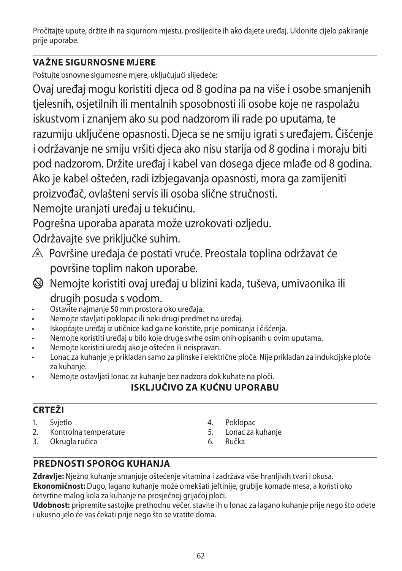Pročitajte upute, držite ih na sigurnom mjestu, proslijedite ih ako dajete uređaj. Uklonite cijelo pakiranje prije uporabe.

# **VAŽNE SIGURNOSNE MJERE**

Poštujte osnovne sigurnosne mjere, uključujući slijedeće:

Ovaj uređaj mogu koristiti djeca od 8 godina pa na više i osobe smanjenih tjelesnih, osjetilnih ili mentalnih sposobnosti ili osobe koje ne raspolažu iskustvom i znanjem ako su pod nadzorom ili rade po uputama, te razumiju uključene opasnosti. Djeca se ne smiju igrati s uređajem. Čišćenje i održavanje ne smiju vršiti djeca ako nisu starija od 8 godina i moraju biti pod nadzorom. Držite uređaj i kabel van dosega djece mlađe od 8 godina. Ako je kabel oštećen, radi izbjegavanja opasnosti, mora ga zamijeniti proizvođač, ovlašteni servis ili osoba slične stručnosti.

Nemojte uranjati uređaj u tekućinu.

Pogrešna uporaba aparata može uzrokovati ozljedu.

Održavajte sve priključke suhim.

- $\triangle$  Površine uređaja će postati vruće. Preostala toplina održavat će površine toplim nakon uporabe.
- b Nemojte koristiti ovaj uređaj u blizini kada, tuševa, umivaonika ili drugih posuda s vodom.
- Ostavite najmanje 50 mm prostora oko uređaja.
- Nemojte stavljati poklopac ili neki drugi predmet na uređaj.
- Iskopčajte uređaj iz utičnice kad ga ne koristite, prije pomicanja i čišćenja.
- Nemojte koristiti uređaj u bilo koje druge svrhe osim onih opisanih u ovim uputama.
- Nemojte koristiti uređaj ako je oštećen ili neispravan.
- Lonac za kuhanje je prikladan samo za plinske i električne ploče. Nije prikladan za indukcijske ploče za kuhanie.
- Nemojte ostavljati lonac za kuhanje bez nadzora dok kuhate na ploči.

# **ISKLJUČIVO ZA KUĆNU UPORABU**

# **CRTEŽI**

- 1. Svjetlo
- 2. Kontrolna temperature
- 3. Okrugla ručica
- 4. Poklopac
- 5. Lonac za kuhanje
- 6. Ručka

# **PREDNOSTI SPOROG KUHANJA**

**Zdravlje:** Nježno kuhanje smanjuje oštećenje vitamina i zadržava više hranljivih tvari i okusa.

**Ekonomičnost:** Dugo, lagano kuhanje može omekšati jeftinije, grublje komade mesa, a koristi oko četvrtine malog kola za kuhanje na prosječnoj grijaćoj ploči.

**Udobnost:** pripremite sastojke prethodnu večer, stavite ih u lonac za lagano kuhanje prije nego što odete i ukusno jelo će vas čekati prije nego što se vratite doma.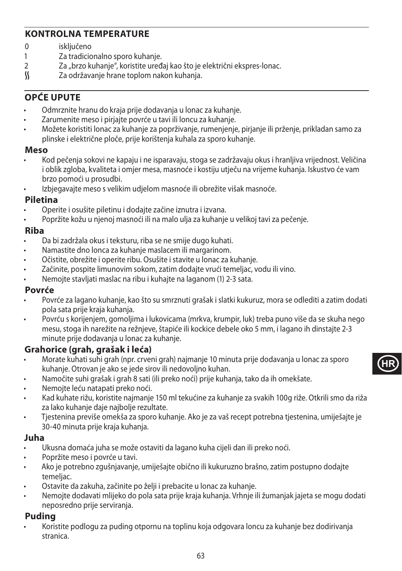# **KONTROLNA TEMPERATURE**

- 0 isključeno<br>1 Za tradicio
- 1 Za tradicionalno sporo kuhanje.<br>2  $\frac{7}{2}$  brzo kuhanje" koristite uređ
- 2 Za "brzo kuhanje", koristite uređaj kao što je električni ekspres-lonac.<br>
S Za održavanje hrane toplom nakon kuhanja.
- Za održavanje hrane toplom nakon kuhanja.

# **OPĆE UPUTE**

- Odmrznite hranu do kraja prije dodavanja u lonac za kuhanje.
- Zarumenite meso i pirjajte povrće u tavi ili loncu za kuhanje.
- Možete koristiti lonac za kuhanje za poprživanje, rumenjenje, pirjanje ili prženje, prikladan samo za plinske i električne ploče, prije korištenja kuhala za sporo kuhanje.

### **Meso**

- Kod pečenja sokovi ne kapaju i ne isparavaju, stoga se zadržavaju okus i hranljiva vrijednost. Veličina i oblik zgloba, kvaliteta i omjer mesa, masnoće i kostiju utječu na vrijeme kuhanja. Iskustvo će vam brzo pomoći u prosudbi.
	- Izbjegavajte meso s velikim udjelom masnoće ili obrežite višak masnoće.

## **Piletina**

- Operite i osušite piletinu i dodajte začine iznutra i izvana.
- Popržite kožu u njenoj masnoći ili na malo ulja za kuhanje u velikoj tavi za pečenje.

## **Riba**

- Da bi zadržala okus i teksturu, riba se ne smije dugo kuhati.
- Namastite dno lonca za kuhanje maslacem ili margarinom.
- Očistite, obrežite i operite ribu. Osušite i stavite u lonac za kuhanje.
- Začinite, pospite limunovim sokom, zatim dodajte vrući temeljac, vodu ili vino.
- Nemojte stavljati maslac na ribu i kuhajte na laganom (1) 2-3 sata.

## **Povrće**

- Povrće za lagano kuhanje, kao što su smrznuti grašak i slatki kukuruz, mora se odlediti a zatim dodati pola sata prije kraja kuhanja.
- Povrću s korijenjem, gomoljima i lukovicama (mrkva, krumpir, luk) treba puno više da se skuha nego mesu, stoga ih narežite na režnjeve, štapiće ili kockice debele oko 5 mm, i lagano ih dinstajte 2-3 minute prije dodavanja u lonac za kuhanje.

# **Grahorice (grah, grašak i leća)**

- Morate kuhati suhi grah (npr. crveni grah) najmanje 10 minuta prije dodavanja u lonac za sporo kuhanje. Otrovan je ako se jede sirov ili nedovoljno kuhan.
- Namočite suhi grašak i grah 8 sati (ili preko noći) prije kuhanja, tako da ih omekšate.
- Nemojte leću natapati preko noći.
- Kad kuhate rižu, koristite najmanje 150 ml tekućine za kuhanje za svakih 100g riže. Otkrili smo da riža za lako kuhanje daje najbolje rezultate.
- Tjestenina previše omekša za sporo kuhanje. Ako je za vaš recept potrebna tjestenina, umiješajte je 30-40 minuta prije kraja kuhanja.

## **Juha**

- Ukusna domaća juha se može ostaviti da lagano kuha cijeli dan ili preko noći.
- Popržite meso i povrće u tavi.
- Ako je potrebno zgušnjavanje, umiješajte obično ili kukuruzno brašno, zatim postupno dodajte temeliac.
- Ostavite da zakuha, začinite po želji i prebacite u lonac za kuhanje.
- Nemojte dodavati mlijeko do pola sata prije kraja kuhanja. Vrhnje ili žumanjak jajeta se mogu dodati neposredno prije serviranja.

## **Puding**

• Koristite podlogu za puding otpornu na toplinu koja odgovara loncu za kuhanje bez dodirivanja stranica.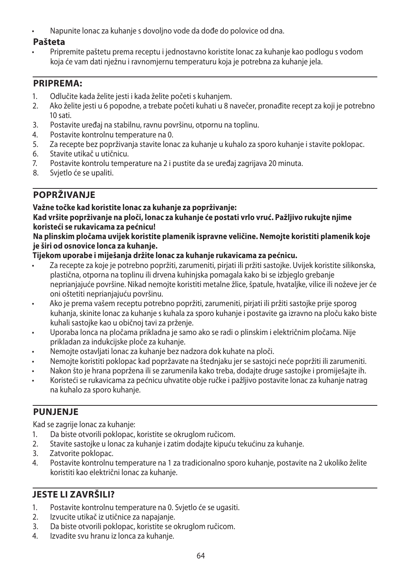• Napunite lonac za kuhanje s dovoljno vode da dođe do polovice od dna.

## **Pašteta**

• Pripremite paštetu prema receptu i jednostavno koristite lonac za kuhanje kao podlogu s vodom koja će vam dati nježnu i ravnomjernu temperaturu koja je potrebna za kuhanje jela.

# **PRIPREMA:**

- 1. Odlučite kada želite jesti i kada želite početi s kuhanjem.
- 2. Ako želite jesti u 6 popodne, a trebate početi kuhati u 8 navečer, pronađite recept za koji je potrebno 10 sati.
- 3. Postavite uređaj na stabilnu, ravnu površinu, otpornu na toplinu.
- 4. Postavite kontrolnu temperature na 0.<br>5. Za recepte bez poprživanja stavite lona
- 5. Za recepte bez poprživanja stavite lonac za kuhanje u kuhalo za sporo kuhanje i stavite poklopac.
- 6. Stavite utikač u utičnicu.
- 7. Postavite kontrolu temperature na 2 i pustite da se uređaj zagrijava 20 minuta.
- 8. Svjetlo će se upaliti.

# **POPRŽIVANJE**

## **Važne točke kad koristite lonac za kuhanje za poprživanje:**

#### **Kad vršite poprživanje na ploči, lonac za kuhanje će postati vrlo vruć. Pažljivo rukujte njime koristeći se rukavicama za pećnicu!**

### **Na plinskim pločama uvijek koristite plamenik ispravne veličine. Nemojte koristiti plamenik koje je širi od osnovice lonca za kuhanje.**

## **Tijekom uporabe i miješanja držite lonac za kuhanje rukavicama za pećnicu.**

- Za recepte za koje je potrebno popržiti, zarumeniti, pirjati ili pržiti sastojke. Uvijek koristite silikonska, plastična, otporna na toplinu ili drvena kuhinjska pomagala kako bi se izbjeglo grebanje neprianjajuće površine. Nikad nemojte koristiti metalne žlice, špatule, hvataljke, vilice ili noževe jer će oni oštetiti neprianjajuću površinu.
- Ako je prema vašem receptu potrebno popržiti, zarumeniti, pirjati ili pržiti sastojke prije sporog kuhanja, skinite lonac za kuhanje s kuhala za sporo kuhanje i postavite ga izravno na ploču kako biste kuhali sastojke kao u običnoj tavi za prženje.
- Uporaba lonca na pločama prikladna je samo ako se radi o plinskim i električnim pločama. Nije prikladan za indukcijske ploče za kuhanje.
- Nemojte ostavljati lonac za kuhanje bez nadzora dok kuhate na ploči.
- Nemojte koristiti poklopac kad popržavate na štednjaku jer se sastojci neće popržiti ili zarumeniti.
- Nakon što je hrana popržena ili se zarumenila kako treba, dodajte druge sastojke i promiješajte ih.
- Koristeći se rukavicama za pećnicu uhvatite obje ručke i pažljivo postavite lonac za kuhanje natrag na kuhalo za sporo kuhanje.

# **PUNJENJE**

Kad se zagrije lonac za kuhanje:

- 1. Da biste otvorili poklopac, koristite se okruglom ručicom.
- 2. Stavite sastojke u lonac za kuhanje i zatim dodajte kipuću tekućinu za kuhanje.
- 3. Zatvorite poklopac.
- 4. Postavite kontrolnu temperature na 1 za tradicionalno sporo kuhanje, postavite na 2 ukoliko želite koristiti kao električni lonac za kuhanje.

# **JESTE LI ZAVRŠILI?**

- 1. Postavite kontrolnu temperature na 0. Svjetlo će se ugasiti.
- 2. Izvucite utikač iz utičnice za napajanje.
- 3. Da biste otvorili poklopac, koristite se okruglom ručicom.
- 4. Izvadite svu hranu iz lonca za kuhanje.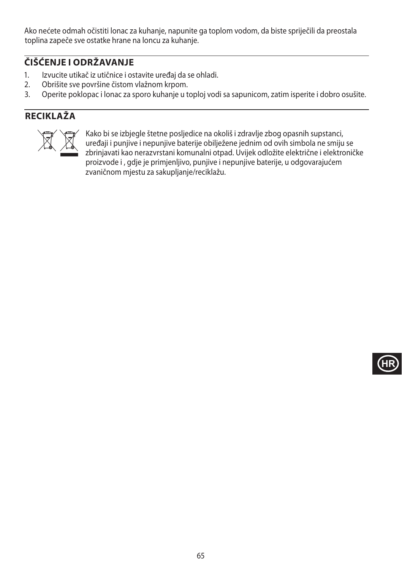Ako nećete odmah očistiti lonac za kuhanje, napunite ga toplom vodom, da biste spriječili da preostala toplina zapeče sve ostatke hrane na loncu za kuhanje.

# **ČIŠĆENJE I ODRŽAVANJE**

- 1. Izvucite utikač iz utičnice i ostavite uređaj da se ohladi.
- 2. Obrišite sve površine čistom vlažnom krpom.<br>3. Operite poklopac i lonac za sporo kuhanie u t
- 3. Operite poklopac i lonac za sporo kuhanje u toploj vodi sa sapunicom, zatim isperite i dobro osušite.

# **RECIKLAŽA**



Xako bi se izbjegle štetne posljedice na okoliš i zdravlje zbog opasnih supstanci,<br>uređaji i punjive i nepunjive baterije obilježene jednim od ovih simbola ne smiju<br>zbrinjavati kao nerazvrstani komunalni otpad. Uvijek odlo uređaji i punjive i nepunjive baterije obilježene jednim od ovih simbola ne smiju se zbrinjavati kao nerazvrstani komunalni otpad. Uvijek odložite električne i elektroničke proizvode i , gdje je primjenljivo, punjive i nepunjive baterije, u odgovarajućem zvaničnom mjestu za sakupljanje/reciklažu.

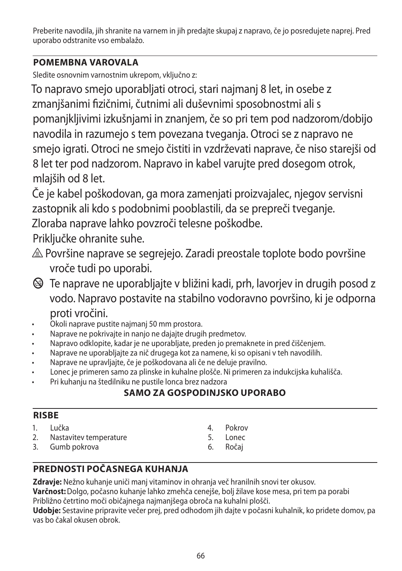Preberite navodila, jih shranite na varnem in jih predajte skupaj z napravo, če jo posredujete naprej. Pred uporabo odstranite vso embalažo.

# **POMEMBNA VAROVALA**

Sledite osnovnim varnostnim ukrepom, vključno z:

To napravo smejo uporabljati otroci, stari najmanj 8 let, in osebe z zmanjšanimi fizičnimi, čutnimi ali duševnimi sposobnostmi ali s pomanjkljivimi izkušnjami in znanjem, če so pri tem pod nadzorom/dobijo navodila in razumejo s tem povezana tveganja. Otroci se z napravo ne smejo igrati. Otroci ne smejo čistiti in vzdrževati naprave, če niso starejši od 8 let ter pod nadzorom. Napravo in kabel varujte pred dosegom otrok, mlajših od 8 let.

Če je kabel poškodovan, ga mora zamenjati proizvajalec, njegov servisni zastopnik ali kdo s podobnimi pooblastili, da se prepreči tveganje. Zloraba naprave lahko povzroči telesne poškodbe.

Priključke ohranite suhe.

- $\triangle$  Površine naprave se segrejejo. Zaradi preostale toplote bodo površine vroče tudi po uporabi.
- b Te naprave ne uporabljajte v bližini kadi, prh, lavorjev in drugih posod z vodo. Napravo postavite na stabilno vodoravno površino, ki je odporna proti vročini.
- Okoli naprave pustite najmanj 50 mm prostora.
- Naprave ne pokrivajte in nanjo ne dajajte drugih predmetov.
- Napravo odklopite, kadar je ne uporabljate, preden jo premaknete in pred čiščenjem.
- Naprave ne uporabljajte za nič drugega kot za namene, ki so opisani v teh navodilih.
- Naprave ne upravljajte, če je poškodovana ali če ne deluje pravilno.
- Lonec je primeren samo za plinske in kuhalne plošče. Ni primeren za indukcijska kuhališča.
- Pri kuhanju na štedilniku ne pustile lonca brez nadzora

# **SAMO ZA GOSPODINJSKO UPORABO**

## **RISBE**

| Lučka |
|-------|
|       |

- 2. Nastavitev temperature
- 3. Gumb pokrova
- 4. Pokrov
- 5. Lonec
- 6. Ročaj

# **PREDNOSTI POČASNEGA KUHANJA**

**Zdravje:** Nežno kuhanje uniči manj vitaminov in ohranja več hranilnih snovi ter okusov. **Varčnost:**Dolgo, počasno kuhanje lahko zmehča cenejše, bolj žilave kose mesa, pri tem pa porabi Približno četrtino moči običajnega najmanjšega obroča na kuhalni plošči.

**Udobje:** Sestavine pripravite večer prej, pred odhodom jih dajte v počasni kuhalnik, ko pridete domov, pa vas bo čakal okusen obrok.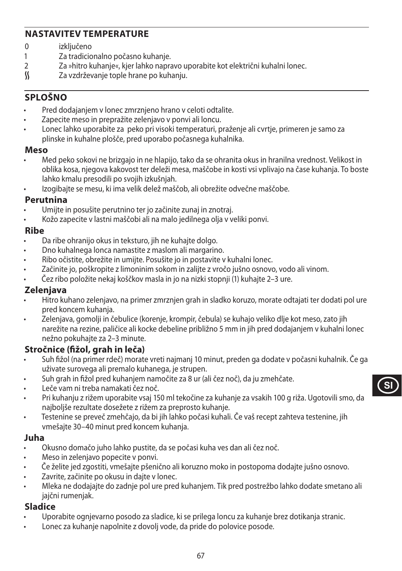## **NASTAVITEV TEMPERATURE**

- 0 izključeno<br>1 Za tradicio
- 1 Za tradicionalno počasno kuhanje.<br>2 za shitro kuhanje« kjer lahko napra
- 2 Za »hitro kuhanje«, kjer lahko napravo uporabite kot električni kuhalni lonec.<br>K Za vzdrževanie tople hrane po kuhaniu.
- Za vzdrževanje tople hrane po kuhanju.

# **SPLOŠNO**

- Pred dodajanjem v lonec zmrznjeno hrano v celoti odtalite.
- Zapecite meso in prepražite zelenjavo v ponvi ali loncu.
- Lonec lahko uporabite za peko pri visoki temperaturi, praženje ali cvrtje, primeren je samo za plinske in kuhalne plošče, pred uporabo počasnega kuhalnika.

#### **Meso**

- Med peko sokovi ne brizgajo in ne hlapijo, tako da se ohranita okus in hranilna vrednost. Velikost in oblika kosa, njegova kakovost ter deleži mesa, maščobe in kosti vsi vplivajo na čase kuhanja. To boste lahko kmalu presodili po svojih izkušnjah.
- Izogibajte se mesu, ki ima velik delež maščob, ali obrežite odvečne maščobe.

### **Perutnina**

- Umijte in posušite perutnino ter jo začinite zunaj in znotraj.
- Kožo zapecite v lastni maščobi ali na malo jedilnega olja v veliki ponvi.

### **Ribe**

- Da ribe ohranijo okus in teksturo, jih ne kuhajte dolgo.
- Dno kuhalnega lonca namastite z maslom ali margarino.
- Ribo očistite, obrežite in umijte. Posušite jo in postavite v kuhalni lonec.
- Začinite jo, poškropite z limoninim sokom in zalijte z vročo jušno osnovo, vodo ali vinom.
- Čez ribo položite nekaj koščkov masla in jo na nizki stopnji (1) kuhajte 2–3 ure.

## **Zelenjava**

- Hitro kuhano zelenjavo, na primer zmrznjen grah in sladko koruzo, morate odtajati ter dodati pol ure pred koncem kuhanja.
- Zelenjava, gomolji in čebulice (korenje, krompir, čebula) se kuhajo veliko dlje kot meso, zato jih narežite na rezine, paličice ali kocke debeline približno 5 mm in jih pred dodajanjem v kuhalni lonec nežno pokuhajte za 2–3 minute.

# **Stročnice (fižol, grah in leča)**

- Suh fižol (na primer rdeč) morate vreti najmanj 10 minut, preden ga dodate v počasni kuhalnik. Če ga uživate surovega ali premalo kuhanega, je strupen.
- Suh grah in fižol pred kuhanjem namočite za 8 ur (ali čez noč), da ju zmehčate.
- Leče vam ni treba namakati čez noč.
- Pri kuhanju z rižem uporabite vsaj 150 ml tekočine za kuhanje za vsakih 100 g riža. Ugotovili smo, da najboljše rezultate dosežete z rižem za preprosto kuhanje.
- Testenine se preveč zmehčajo, da bi jih lahko počasi kuhali. Če vaš recept zahteva testenine, jih vmešajte 30–40 minut pred koncem kuhanja.

### **Juha**

- Okusno domačo juho lahko pustite, da se počasi kuha ves dan ali čez noč.
- Meso in zelenjavo popecite v ponvi.
- Če želite jed zgostiti, vmešajte pšenično ali koruzno moko in postopoma dodajte jušno osnovo.
- Zavrite, začinite po okusu in dajte v lonec.
- Mleka ne dodajajte do zadnje pol ure pred kuhanjem. Tik pred postrežbo lahko dodate smetano ali jajčni rumenjak.

### **Sladice**

- Uporabite ognjevarno posodo za sladice, ki se prilega loncu za kuhanje brez dotikanja stranic.
- Lonec za kuhanje napolnite z dovolj vode, da pride do polovice posode.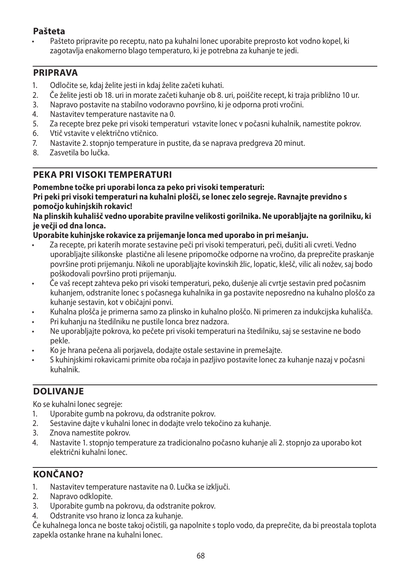## **Pašteta**

• Pašteto pripravite po receptu, nato pa kuhalni lonec uporabite preprosto kot vodno kopel, ki zagotavlja enakomerno blago temperaturo, ki je potrebna za kuhanje te jedi.

## **PRIPRAVA**

- 1. Odločite se, kdaj želite jesti in kdaj želite začeti kuhati.
- 2. Če želite jesti ob 18. uri in morate začeti kuhanje ob 8. uri, poiščite recept, ki traja približno 10 ur.
- 3. Napravo postavite na stabilno vodoravno površino, ki je odporna proti vročini.
- 4. Nastavitev temperature nastavite na 0.
- 5. Za recepte brez peke pri visoki temperaturi vstavite lonec v počasni kuhalnik, namestite pokrov.<br>6. Vtič vstavite v električno vtičnico.
- 6. Vtič vstavite v električno vtičnico.
- 7. Nastavite 2. stopnjo temperature in pustite, da se naprava predgreva 20 minut.
- 8. Zasvetila bo lučka.

# **PEKA PRI VISOKI TEMPERATURI**

### **Pomembne točke pri uporabi lonca za peko pri visoki temperaturi:**

#### **Pri peki pri visoki temperaturi na kuhalni plošči, se lonec zelo segreje. Ravnajte previdno s pomočjo kuhinjskih rokavic!**

#### **Na plinskih kuhališč vedno uporabite pravilne velikosti gorilnika. Ne uporabljajte na gorilniku, ki je večji od dna lonca.**

### **Uporabite kuhinjske rokavice za prijemanje lonca med uporabo in pri mešanju.**

- Za recepte, pri katerih morate sestavine peči pri visoki temperaturi, peči, dušiti ali cvreti. Vedno uporabljajte silikonske plastične ali lesene pripomočke odporne na vročino, da preprečite praskanje površine proti prijemanju. Nikoli ne uporabljajte kovinskih žlic, lopatic, klešč, vilic ali nožev, saj bodo poškodovali površino proti prijemanju.
- Če vaš recept zahteva peko pri visoki temperaturi, peko, dušenje ali cvrtje sestavin pred počasnim kuhanjem, odstranite lonec s počasnega kuhalnika in ga postavite neposredno na kuhalno ploščo za kuhanje sestavin, kot v običajni ponvi.
- Kuhalna plošča je primerna samo za plinsko in kuhalno ploščo. Ni primeren za indukcijska kuhališča.
- Pri kuhanju na štedilniku ne pustile lonca brez nadzora.
- Ne uporabljajte pokrova, ko pečete pri visoki temperaturi na štedilniku, saj se sestavine ne bodo pekle.
- Ko je hrana pečena ali porjavela, dodajte ostale sestavine in premešajte.
- S kuhinjskimi rokavicami primite oba ročaja in pazljivo postavite lonec za kuhanje nazaj v počasni kuhalnik.

# **DOLIVANJE**

Ko se kuhalni lonec segreje:

- 1. Uporabite gumb na pokrovu, da odstranite pokrov.
- 2. Sestavine dajte v kuhalni lonec in dodajte vrelo tekočino za kuhanje.
- 3. Znova namestite pokrov.
- 4. Nastavite 1. stopnjo temperature za tradicionalno počasno kuhanje ali 2. stopnjo za uporabo kot električni kuhalni lonec.

# **KONČANO?**

- 1. Nastavitev temperature nastavite na 0. Lučka se izključi.
- 2. Napravo odklopite.
- 3. Uporabite gumb na pokrovu, da odstranite pokrov.
- 4. Odstranite vso hrano iz lonca za kuhanje.

Če kuhalnega lonca ne boste takoj očistili, ga napolnite s toplo vodo, da preprečite, da bi preostala toplota zapekla ostanke hrane na kuhalni lonec.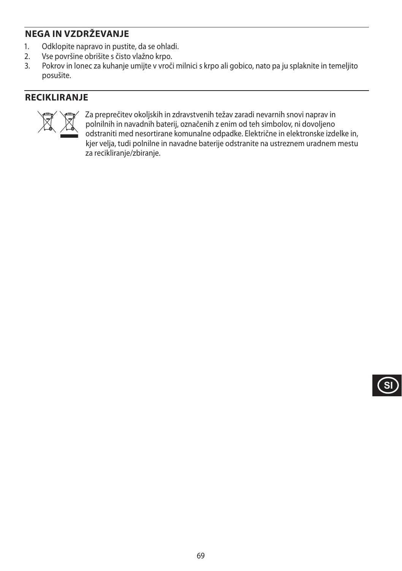# **NEGA IN VZDRŽEVANJE**

- 1. Odklopite napravo in pustite, da se ohladi.<br>2. Vse površine obrišite s čisto vlažno krpo.
- 2. Vse površine obrišite s čisto vlažno krpo.<br>3. Pokrov in lonec za kuhanje umijte v vroči
- 3. Pokrov in lonec za kuhanje umijte v vroči milnici s krpo ali gobico, nato pa ju splaknite in temeljito posušite.

# **RECIKLIRANJE**



Za preprečitev okoljskih in zdravstvenih težav zaradi nevarnih snovi naprav in<br>polnilnih in navadnih baterij, označenih z enim od teh simbolov, ni dovoljeno<br>odstraniti med nesortirane komunalne odpadke. Električne in elekt polnilnih in navadnih baterij, označenih z enim od teh simbolov, ni dovoljeno odstraniti med nesortirane komunalne odpadke. Električne in elektronske izdelke in, kjer velja, tudi polnilne in navadne baterije odstranite na ustreznem uradnem mestu za recikliranje/zbiranje.

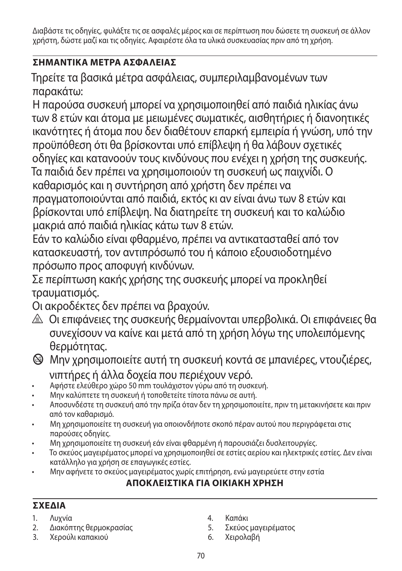Διαβάστε τις οδηγίες, φυλάξτε τις σε ασφαλές μέρος και σε περίπτωση που δώσετε τη συσκευή σε άλλον χρήστη, δώστε μαζί και τις οδηγίες. Αφαιρέστε όλα τα υλικά συσκευασίας πριν από τη χρήση.

# **ΣΗΜΑΝΤΙΚA ΜEΤΡΑ ΑΣΦAΛΕΙΑΣ**

Τηρείτε τα βασικά μέτρα ασφάλειας, συμπεριλαμβανομένων των παρακάτω:

Η παρούσα συσκευή μπορεί να χρησιμοποιηθεί από παιδιά ηλικίας άνω των 8 ετών και άτομα με μειωμένες σωματικές, αισθητήριες ή διανοητικές ικανότητες ή άτομα που δεν διαθέτουν επαρκή εμπειρία ή γνώση, υπό την προϋπόθεση ότι θα βρίσκονται υπό επίβλεψη ή θα λάβουν σχετικές οδηγίες και κατανοούν τους κινδύνους που ενέχει η χρήση της συσκευής. Τα παιδιά δεν πρέπει να χρησιμοποιούν τη συσκευή ως παιχνίδι. Ο καθαρισμός και η συντήρηση από χρήστη δεν πρέπει να πραγματοποιούνται από παιδιά, εκτός κι αν είναι άνω των 8 ετών και βρίσκονται υπό επίβλεψη. Να διατηρείτε τη συσκευή και το καλώδιο μακριά από παιδιά ηλικίας κάτω των 8 ετών.

Εάν το καλώδιο είναι φθαρμένο, πρέπει να αντικατασταθεί από τον κατασκευαστή, τον αντιπρόσωπό του ή κάποιο εξουσιοδοτημένο πρόσωπο προς αποφυγή κινδύνων.

Σε περίπτωση κακής χρήσης της συσκευής μπορεί να προκληθεί τραυματισμός.

Οι ακροδέκτες δεν πρέπει να βραχούν.

- ¬ Οι επιφάνειες της συσκευής θερμαίνονται υπερβολικά. Οι επιφάνειες θα συνεχίσουν να καίνε και μετά από τη χρήση λόγω της υπολειπόμενης θερμότητας.
- b Μην χρησιμοποιείτε αυτή τη συσκευή κοντά σε μπανιέρες, ντουζιέρες, νιπτήρες ή άλλα δοχεία που περιέχουν νερό.
- Αφήστε ελεύθερο χώρο 50 mm τουλάχιστον γύρω από τη συσκευή.
- Μην καλύπτετε τη συσκευή ή τοποθετείτε τίποτα πάνω σε αυτή.
- Αποσυνδέστε τη συσκευή από την πρίζα όταν δεν τη χρησιμοποιείτε, πριν τη μετακινήσετε και πριν από τον καθαρισμό.
- Μη χρησιμοποιείτε τη συσκευή για οποιονδήποτε σκοπό πέραν αυτού που περιγράφεται στις παρούσες οδηγίες.
- Μη χρησιμοποιείτε τη συσκευή εάν είναι φθαρμένη ή παρουσιάζει δυσλειτουργίες.
- Το σκεύος μαγειρέματος μπορεί να χρησιμοποιηθεί σε εστίες αερίου και ηλεκτρικές εστίες. Δεν είναι κατάλληλο για χρήση σε επαγωγικές εστίες.
- Μην αφήνετε το σκεύος μαγειρέματος χωρίς επιτήρηση, ενώ μαγειρεύετε στην εστία

# **ΑΠΟΚΛΕΙΣΤΙΚΑ ΓΙΑ ΟΙΚΙΑΚΗ ΧΡΗΣΗ**

# **ΣΧΕΔΙΑ**

- 1. Λυχνία
- 2. Διακόπτης θερμοκρασίας
- 3. Χερούλι καπακιού
- 4. Καπάκι
- 5. Σκεύος μαγειρέματος
- 6. Χειρολαβή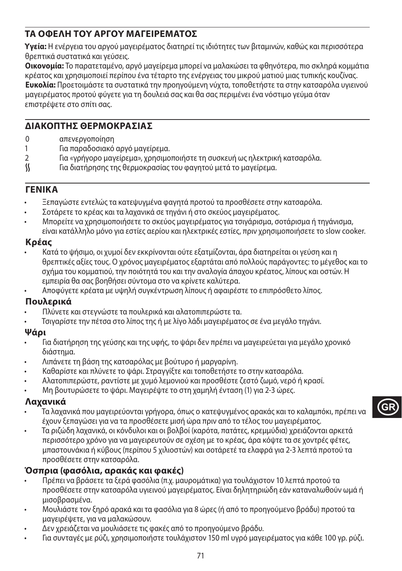# **ΤΑ ΟΦΕΛΗ ΤΟΥ ΑΡΓΟΥ ΜΑΓΕΙΡΕΜΑΤΟΣ**

**Υγεία:** Η ενέργεια του αργού μαγειρέματος διατηρεί τις ιδιότητες των βιταμινών, καθώς και περισσότερα θρεπτικά συστατικά και γεύσεις.

**Οικονομία:** Το παρατεταμένο, αργό μαγείρεμα μπορεί να μαλακώσει τα φθηνότερα, πιο σκληρά κομμάτια κρέατος και χρησιμοποιεί περίπου ένα τέταρτο της ενέργειας του μικρού ματιού μιας τυπικής κουζίνας. **Ευκολία:** Προετοιμάστε τα συστατικά την προηγούμενη νύχτα, τοποθετήστε τα στην κατσαρόλα υγιεινού μαγειρέματος προτού φύγετε για τη δουλειά σας και θα σας περιμένει ένα νόστιμο γεύμα όταν επιστρέψετε στο σπίτι σας.

## **ΔΙΑΚΟΠΤΗΣ ΘΕΡΜΟΚΡΑΣΙΑΣ**

- 0 απενεργοποίηση<br>1 Για παραδοσιακό
- 1 Για παραδοσιακό αργό μαγείρεμα.
- 2 Για «γρήγορο μαγείρεμα», χρησιμοποιήστε τη συσκευή ως ηλεκτρική κατσαρόλα.
- Για διατήρησης της θερμοκρασίας του φαγητού μετά το μαγείρεμα.

## **ΓΕΝΙΚA**

- Ξεπαγώστε εντελώς τα κατεψυγμένα φαγητά προτού τα προσθέσετε στην κατσαρόλα.
- Σοτάρετε το κρέας και τα λαχανικά σε τηγάνι ή στο σκεύος μαγειρέματος.
- Μπορείτε να χρησιμοποιήσετε το σκεύος μαγειρέματος για τσιγάρισμα, σοτάρισμα ή τηγάνισμα, είναι κατάλληλο μόνο για εστίες αερίου και ηλεκτρικές εστίες, πριν χρησιμοποιήσετε το slow cooker.

## **Κρέας**

- Κατά το ψήσιμο, οι χυμοί δεν εκκρίνονται ούτε εξατμίζονται, άρα διατηρείται οι γεύση και η θρεπτικές αξίες τους. Ο χρόνος μαγειρέματος εξαρτάται από πολλούς παράγοντες: το μέγεθος και το σχήμα του κομματιού, την ποιότητά του και την αναλογία άπαχου κρέατος, λίπους και οστών. Η εμπειρία θα σας βοηθήσει σύντομα στο να κρίνετε καλύτερα.
- Αποφύγετε κρέατα με υψηλή συγκέντρωση λίπους ή αφαιρέστε το επιπρόσθετο λίπος.

## **Πουλερικά**

- Πλύνετε και στεγνώστε τα πουλερικά και αλατοπιπερώστε τα.
- Τσιγαρίστε την πέτσα στο λίπος της ή με λίγο λάδι μαγειρέματος σε ένα μεγάλο τηγάνι.

### **Ψάρι**

- Για διατήρηση της γεύσης και της υφής, το ψάρι δεν πρέπει να μαγειρεύεται για μεγάλο χρονικό διάστημα.
- Λιπάνετε τη βάση της κατσαρόλας με βούτυρο ή μαργαρίνη.
- Καθαρίστε και πλύνετε το ψάρι. Στραγγίξτε και τοποθετήστε το στην κατσαρόλα.
- Αλατοπιπερώστε, ραντίστε με χυμό λεμονιού και προσθέστε ζεστό ζωμό, νερό ή κρασί.
- Μη βουτυρώσετε το ψάρι. Μαγειρέψτε το στη χαμηλή ένταση (1) για 2-3 ώρες.

### **Λαχανικά**

- Τα λαχανικά που μαγειρεύονται γρήγορα, όπως ο κατεψυγμένος αρακάς και το καλαμπόκι, πρέπει να έχουν ξεπαγώσει για να τα προσθέσετε μισή ώρα πριν από το τέλος του μαγειρέματος.
- Τα ριζώδη λαχανικά, οι κόνδυλοι και οι βολβοί (καρότα, πατάτες, κρεμμύδια) χρειάζονται αρκετά περισσότερο χρόνο για να μαγειρευτούν σε σχέση με το κρέας, άρα κόψτε τα σε χοντρές φέτες, μπαστουνάκια ή κύβους (περίπου 5 χιλιοστών) και σοτάρετέ τα ελαφρά για 2-3 λεπτά προτού τα προσθέσετε στην κατσαρόλα.

## **Όσπρια (φασόλια, αρακάς και φακές)**

- Πρέπει να βράσετε τα ξερά φασόλια (π.χ. μαυρομάτικα) για τουλάχιστον 10 λεπτά προτού τα προσθέσετε στην κατσαρόλα υγιεινού μαγειρέματος. Είναι δηλητηριώδη εάν καταναλωθούν ωμά ή μισοβρασμένα.
- Μουλιάστε τον ξηρό αρακά και τα φασόλια για 8 ώρες (ή από το προηγούμενο βράδυ) προτού τα μαγειρέψετε, για να μαλακώσουν.
- Δεν χρειάζεται να μουλιάσετε τις φακές από το προηγούμενο βράδυ.
- Για συνταγές με ρύζι, χρησιμοποιήστε τουλάχιστον 150 ml υγρό μαγειρέματος για κάθε 100 γρ. ρύζι.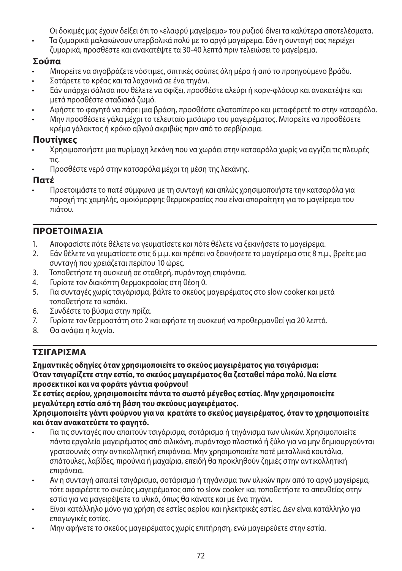Οι δοκιμές μας έχουν δείξει ότι το «ελαφρύ μαγείρεμα» του ρυζιού δίνει τα καλύτερα αποτελέσματα.

• Τα ζυμαρικά μαλακώνουν υπερβολικά πολύ με το αργό μαγείρεμα. Εάν η συνταγή σας περιέχει ζυμαρικά, προσθέστε και ανακατέψτε τα 30-40 λεπτά πριν τελειώσει το μαγείρεμα.

## **Σούπα**

- Μπορείτε να σιγοβράζετε νόστιμες, σπιτικές σούπες όλη μέρα ή από το προηγούμενο βράδυ.
- Σοτάρετε το κρέας και τα λαχανικά σε ένα τηγάνι.
- Εάν υπάρχει σάλτσα που θέλετε να σφίξει, προσθέστε αλεύρι ή κορν-φλάουρ και ανακατέψτε και μετά προσθέστε σταδιακά ζωμό.
- Αφήστε το φαγητό να πάρει μια βράση, προσθέστε αλατοπίπερο και μεταφέρετέ το στην κατσαρόλα.
- Μην προσθέσετε γάλα μέχρι το τελευταίο μισάωρο του μαγειρέματος. Μπορείτε να προσθέσετε κρέμα γάλακτος ή κρόκο αβγού ακριβώς πριν από το σερβίρισμα.

# **Πουτίγκες**

- Χρησιμοποιήστε μια πυρίμαχη λεκάνη που να χωράει στην κατσαρόλα χωρίς να αγγίζει τις πλευρές τις.
- Προσθέστε νερό στην κατσαρόλα μέχρι τη μέση της λεκάνης.

## **Πατέ**

• Προετοιμάστε το πατέ σύμφωνα με τη συνταγή και απλώς χρησιμοποιήστε την κατσαρόλα για παροχή της χαμηλής, ομοιόμορφης θερμοκρασίας που είναι απαραίτητη για το μαγείρεμα του πιάτου.

# **ΠΡΟΕΤΟΙΜΑΣΙΑ**

- 1. Αποφασίστε πότε θέλετε να γευματίσετε και πότε θέλετε να ξεκινήσετε το μαγείρεμα.<br>2. Ε Εάν θέλετε να νευματίσετε στις 6 μ.μ. και ποέπει να ξεκινήσετε το μανείρεμα στις 8 π.μ
- 2. Εάν θέλετε να γευματίσετε στις 6 μ.μ. και πρέπει να ξεκινήσετε το μαγείρεμα στις 8 π.μ., βρείτε μια συνταγή που χρειάζεται περίπου 10 ώρες.
- 3. Τοποθετήστε τη συσκευή σε σταθερή, πυράντοχη επιφάνεια.
- 4. Γυρίστε τον διακόπτη θερμοκρασίας στη θέση 0.
- 5. Για συνταγές χωρίς τσιγάρισμα, βάλτε το σκεύος μαγειρέματος στο slow cooker και μετά τοποθετήστε το καπάκι.
- 6. Συνδέστε το βύσμα στην πρίζα.
- 7. Γυρίστε τον θερμοστάτη στο 2 και αφήστε τη συσκευή να προθερμανθεί για 20 λεπτά.
- 8. Θα ανάψει η λυχνία.

# **ΤΣΙΓΑΡΙΣΜΑ**

**Σημαντικές οδηγίες όταν χρησιμοποιείτε το σκεύος μαγειρέματος για τσιγάρισμα: Όταν τσιγαρίζετε στην εστία, το σκεύος μαγειρέματος θα ζεσταθεί πάρα πολύ. Να είστε προσεκτικοί και να φοράτε γάντια φούρνου!**

**Σε εστίες αερίου, χρησιμοποιείτε πάντα το σωστό μέγεθος εστίας. Μην χρησιμοποιείτε μεγαλύτερη εστία από τη βάση του σκεύους μαγειρέματος.**

**Χρησιμοποιείτε γάντι φούρνου για να κρατάτε το σκεύος μαγειρέματος, όταν το χρησιμοποιείτε και όταν ανακατεύετε το φαγητό.**

- Για τις συνταγές που απαιτούν τσιγάρισμα, σοτάρισμα ή τηγάνισμα των υλικών. Χρησιμοποιείτε πάντα εργαλεία μαγειρέματος από σιλικόνη, πυράντοχο πλαστικό ή ξύλο για να μην δημιουργούνται γρατσουνιές στην αντικολλητική επιφάνεια. Μην χρησιμοποιείτε ποτέ μεταλλικά κουτάλια, σπάτουλες, λαβίδες, πιρούνια ή μαχαίρια, επειδή θα προκληθούν ζημιές στην αντικολλητική επιφάνεια.
- Αν η συνταγή απαιτεί τσιγάρισμα, σοτάρισμα ή τηγάνισμα των υλικών πριν από το αργό μαγείρεμα, τότε αφαιρέστε το σκεύος μαγειρέματος από το slow cooker και τοποθετήστε το απευθείας στην εστία για να μαγειρέψετε τα υλικά, όπως θα κάνατε και με ένα τηγάνι.
- Είναι κατάλληλο μόνο για χρήση σε εστίες αερίου και ηλεκτρικές εστίες. Δεν είναι κατάλληλο για επαγωγικές εστίες.
- Μην αφήνετε το σκεύος μαγειρέματος χωρίς επιτήρηση, ενώ μαγειρεύετε στην εστία.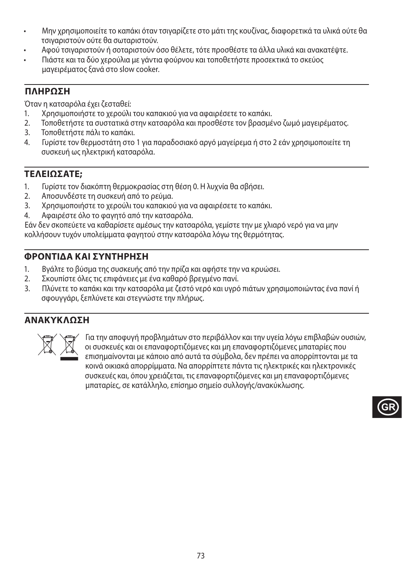- Μην χρησιμοποιείτε το καπάκι όταν τσιγαρίζετε στο μάτι της κουζίνας, διαφορετικά τα υλικά ούτε θα τσιγαριστούν ούτε θα σωταριστούν.
- Αφού τσιγαριστούν ή σοταριστούν όσο θέλετε, τότε προσθέστε τα άλλα υλικά και ανακατέψτε.
- Πιάστε και τα δύο χερούλια με γάντια φούρνου και τοποθετήστε προσεκτικά το σκεύος μαγειρέματος ξανά στο slow cooker.

## **ΠΛΗΡΩΣΗ**

Όταν η κατσαρόλα έχει ζεσταθεί:

- 1. Χρησιμοποιήστε το χερούλι του καπακιού για να αφαιρέσετε το καπάκι.
- 2. Τοποθετήστε τα συστατικά στην κατσαρόλα και προσθέστε τον βρασμένο ζωμό μαγειρέματος.
- 3. Τοποθετήστε πάλι το καπάκι.
- 4. Γυρίστε τον θερμοστάτη στο 1 για παραδοσιακό αργό μαγείρεμα ή στο 2 εάν χρησιμοποιείτε τη συσκευή ως ηλεκτρική κατσαρόλα.

# **ΤΕΛΕΙΩΣΑΤΕ;**

- 1. Γυρίστε τον διακόπτη θερμοκρασίας στη θέση 0. Η λυχνία θα σβήσει.
- 2. Αποσυνδέστε τη συσκευή από το ρεύμα.
- 3. Χρησιμοποιήστε το χερούλι του καπακιού για να αφαιρέσετε το καπάκι.
- 4. Αφαιρέστε όλο το φαγητό από την κατσαρόλα.

Εάν δεν σκοπεύετε να καθαρίσετε αμέσως την κατσαρόλα, γεμίστε την με χλιαρό νερό για να μην κολλήσουν τυχόν υπολείμματα φαγητού στην κατσαρόλα λόγω της θερμότητας.

## **ΦΡΟΝΤΙΔΑ ΚΑΙ ΣΥΝΤΗΡΗΣΗ**

- 1. Βγάλτε το βύσμα της συσκευής από την πρίζα και αφήστε την να κρυώσει.
- 2. Σκουπίστε όλες τις επιφάνειες με ένα καθαρό βρεγμένο πανί.
- 3. Πλύνετε το καπάκι και την κατσαρόλα με ζεστό νερό και υγρό πιάτων χρησιμοποιώντας ένα πανί ή σφουγγάρι, ξεπλύνετε και στεγνώστε την πλήρως.

## **ΑΝΑΚΥΚΛΩΣΗ**



ΜΓΙΣ Τα την αποφυγή προβλημάτων στο περιβάλλον και την υγεία λόγω επιβλαβών ουσιών,<br>Οι συσκευές και οι επαναφορτιζόμενες και μη επαναφορτιζόμενες μπαταρίες που<br>επισημαίνονται με κάποιο από αυτά τα σύμβολα, δεν πρέπει να οι συσκευές και οι επαναφορτιζόμενες και μη επαναφορτιζόμενες μπαταρίες που επισημαίνονται με κάποιο από αυτά τα σύμβολα, δεν πρέπει να απορρίπτονται με τα κοινά οικιακά απορρίμματα. Να απορρίπτετε πάντα τις ηλεκτρικές και ηλεκτρονικές συσκευές και, όπου χρειάζεται, τις επαναφορτιζόμενες και μη επαναφορτιζόμενες μπαταρίες, σε κατάλληλο, επίσημο σημείο συλλογής/ανακύκλωσης.

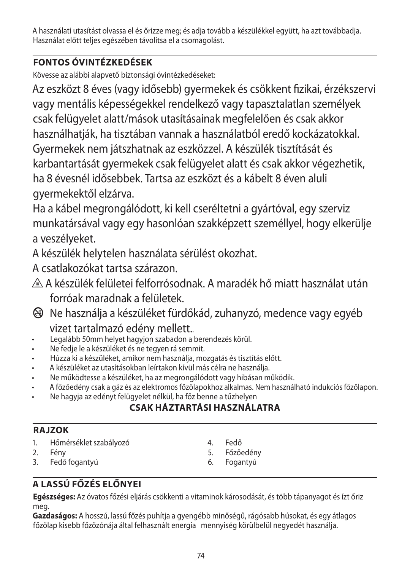A használati utasítást olvassa el és őrizze meg; és adja tovább a készülékkel együtt, ha azt továbbadja. Használat előtt teljes egészében távolítsa el a csomagolást.

# **FONTOS ÓVINTÉZKEDÉSEK**

Kövesse az alábbi alapvető biztonsági óvintézkedéseket:

Az eszközt 8 éves (vagy idősebb) gyermekek és csökkent fizikai, érzékszervi vagy mentális képességekkel rendelkező vagy tapasztalatlan személyek csak felügyelet alatt/mások utasításainak megfelelően és csak akkor használhatják, ha tisztában vannak a használatból eredő kockázatokkal. Gyermekek nem játszhatnak az eszközzel. A készülék tisztítását és karbantartását gyermekek csak felügyelet alatt és csak akkor végezhetik, ha 8 évesnél idősebbek. Tartsa az eszközt és a kábelt 8 éven aluli gyermekektől elzárva.

Ha a kábel megrongálódott, ki kell cseréltetni a gyártóval, egy szerviz munkatársával vagy egy hasonlóan szakképzett személlyel, hogy elkerülje a veszélyeket.

A készülék helytelen használata sérülést okozhat.

A csatlakozókat tartsa szárazon.

- $\triangle$  A készülék felületei felforrósodnak. A maradék hő miatt használat után forróak maradnak a felületek.
- $\circledast$  Ne használja a készüléket fürdőkád, zuhanyzó, medence vagy egyéb vizet tartalmazó edény mellett..
- Legalább 50mm helyet hagyjon szabadon a berendezés körül.
- Ne fedje le a készüléket és ne tegyen rá semmit.
- Húzza ki a készüléket, amikor nem használja, mozgatás és tisztítás előtt.
- A készüléket az utasításokban leírtakon kívül más célra ne használja.
- Ne működtesse a készüléket, ha az megrongálódott vagy hibásan működik.
- A főzőedény csak a gáz és az elektromos főzőlapokhoz alkalmas. Nem használható indukciós főzőlapon.
- Ne hagyja az edényt felügyelet nélkül, ha főz benne a tűzhelyen

# **CSAK HÁZTARTÁSI HASZNÁLATRA**

# **RAJZOK**

- 1. Hőmérséklet szabályozó<br>2. Fény
- Fény
- 3. Fedő fogantyú
- 4. Fedő<br>5. Főzőe
- 5. Főzőedény
- 6. Fogantyú

# **A LASSÚ FŐZÉS ELŐNYEI**

**Egészséges:** Az óvatos főzési eljárás csökkenti a vitaminok károsodását, és több tápanyagot és ízt őriz meg.

**Gazdaságos:** A hosszú, lassú főzés puhítja a gyengébb minőségű, rágósabb húsokat, és egy átlagos főzőlap kisebb főzőzónája által felhasznált energia mennyiség körülbelül negyedét használja.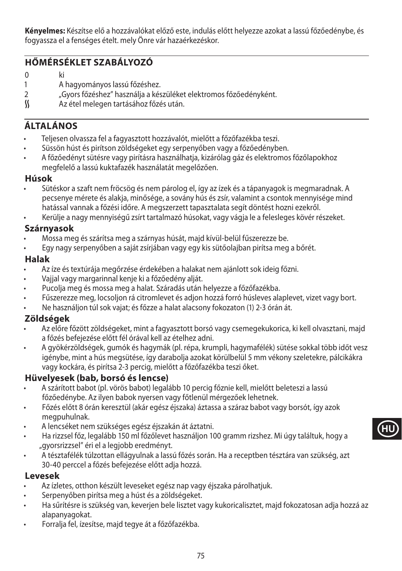**Kényelmes:** Készítse elő a hozzávalókat előző este, indulás előtt helyezze azokat a lassú főzőedénybe, és fogyassza el a fenséges ételt. mely Önre vár hazaérkezéskor.

## **HŐMÉRSÉKLET SZABÁLYOZÓ**

0 ki

- 1 A hagyományos lassú főzéshez.
- 2 "Gyors főzéshez" használja a készüléket elektromos főzőedényként.<br>K kez Az étel melegen tartásához főzés után.
- Az étel melegen tartásához főzés után.

# **ÁLTALÁNOS**

- Teljesen olvassza fel a fagyasztott hozzávalót, mielőtt a főzőfazékba teszi.
- Süssön húst és pirítson zöldségeket egy serpenyőben vagy a főzőedényben.
- A főzőedényt sütésre vagy pirításra használhatja, kizárólag gáz és elektromos főzőlapokhoz megfelelő a lassú kuktafazék használatát megelőzően.

### **Húsok**

- Sütéskor a szaft nem fröcsög és nem párolog el, így az ízek és a tápanyagok is megmaradnak. A pecsenye mérete és alakja, minősége, a sovány hús és zsír, valamint a csontok mennyisége mind hatással vannak a főzési időre. A megszerzett tapasztalata segít döntést hozni ezekről.
- Kerülje a nagy mennyiségű zsírt tartalmazó húsokat, vagy vágja le a felesleges kövér részeket.

## **Szárnyasok**

- Mossa meg és szárítsa meg a szárnyas húsát, majd kívül-belül fűszerezze be.
- Egy nagy serpenyőben a saját zsírjában vagy egy kis sütőolajban pirítsa meg a bőrét.

### **Halak**

- Az íze és textúrája megőrzése érdekében a halakat nem ajánlott sok ideig főzni.
- Vajjal vagy margarinnal kenje ki a főzőedény alját.
- Pucolja meg és mossa meg a halat. Száradás után helyezze a főzőfazékba.
- Fűszerezze meg, locsoljon rá citromlevet és adjon hozzá forró húsleves alaplevet, vizet vagy bort.
- Ne használjon túl sok vajat; és főzze a halat alacsony fokozaton (1) 2-3 órán át.

### **Zöldségek**

- Az előre főzött zöldségeket, mint a fagyasztott borsó vagy csemegekukorica, ki kell olvasztani, majd a főzés befejezése előtt fél órával kell az ételhez adni.
- A gyökérzöldségek, gumók és hagymák (pl. répa, krumpli, hagymafélék) sütése sokkal több időt vesz igénybe, mint a hús megsütése, így darabolja azokat körülbelül 5 mm vékony szeletekre, pálcikákra vagy kockára, és pirítsa 2-3 percig, mielőtt a főzőfazékba teszi őket.

## **Hüvelyesek (bab, borsó és lencse)**

- A szárított babot (pl. vörös babot) legalább 10 percig főznie kell, mielőtt beleteszi a lassú főzőedénybe. Az ilyen babok nyersen vagy főtlenül mérgezőek lehetnek.
- Főzés előtt 8 órán keresztül (akár egész éjszaka) áztassa a száraz babot vagy borsót, így azok megpuhulnak.
- A lencséket nem szükséges egész éjszakán át áztatni.
- Ha rizzsel főz, legalább 150 ml főzőlevet használjon 100 gramm rizshez. Mi úgy találtuk, hogy a "gyorsrizzsel" éri el a legiobb eredményt.
- A tésztafélék túlzottan ellágyulnak a lassú főzés során. Ha a receptben tésztára van szükség, azt 30-40 perccel a főzés befejezése előtt adja hozzá.

### **Levesek**

- Az ízletes, otthon készült leveseket egész nap vagy éjszaka párolhatjuk.
- Serpenyőben pirítsa meg a húst és a zöldségeket.
- Ha sűrítésre is szükség van, keverjen bele lisztet vagy kukoricalisztet, majd fokozatosan adja hozzá az alapanyagokat.
- Forralja fel, ízesítse, majd tegye át a főzőfazékba.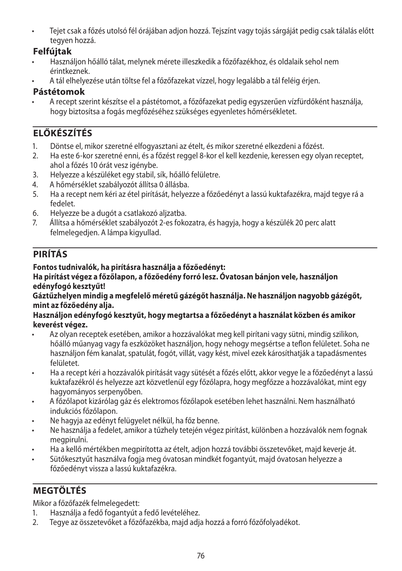• Tejet csak a főzés utolsó fél órájában adjon hozzá. Tejszínt vagy tojás sárgáját pedig csak tálalás előtt tegyen hozzá.

## **Felfújtak**

- Használjon hőálló tálat, melynek mérete illeszkedik a főzőfazékhoz, és oldalaik sehol nem érintkeznek.
- A tál elhelyezése után töltse fel a főzőfazekat vízzel, hogy legalább a tál feléig érjen.

## **Pástétomok**

• A recept szerint készítse el a pástétomot, a főzőfazekat pedig egyszerűen vízfürdőként használja, hogy biztosítsa a fogás megfőzéséhez szükséges egyenletes hőmérsékletet.

# **ELŐKÉSZÍTÉS**

- 1. Döntse el, mikor szeretné elfogyasztani az ételt, és mikor szeretné elkezdeni a főzést.
- 2. Ha este 6-kor szeretné enni, és a főzést reggel 8-kor el kell kezdenie, keressen egy olyan receptet, ahol a főzés 10 órát vesz igénybe.
- 3. Helyezze a készüléket egy stabil, sík, hőálló felületre.
- 4. A hőmérséklet szabályozót állítsa 0 állásba.
- 5. Ha a recept nem kéri az étel pirítását, helyezze a főzőedényt a lassú kuktafazékra, majd tegye rá a fedelet.
- 6. Helyezze be a dugót a csatlakozó aljzatba.
- 7. Állítsa a hőmérséklet szabályozót 2-es fokozatra, és hagyja, hogy a készülék 20 perc alatt felmelegedjen. A lámpa kigyullad.

# **PIRÍTÁS**

## **Fontos tudnivalók, ha pirításra használja a főzőedényt:**

### **Ha pirítást végez a főzőlapon, a főzőedény forró lesz. Óvatosan bánjon vele, használjon edényfogó kesztyűt!**

### **Gáztűzhelyen mindig a megfelelő méretű gázégőt használja. Ne használjon nagyobb gázégőt, mint az főzőedény alja.**

### **Használjon edényfogó kesztyűt, hogy megtartsa a főzőedényt a használat közben és amikor keverést végez.**

- Az olyan receptek esetében, amikor a hozzávalókat meg kell pirítani vagy sütni, mindig szilikon, hőálló műanyag vagy fa eszközöket használjon, hogy nehogy megsértse a teflon felületet. Soha ne használjon fém kanalat, spatulát, fogót, villát, vagy kést, mivel ezek károsíthatják a tapadásmentes felületet.
- Ha a recept kéri a hozzávalók pirítását vagy sütését a főzés előtt, akkor vegye le a főzőedényt a lassú kuktafazékról és helyezze azt közvetlenül egy főzőlapra, hogy megfőzze a hozzávalókat, mint egy hagyományos serpenyőben.
- A főzőlapot kizárólag gáz és elektromos főzőlapok esetében lehet használni. Nem használható indukciós főzőlapon.
- Ne hagyja az edényt felügyelet nélkül, ha főz benne.
- Ne használja a fedelet, amikor a tűzhely tetején végez pirítást, különben a hozzávalók nem fognak megpirulni.
- Ha a kellő mértékben megpirította az ételt, adjon hozzá további összetevőket, majd keverje át.
- Sütőkesztyűt használva fogja meg óvatosan mindkét fogantyút, majd óvatosan helyezze a főzőedényt vissza a lassú kuktafazékra.

# **MEGTÖLTÉS**

Mikor a főzőfazék felmelegedett:

- 1. Használja a fedő fogantyút a fedő levételéhez.
- 2. Tegye az összetevőket a főzőfazékba, majd adja hozzá a forró főzőfolyadékot.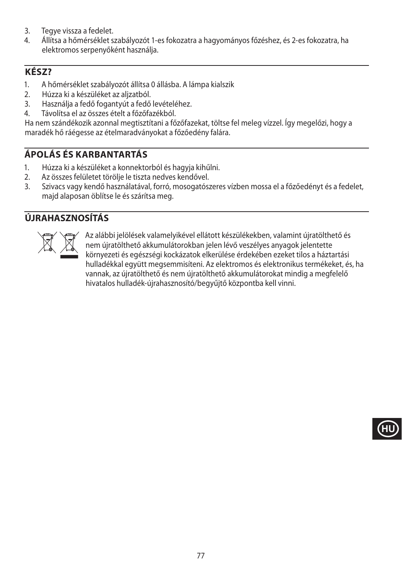- 3. Tegye vissza a fedelet.<br>4. Allítsa a hőmérséklet s
- 4. Állítsa a hőmérséklet szabályozót 1-es fokozatra a hagyományos főzéshez, és 2-es fokozatra, ha elektromos serpenyőként használja.

## **KÉSZ?**

- 1. A hőmérséklet szabályozót állítsa 0 állásba. A lámpa kialszik
- 2. Húzza ki a készüléket az aljzatból.<br>3. Használia a fedő fogantvút a fedő
- 3. Használja a fedő fogantyút a fedő levételéhez.
- 4. Távolítsa el az összes ételt a főzőfazékból.

Ha nem szándékozik azonnal megtisztítani a főzőfazekat, töltse fel meleg vízzel. Így megelőzi, hogy a maradék hő ráégesse az ételmaradványokat a főzőedény falára.

# **ÁPOLÁS ÉS KARBANTARTÁS**

- 1. Húzza ki a készüléket a konnektorból és hagyja kihűlni.
- 2. Az összes felületet törölje le tiszta nedves kendővel.
- 3. Szivacs vagy kendő használatával, forró, mosogatószeres vízben mossa el a főzőedényt és a fedelet, majd alaposan öblítse le és szárítsa meg.

## **ÚJRAHASZNOSÍTÁS**



Az alábbi jelölések valamelyikével ellátott készülékekben, valamint újratölthető és<br>nem újratölthető akkumulátorokban jelen lévő veszélyes anyagok jelentette<br>környezeti és egészségi kockázatok elkerülése érdekében ezeket t nem újratölthető akkumulátorokban jelen lévő veszélyes anyagok jelentette környezeti és egészségi kockázatok elkerülése érdekében ezeket tilos a háztartási hulladékkal együtt megsemmisíteni. Az elektromos és elektronikus termékeket, és, ha vannak, az újratölthető és nem újratölthető akkumulátorokat mindig a megfelelő hivatalos hulladék-újrahasznosító/begyűjtő központba kell vinni.

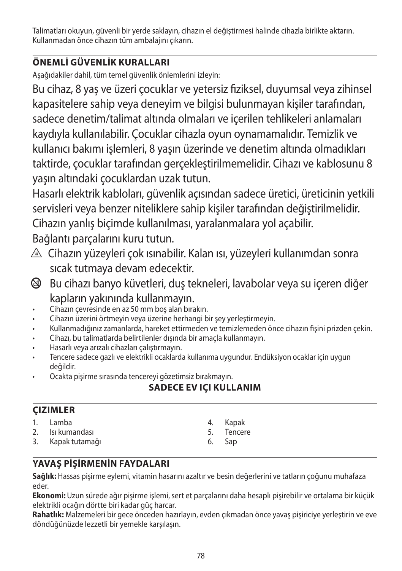Talimatları okuyun, güvenli bir yerde saklayın, cihazın el değiştirmesi halinde cihazla birlikte aktarın. Kullanmadan önce cihazın tüm ambalajını çıkarın.

# **ÖNEMLİ GÜVENLİK KURALLARI**

Aşağıdakiler dahil, tüm temel güvenlik önlemlerini izleyin:

Bu cihaz, 8 yaş ve üzeri çocuklar ve yetersiz fiziksel, duyumsal veya zihinsel kapasitelere sahip veya deneyim ve bilgisi bulunmayan kişiler tarafından, sadece denetim/talimat altında olmaları ve içerilen tehlikeleri anlamaları kaydıyla kullanılabilir. Çocuklar cihazla oyun oynamamalıdır. Temizlik ve kullanıcı bakımı işlemleri, 8 yaşın üzerinde ve denetim altında olmadıkları taktirde, çocuklar tarafından gerçekleştirilmemelidir. Cihazı ve kablosunu 8 yaşın altındaki çocuklardan uzak tutun.

Hasarlı elektrik kabloları, güvenlik açısından sadece üretici, üreticinin yetkili servisleri veya benzer niteliklere sahip kişiler tarafından değiştirilmelidir. Cihazın yanlış biçimde kullanılması, yaralanmalara yol açabilir.

Bağlantı parçalarını kuru tutun.

- </u> Cihazın yüzeyleri çok ısınabilir. Kalan ısı, yüzeyleri kullanımdan sonra sıcak tutmaya devam edecektir.
- b Bu cihazı banyo küvetleri, duş tekneleri, lavabolar veya su içeren diğer kapların yakınında kullanmayın.
- Cihazın çevresinde en az 50 mm boş alan bırakın.
- Cihazın üzerini örtmeyin veya üzerine herhangi bir şey yerleştirmeyin.
- Kullanmadığınız zamanlarda, hareket ettirmeden ve temizlemeden önce cihazın fişini prizden çekin.
- Cihazı, bu talimatlarda belirtilenler dışında bir amaçla kullanmayın.
- Hasarlı veya arızalı cihazları çalıştırmayın.
- Tencere sadece gazlı ve elektrikli ocaklarda kullanıma uygundur. Endüksiyon ocaklar için uygun değildir.
- Ocakta pişirme sırasında tencereyi gözetimsiz bırakmayın.

# **SADECE EV IÇI KULLANIM**

## **ÇIZIMLER**

- 1. Lamba 2. Isı kumandası
- 3. Kapak tutamağı
- 4. Kapak
- 5. Tencere
- 6. Sap

# **YAVAŞ PİŞİRMENİN FAYDALARI**

**Sağlık:** Hassas pişirme eylemi, vitamin hasarını azaltır ve besin değerlerini ve tatların çoğunu muhafaza eder.

**Ekonomi:** Uzun sürede ağır pişirme işlemi, sert et parçalarını daha hesaplı pişirebilir ve ortalama bir küçük elektrikli ocağın dörtte biri kadar güç harcar.

**Rahatlık:** Malzemeleri bir gece önceden hazırlayın, evden çıkmadan önce yavaş pişiriciye yerleştirin ve eve döndüğünüzde lezzetli bir yemekle karşılaşın.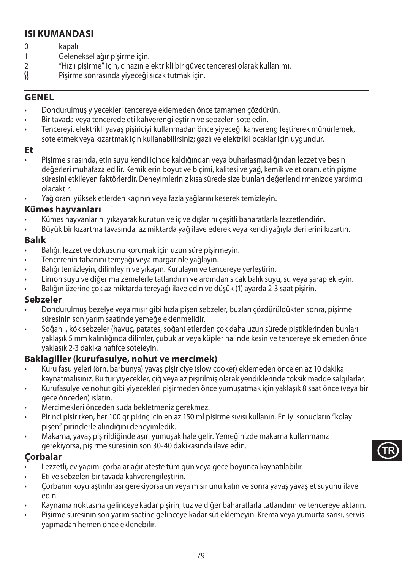## **ISI KUMANDASI**

- 0 kapalı<br>1 Gelene
- 1 Geleneksel ağır pişirme için.<br>2 "Hızlı pişirme" için, çibazın el
- 2 "Hızlı pişirme" için, cihazın elektrikli bir güveç tenceresi olarak kullanımı.
- Pişirme sonrasında yiyeceği sıcak tutmak için.

### **GENEL**

- Dondurulmuş yiyecekleri tencereye eklemeden önce tamamen çözdürün.
- Bir tavada veya tencerede eti kahverengileştirin ve sebzeleri sote edin.
- Tencereyi, elektrikli yavaş pişiriciyi kullanmadan önce yiyeceği kahverengileştirerek mühürlemek, sote etmek veya kızartmak için kullanabilirsiniz; gazlı ve elektrikli ocaklar için uygundur.

### **Et**

- Pişirme sırasında, etin suyu kendi içinde kaldığından veya buharlaşmadığından lezzet ve besin değerleri muhafaza edilir. Kemiklerin boyut ve biçimi, kalitesi ve yağ, kemik ve et oranı, etin pişme süresini etkileyen faktörlerdir. Deneyimleriniz kısa sürede size bunları değerlendirmenizde yardımcı olacaktır.
- Yağ oranı yüksek etlerden kaçının veya fazla yağlarını keserek temizleyin.

### **Kümes hayvanları**

- Kümes hayvanlarını yıkayarak kurutun ve iç ve dışlarını çeşitli baharatlarla lezzetlendirin.
- Büyük bir kızartma tavasında, az miktarda yağ ilave ederek veya kendi yağıyla derilerini kızartın.

### **Balık**

- Balığı, lezzet ve dokusunu korumak için uzun süre pişirmeyin.
- Tencerenin tabanını tereyağı veya margarinle yağlayın.
- Balığı temizleyin, dilimleyin ve yıkayın. Kurulayın ve tencereye yerleştirin.
- Limon suyu ve diğer malzemelerle tatlandırın ve ardından sıcak balık suyu, su veya şarap ekleyin.
- Balığın üzerine çok az miktarda tereyağı ilave edin ve düşük (1) ayarda 2-3 saat pişirin.

#### **Sebzeler**

- Dondurulmuş bezelye veya mısır gibi hızla pişen sebzeler, buzları çözdürüldükten sonra, pişirme süresinin son yarım saatinde yemeğe eklenmelidir.
- Soğanlı, kök sebzeler (havuç, patates, soğan) etlerden çok daha uzun sürede piştiklerinden bunları yaklaşık 5 mm kalınlığında dilimler, çubuklar veya küpler halinde kesin ve tencereye eklemeden önce yaklaşık 2-3 dakika hafifçe soteleyin.

### **Baklagiller (kurufasulye, nohut ve mercimek)**

- Kuru fasulyeleri (örn. barbunya) yavaş pişiriciye (slow cooker) eklemeden önce en az 10 dakika kaynatmalısınız. Bu tür yiyecekler, çiğ veya az pişirilmiş olarak yendiklerinde toksik madde salgılarlar.
- Kurufasulye ve nohut gibi yiyecekleri pişirmeden önce yumuşatmak için yaklaşık 8 saat önce (veya bir gece önceden) ıslatın.
- Mercimekleri önceden suda bekletmeniz gerekmez.
- Pirinci pişirirken, her 100 gr pirinç için en az 150 ml pişirme sıvısı kullanın. En iyi sonuçların "kolay pişen" pirinçlerle alındığını deneyimledik.
- Makarna, yavaş pişirildiğinde aşırı yumuşak hale gelir. Yemeğinizde makarna kullanmanız gerekiyorsa, pişirme süresinin son 30-40 dakikasında ilave edin.

### **Çorbalar**

- Lezzetli, ev yapımı çorbalar ağır ateşte tüm gün veya gece boyunca kaynatılabilir.
- Eti ve sebzeleri bir tavada kahverengileştirin.
- Çorbanın koyulaştırılması gerekiyorsa un veya mısır unu katın ve sonra yavaş yavaş et suyunu ilave edin.
- Kaynama noktasına gelinceye kadar pişirin, tuz ve diğer baharatlarla tatlandırın ve tencereye aktarın.
- Pişirme süresinin son yarım saatine gelinceye kadar süt eklemeyin. Krema veya yumurta sarısı, servis yapmadan hemen önce eklenebilir.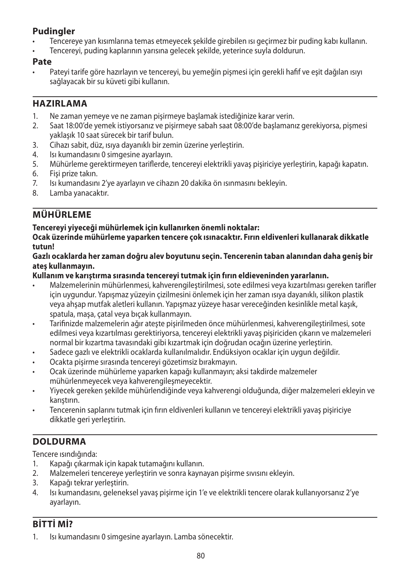## **Pudingler**

- Tencereye yan kısımlarına temas etmeyecek şekilde girebilen ısı geçirmez bir puding kabı kullanın.
- Tencereyi, puding kaplarının yarısına gelecek şekilde, yeterince suyla doldurun.

### **Pate**

Pateyi tarife göre hazırlayın ve tencereyi, bu yemeğin pişmesi için gerekli hafif ve eşit dağılan ısıyı sağlayacak bir su küveti gibi kullanın.

### **HAZIRLAMA**

- 1. Ne zaman yemeye ve ne zaman pişirmeye başlamak istediğinize karar verin.
- 2. Saat 18:00'de yemek istiyorsanız ve pişirmeye sabah saat 08:00'de başlamanız gerekiyorsa, pişmesi yaklaşık 10 saat sürecek bir tarif bulun.
- 3. Cihazı sabit, düz, ısıya dayanıklı bir zemin üzerine yerleştirin.
- 4. Isı kumandasını 0 simgesine ayarlayın.
- 5. Mühürleme gerektirmeyen tariflerde, tencereyi elektrikli yavaş pişiriciye yerleştirin, kapağı kapatın.
- 6. Fişi prize takın.
- 7. Isı kumandasını 2'ye ayarlayın ve cihazın 20 dakika ön ısınmasını bekleyin.
- 8. Lamba yanacaktır.

## **MÜHÜRLEME**

### **Tencereyi yiyeceği mühürlemek için kullanırken önemli noktalar:**

**Ocak üzerinde mühürleme yaparken tencere çok ısınacaktır. Fırın eldivenleri kullanarak dikkatle tutun!**

#### **Gazlı ocaklarda her zaman doğru alev boyutunu seçin. Tencerenin taban alanından daha geniş bir ateş kullanmayın.**

### **Kullanım ve karıştırma sırasında tencereyi tutmak için fırın eldieveninden yararlanın.**

- Malzemelerinin mühürlenmesi, kahverengileştirilmesi, sote edilmesi veya kızartılması gereken tarifler için uygundur. Yapışmaz yüzeyin çizilmesini önlemek için her zaman ısıya dayanıklı, silikon plastik veya ahşap mutfak aletleri kullanın. Yapışmaz yüzeye hasar vereceğinden kesinlikle metal kaşık, spatula, maşa, çatal veya bıçak kullanmayın.
- Tarifinizde malzemelerin ağır ateşte pişirilmeden önce mühürlenmesi, kahverengileştirilmesi, sote edilmesi veya kızartılması gerektiriyorsa, tencereyi elektrikli yavaş pişiriciden çıkarın ve malzemeleri normal bir kızartma tavasındaki gibi kızartmak için doğrudan ocağın üzerine yerleştirin.
- Sadece gazlı ve elektrikli ocaklarda kullanılmalıdır. Endüksiyon ocaklar için uygun değildir.
- Ocakta pişirme sırasında tencereyi gözetimsiz bırakmayın.
- Ocak üzerinde mühürleme yaparken kapağı kullanmayın; aksi takdirde malzemeler mühürlenmeyecek veya kahverengileşmeyecektir.
- Yiyecek gereken şekilde mühürlendiğinde veya kahverengi olduğunda, diğer malzemeleri ekleyin ve karıştırın.
- Tencerenin saplarını tutmak için fırın eldivenleri kullanın ve tencereyi elektrikli yavaş pişiriciye dikkatle geri yerleştirin.

# **DOLDURMA**

Tencere ısındığında:

- 1. Kapağı çıkarmak için kapak tutamağını kullanın.
- 2. Malzemeleri tencereye yerleştirin ve sonra kaynayan pişirme sıvısını ekleyin.
- 3. Kapağı tekrar yerleştirin.
- 4. Isı kumandasını, geleneksel yavaş pişirme için 1'e ve elektrikli tencere olarak kullanıyorsanız 2'ye ayarlayın.

## **BİTTİ Mİ?**

1. Isı kumandasını 0 simgesine ayarlayın. Lamba sönecektir.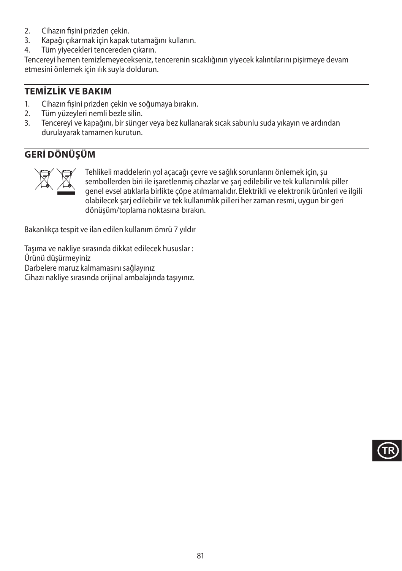- 2. Cihazın fişini prizden çekin.<br>3. Kapağı çıkarmak için kapak
- 3. Kapağı çıkarmak için kapak tutamağını kullanın.
- Tüm vivecekleri tencereden çıkarın.

Tencereyi hemen temizlemeyecekseniz, tencerenin sıcaklığının yiyecek kalıntılarını pişirmeye devam etmesini önlemek için ılık suyla doldurun.

### **TEMİZLİK VE BAKIM**

- 1. Cihazın fişini prizden çekin ve soğumaya bırakın.<br>2. Tüm vüzevleri nemli bezle silin.
- Tüm yüzeyleri nemli bezle silin.
- 3. Tencereyi ve kapağını, bir sünger veya bez kullanarak sıcak sabunlu suda yıkayın ve ardından durulayarak tamamen kurutun.

## **GERİ DÖNÜŞÜM**



Tehlikeli maddelerin yol açacağı çevre ve sağlık sorunlarını önlemek için, şu<br>sembollerden biri ile işaretlenmiş cihazlar ve şarj edilebilir ve tek kullanımlık<br>genel evsel atıklarla birlikte çöpe atılmamalıdır. Elektrikli sembollerden biri ile işaretlenmiş cihazlar ve şarj edilebilir ve tek kullanımlık piller genel evsel atıklarla birlikte çöpe atılmamalıdır. Elektrikli ve elektronik ürünleri ve ilgili olabilecek şarj edilebilir ve tek kullanımlık pilleri her zaman resmi, uygun bir geri dönüşüm/toplama noktasına bırakın.

Bakanlıkça tespit ve ilan edilen kullanım ömrü 7 yıldır

Taşıma ve nakliye sırasında dikkat edilecek hususlar : Ürünü düşürmeyiniz Darbelere maruz kalmamasını sağlayınız Cihazı nakliye sırasında orijinal ambalajında taşıyınız.

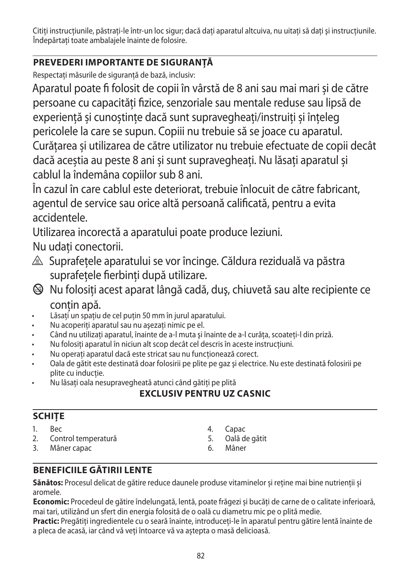Citiți instrucțiunile, păstrați-le într-un loc sigur; dacă dați aparatul altcuiva, nu uitați să dați și instrucțiunile. Îndepărtați toate ambalajele înainte de folosire.

# **PREVEDERI IMPORTANTE DE SIGURANŢĂ**

Respectați măsurile de siguranță de bază, inclusiv:

Aparatul poate fi folosit de copii în vârstă de 8 ani sau mai mari și de către persoane cu capacități fizice, senzoriale sau mentale reduse sau lipsă de experiență și cunoștințe dacă sunt supravegheați/instruiți și înțeleg pericolele la care se supun. Copiii nu trebuie să se joace cu aparatul.

Curățarea și utilizarea de către utilizator nu trebuie efectuate de copii decât dacă aceștia au peste 8 ani și sunt supravegheați. Nu lăsați aparatul și cablul la îndemâna copiilor sub 8 ani.

În cazul în care cablul este deteriorat, trebuie înlocuit de către fabricant, agentul de service sau orice altă persoană calificată, pentru a evita accidentele.

Utilizarea incorectă a aparatului poate produce leziuni.

Nu udati conectorii.

- $\triangle$  Suprafetele aparatului se vor încinge. Căldura reziduală va păstra suprafețele fierbinți după utilizare.
- $\bigcirc$  Nu folosiți acest aparat lângă cadă, duș, chiuvetă sau alte recipiente ce contin apă.
- Lăsați un spațiu de cel puțin 50 mm în jurul aparatului.
- Nu acoperiti aparatul sau nu asezati nimic pe el.
- Când nu utilizaţi aparatul, înainte de a-l muta şi înainte de a-l curăţa, scoateţi-l din priză.
- Nu folosiţi aparatul în niciun alt scop decât cel descris în aceste instrucţiuni.
- Nu operati aparatul dacă este stricat sau nu funcționează corect.
- Oala de gătit este destinată doar folosirii pe plite pe gaz şi electrice. Nu este destinată folosirii pe plite cu inducţie.
- Nu lăsaţi oala nesupravegheată atunci când gătiţi pe plită

# **EXCLUSIV PENTRU UZ CASNIC**

# **SCHIŢE**

- 1. Bec
- 2. Control temperatură
- 3. Mâner capac
- 4. Capac
- 5. Oală de gătit
- 6. Mâner

# **BENEFICIILE GĂTIRII LENTE**

**Sănătos:** Procesul delicat de gătire reduce daunele produse vitaminelor și reține mai bine nutrienții și aromele.

**Economic:** Procedeul de gătire îndelungată, lentă, poate frăgezi și bucăți de carne de o calitate inferioară, mai tari, utilizând un sfert din energia folosită de o oală cu diametru mic pe o plită medie.

**Practic:** Pregătiți ingredientele cu o seară înainte, introduceți-le în aparatul pentru gătire lentă înainte de a pleca de acasă, iar când vă veți întoarce vă va aștepta o masă delicioasă.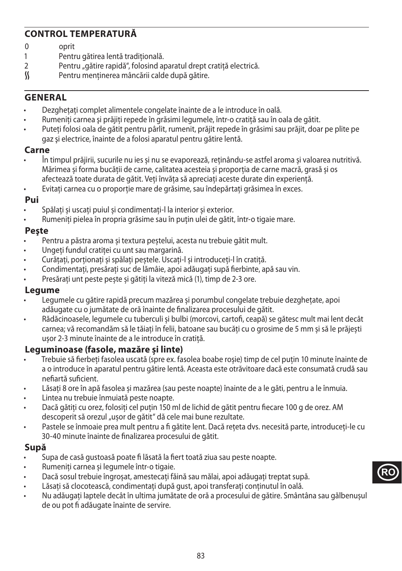## **CONTROL TEMPERATURĂ**

- 0 oprit<br>1 Pentr
- 1 Pentru gătirea lentă tradițională.<br>2 Pentru, gătire rapidă<sup>a</sup> folosind ar
- 2 Pentru "gătire rapidă", folosind aparatul drept cratiță electrică.<br>
S Pentru mentinerea mâncării calde după gătire.
- Pentru mentinerea mâncării calde după gătire.

### **GENERAL**

- Dezghețați complet alimentele congelate înainte de a le introduce în oală.
- Rumeniți carnea și prăjiți repede în grăsimi legumele, într-o cratită sau în oala de gătit.
- Puteți folosi oala de gătit pentru pârlit, rumenit, prăjit repede în grăsimi sau prăjit, doar pe plite pe gaz şi electrice, înainte de a folosi aparatul pentru gătire lentă.

### **Carne**

- În timpul prăjirii, sucurile nu ies și nu se evaporează, reținându-se astfel aroma și valoarea nutritivă. Mărimea și forma bucății de carne, calitatea acesteia și proporția de carne macră, grasă și os afectează toate durata de gătit. Veți învăța să apreciați aceste durate din experiență.
- Evitați carnea cu o proporție mare de grăsime, sau îndepărtați grăsimea în exces.

### **Pui**

- Spălați și uscați puiul și condimentați-l la interior și exterior.
- Rumeniți pielea în propria grăsime sau în puțin ulei de gătit, într-o tigaie mare.

### **Peşte**

- Pentru a păstra aroma și textura peștelui, acesta nu trebuie gătit mult.
- Ungeți fundul cratiței cu unt sau margarină.
- Curățați, porționați și spălați peștele. Uscați-l și introduceți-l în cratiță.
- Condimentați, presărați suc de lămâie, apoi adăugați supă fierbinte, apă sau vin.
- Presărați unt peste pește și gătiți la viteză mică (1), timp de 2-3 ore.

### **Legume**

- Legumele cu gătire rapidă precum mazărea și porumbul congelate trebuie dezghețate, apoi adăugate cu o jumătate de oră înainte de finalizarea procesului de gătit.
- Rădăcinoasele, legumele cu tuberculi și bulbi (morcovi, cartofi, ceapă) se gătesc mult mai lent decât carnea; vă recomandăm să le tăiați în felii, batoane sau bucăți cu o grosime de 5 mm și să le prăjești ușor 2-3 minute înainte de a le introduce în cratiță.

### **Leguminoase (fasole, mazăre și linte)**

- Trebuie să fierbeți fasolea uscată (spre ex. fasolea boabe roșie) timp de cel puțin 10 minute înainte de a o introduce în aparatul pentru gătire lentă. Aceasta este otrăvitoare dacă este consumată crudă sau nefiartă suficient.
- Lăsați 8 ore în apă fasolea și mazărea (sau peste noapte) înainte de a le găti, pentru a le înmuia.
- Lintea nu trebuie înmuiată peste noapte.
- Dacă gătiți cu orez, folosiți cel puțin 150 ml de lichid de gătit pentru fiecare 100 g de orez. AM descoperit să orezul "ușor de gătit" dă cele mai bune rezultate.
- Pastele se înmoaie prea mult pentru a fi gătite lent. Dacă rețeta dvs. necesită parte, introduceți-le cu 30-40 minute înainte de finalizarea procesului de gătit.

### **Supă**

- Supa de casă gustoasă poate fi lăsată la fiert toată ziua sau peste noapte.
- Rumeniți carnea și legumele într-o tigaie.
- Dacă sosul trebuie îngroșat, amestecați făină sau mălai, apoi adăugați treptat supă.
- Lăsati să clocotească, condimentați după gust, apoi transferați conținutul în oală.
- Nu adăugați laptele decât în ultima jumătate de oră a procesului de gătire. Smântâna sau gălbenușul de ou pot fi adăugate înainte de servire.

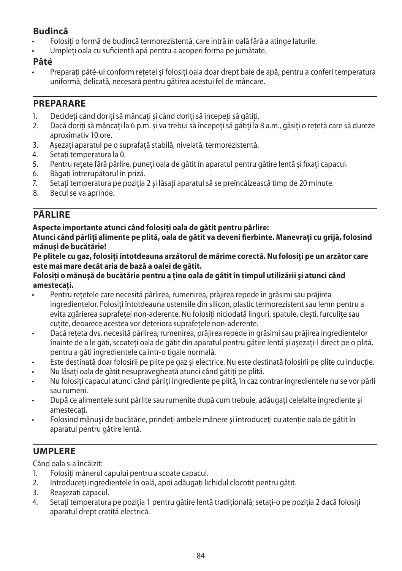## **Budincă**

- Folosiți o formă de budincă termorezistentă, care intră în oală fără a atinge laturile.<br>• Ilmpleți oala cu suficientă ană pentru a aconeri forma pe iumătate
- Umpleți oala cu suficientă apă pentru a acoperi forma pe jumătate.

## **Pâté**

• Preparați pâté-ul conform rețetei și folosiți oala doar drept baie de apă, pentru a conferi temperatura uniformă, delicată, necesară pentru gătirea acestui fel de mâncare.

### **PREPARARE**

- 1. Decideți când doriți să mâncați și când doriți să începeți să gătiți.
- 2. Dacă doriți să mâncați la 6 p.m. și va trebui să începeți să gătiți la 8 a.m., găsiți o rețetă care să dureze aproximativ 10 ore.
- 3. Asezați aparatul pe o suprafață stabilă, nivelață, termorezistentă.
- 4. Setați temperatura la 0.
- 5. Pentru rețete fără pârlire, puneți oala de gătit în aparatul pentru gătire lentă și fixați capacul.<br>6. Băgati întrerupătorul în priză.
- Băgați întrerupătorul în priză.
- 7. Setați temperatura pe poziția 2 și lăsați aparatul să se preîncălzească timp de 20 minute.
- 8. Becul se va aprinde.

# **PÂRLIRE**

## **Aspecte importante atunci când folosiţi oala de gătit pentru pârlire:**

**Atunci când pârliţi alimente pe plită, oala de gătit va deveni fierbinte. Manevraţi cu grijă, folosind mănuşi de bucătărie!**

Pe plitele cu gaz, folositi întotdeauna arzătorul de mărime corectă. Nu folositi pe un arzător care **este mai mare decât aria de bază a oalei de gătit.**

### **Folosiţi o mănuşă de bucătărie pentru a ţine oala de gătit în timpul utilizării şi atunci când amestecaţi.**

- Pentru retetele care necesită pârlirea, rumenirea, prăjirea repede în grăsimi sau prăjirea ingredientelor. Folositi întotdeauna ustensile din silicon, plastic termorezistent sau lemn pentru a evita zgârierea suprafeței non-aderente. Nu folosiți niciodată linguri, spatule, clești, furculite sau cutite, deoarece acestea vor deteriora suprafetele non-aderente.
- Dacă reteta dvs. necesită pârlirea, rumenirea, prăjirea repede în grăsimi sau prăjirea ingredientelor înainte de a le găti, scoateți oala de gătit din aparatul pentru gătire lentă și asezați-l direct pe o plită, pentru a găti ingredientele ca într-o tigaie normală.
- Este destinată doar folosirii pe plite pe gaz și electrice. Nu este destinată folosirii pe plite cu inducție.
- Nu lăsati oala de gătit nesupravegheată atunci când gătiti pe plită.
- Nu folositi capacul atunci când pârliti ingrediente pe plită, în caz contrar ingredientele nu se vor pârli sau rumeni.
- După ce alimentele sunt pârlite sau rumenite după cum trebuie, adăugați celelalte ingrediente și amestecati.
- Folosind mănuși de bucătărie, prindeți ambele mânere și introduceți cu atenție oala de gătit în aparatul pentru gătire lentă.

# **UMPLERE**

Când oala s-a încălzit:

- 1. Folositi mânerul capului pentru a scoate capacul.
- 2. Introduceți ingredientele în oală, apoi adăugați lichidul clocotit pentru gătit.
- 3. Reasezati capacul.
- 4. Setați temperatura pe poziția 1 pentru gătire lentă tradițională; setați-o pe poziția 2 dacă folosiți aparatul drept cratiță electrică.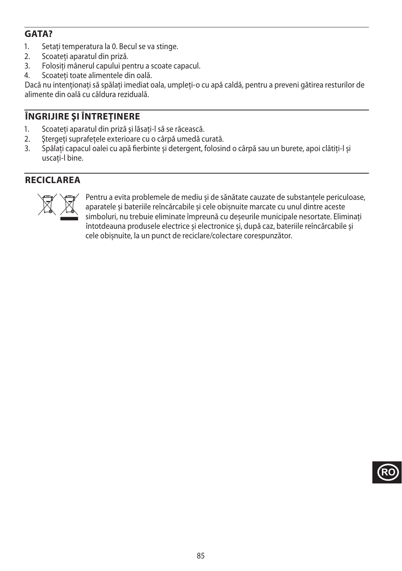## **GATA?**

- 1. Setați temperatura la 0. Becul se va stinge.
- 2. Scoateți aparatul din priză.<br>3 Eolositi mânerul capului ne
- Folositi mânerul capului pentru a scoate capacul.
- 4. Scoateți toate alimentele din oală.

Dacă nu intenționați să spălați imediat oala, umpleți-o cu apă caldă, pentru a preveni gătirea resturilor de alimente din oală cu căldura reziduală.

## **ÎNGRIJIRE ŞI ÎNTREŢINERE**

- 1. Scoateţi aparatul din priză şi lăsaţi-l să se răcească.
- 2. Ştergeţi suprafeţele exterioare cu o cârpă umedă curată.
- 3. Spălați capacul oalei cu apă fierbinte și detergent, folosind o cârpă sau un burete, apoi clătiți-l și uscați-l bine.

## **RECICLAREA**



Pentru a evita problemele de mediu și de sănătate cauzate de substanțele periculoase,<br>aparatele și bateriile reîncărcabile și cele obișnuite marcate cu unul dintre aceste<br>simboluri, nu trebuie eliminate împreună cu deșeuri aparatele și bateriile reîncărcabile și cele obișnuite marcate cu unul dintre aceste simboluri, nu trebuie eliminate împreună cu deșeurile municipale nesortate. Eliminați întotdeauna produsele electrice și electronice și, după caz, bateriile reîncărcabile și cele obișnuite, la un punct de reciclare/colectare corespunzător.

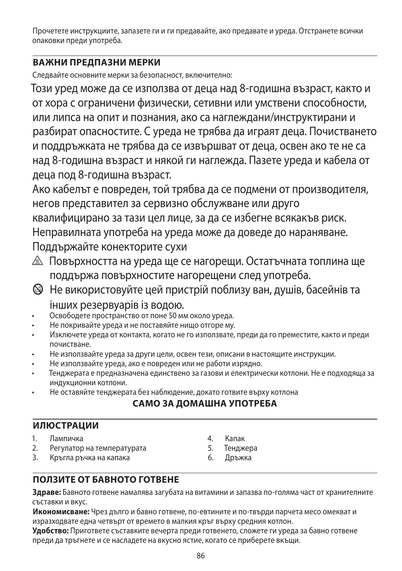Прочетете инструкциите, запазете ги и ги предавайте, ако предавате и уреда. Отстранете всички опаковки преди употреба.

## **ВАЖНИ ПРЕДПАЗНИ МЕРКИ**

Следвайте основните мерки за безопасност, включително:

Този уред може да се използва от деца над 8-годишна възраст, както и от хора с ограничени физически, сетивни или умствени способности, или липса на опит и познания, ако са наглеждани/инструктирани и разбират опасностите. С уреда не трябва да играят деца. Почистването и поддръжката не трябва да се извършват от деца, освен ако те не са над 8-годишна възраст и някой ги наглежда. Пазете уреда и кабела от деца под 8-годишна възраст.

Ако кабелът е повреден, той трябва да се подмени от производителя, негов представител за сервизно обслужване или друго квалифицирано за тази цел лице, за да се избегне всякакъв риск. Неправилната употреба на уреда може да доведе до нараняване. Поддържайте конекторите сухи

- $\triangle$  Повърхността на уреда ще се нагорещи. Остатъчната топлина ще поддържа повърхностите нагорещени след употреба.
- b Не використовуйте цей пристрій поблизу ван, душів, басейнів та інших резервуарів із водою.
- Освободете пространство от поне 50 мм около уреда.
- Не покривайте уреда и не поставяйте нищо отгоре му.
- Изключете уреда от контакта, когато не го използвате, преди да го преместите, както и преди почистване.
- Не използвайте уреда за други цели, освен тези, описани в настоящите инструкции.
- Не използвайте уреда, ако е повреден или не работи изрядно.
- Тенджерата е предназначена единствено за газови и електрически котлони. Не е подходяща за индукционни котлони.
- Не оставяйте тенджерата без наблюдение, докато готвите върху котлона

# **САМО ЗА ДОМАШНА УПОТРЕБА**

### **ИЛЮСТРАЦИИ**

- 1. Лампичка
- 2. Регулатор на температурата
- 3. Кръгла ръчка на капака
- 4. Капак
- 5. Тенджера
- 6. Дръжка

# **ПОЛЗИТЕ ОТ БАВНОТО ГОТВЕНЕ**

**Здраве:** Бавното готвене намалява загубата на витамини и запазва по-голяма част от хранителните съставки и вкус.

**Икономисване:** Чрез дълго и бавно готвене, по-евтините и по-твърди парчета месо омекват и изразходвате една четвърт от времето в малкия кръг върху средния котлон.

**Удобство:** Пригответе съставките вечерта преди готвенето, сложете ги уреда за бавно готвене преди да тръгнете и се насладете на вкусно ястие, когато се приберете вкъщи.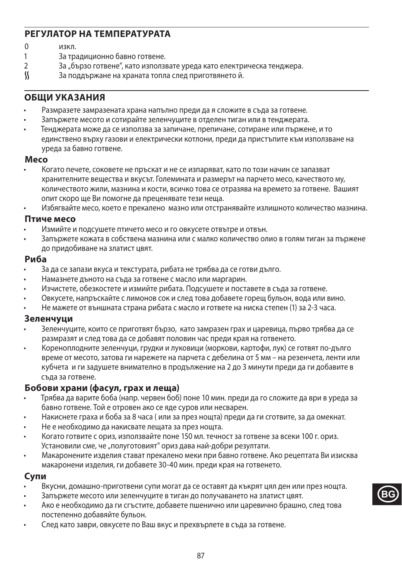### **РЕГУЛАТОР НА ТЕМПЕРАТУРАТА**

- $0$  изкл.<br>1 Затр
- 1 За традиционно бавно готвене.<br>2 3 денасо готвене" като използ
- 2 За "бързо готвене", като използвате уреда като електрическа тенджера.<br>∬ За поддържане на храната топла след приготвянето й.
- За поддържане на храната топла след приготвянето й.

### **ОБЩИ УКАЗАНИЯ**

- Размразете замразената храна напълно преди да я сложите в съда за готвене.
- Запържете месото и сотирайте зеленчуците в отделен тиган или в тенджерата.
- Тенджерата може да се използва за запичане, препичане, сотиране или пържене, и то единствено върху газови и електрически котлони, преди да пристъпите към използване на уреда за бавно готвене.

#### **Mесо**

- Когато печете, соковете не пръскат и не се изпаряват, като по този начин се запазват хранителните вещества и вкусът. Големината и размерът на парчето месо, качеството му, количеството жили, мазнина и кости, всичко това се отразява на времето за готвене. Вашият опит скоро ще Ви помогне да преценявате тези неща.
- Избягвайте месо, което е прекалено мазно или отстранявайте излишното количество мазнина.

#### **Птиче месо**

- Измийте и подсушете птичето месо и го овкусете отвътре и отвън.
- Запържете кожата в собствена мазнина или с малко количество олио в голям тиган за пържене до придобиване на златист цвят.

#### **Риба**

- За да се запази вкуса и текстурата, рибата не трябва да се готви дълго.
- Намазнете дъното на съда за готвене с масло или маргарин.
- Изчистете, обезкостете и измийте рибата. Подсушете и поставете в съда за готвене.
- Овкусете, напръскайте с лимонов сок и след това добавете горещ бульон, вода или вино.
- Не мажете от външната страна рибата с масло и гответе на ниска степен (1) за 2-3 часа.

#### **Зеленчуци**

- Зеленчуците, които се приготвят бързо, като замразен грах и царевица, първо трябва да се размразят и след това да се добавят половин час преди края на готвенето.
- Кореноплодните зеленчуци, грудки и луковици (моркови, картофи, лук) се готвят по-дълго време от месото, затова ги нарежете на парчета с дебелина от 5 мм – на резенчета, ленти или кубчета и ги задушете внимателно в продължение на 2 до 3 минути преди да ги добавите в съда за готвене.

#### **Бобови храни (фасул, грах и леща)**

- Трябва да варите боба (напр. червен боб) поне 10 мин. преди да го сложите да ври в уреда за бавно готвене. Той е отровен ако се яде суров или несварен.
- Накиснете граха и боба за 8 часа ( или за през нощта) преди да ги сготвите, за да омекнат.
- Не е необходимо да накисвате лещата за през нощта.
- Когато готвите с ориз, използвайте поне 150 мл. течност за готвене за всеки 100 г. ориз. Установили сме, че "полуготовият" ориз дава най-добри резултати.
- Макаронените изделия стават прекалено меки при бавно готвене. Ако рецептата Ви изисква макаронени изделия, ги добавете 30-40 мин. преди края на готвенето.

#### **Супи**

- Вкусни, домашно-приготвени супи могат да се оставят да къкрят цял ден или през нощта.
- Запържете месото или зеленчуците в тиган до получаването на златист цвят.
- Ако е необходимо да ги сгъстите, добавете пшенично или царевично брашно, след това постепенно добавяйте бульон.
- След като заври, овкусете по Ваш вкус и прехвърлете в съда за готвене.

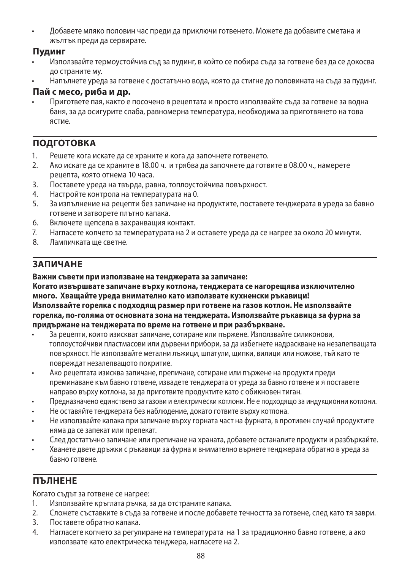• Добавете мляко половин час преди да приключи готвенето. Можете да добавите сметана и жълтък преди да сервирате.

### **Пудинг**

- Използвайте термоустойчив съд за пудинг, в който се побира съда за готвене без да се докосва до страните му.
- Напълнете уреда за готвене с достатъчно вода, която да стигне до половината на съда за пудинг.

### **Пай с месо, риба и др.**

• Пригответе пая, както е посочено в рецептата и просто използвайте съда за готвене за водна баня, за да осигурите слаба, равномерна температура, необходима за приготвянето на това ястие.

# **ПОДГОТОВКА**

- 1. Решете кога искате да се храните и кога да започнете готвенето.
- 2. Ако искате да се храните в 18.00 ч. и трябва да започнете да готвите в 08.00 ч., намерете рецепта, която отнема 10 часа.
- 3. Поставете уреда на твърда, равна, топлоустойчива повърхност.
- 4. Настройте контрола на температурата на 0.
- 5. За изпълнение на рецепти без запичане на продуктите, поставете тенджерата в уреда за бавно готвене и затворете плътно капака.
- 6. Включете щепсела в захранващия контакт.
- 7. Нагласете копчето за температурата на 2 и оставете уреда да се нагрее за около 20 минути.
- 8. Лампичката ще светне.

# **ЗАПИЧАНЕ**

#### **Важни съвети при използване на тенджерата за запичане:**

**Когато извършвате запичане върху котлона, тенджерата се нагорещява изключително много. Хващайте уреда внимателно като използвате кухненски ръкавици! Използвайте горелка с подходящ размер при готвене на газов котлон. Не използвайте горелка, по-голяма от основната зона на тенджерата. Използвайте ръкавица за фурна за придържане на тенджерата по време на готвене и при разбъркване.**

- За рецепти, които изискват запичане, сотиране или пържене. Използвайте силиконови, топлоустойчиви пластмасови или дървени прибори, за да избегнете надраскване на незалепващата повърхност. Не използвайте метални лъжици, шпатули, щипки, вилици или ножове, тъй като те повреждат незалепващото покритие.
- Ако рецептата изисква запичане, препичане, сотиране или пържене на продукти преди преминаване към бавно готвене, извадете тенджерата от уреда за бавно готвене и я поставете направо върху котлона, за да приготвите продуктите като с обикновен тиган.
- Предназначено единствено за газови и електрически котлони. Не е подходящо за индукционни котлони.
- Не оставяйте тенджерата без наблюдение, докато готвите върху котлона.
- Не използвайте капака при запичане върху горната част на фурната, в противен случай продуктите няма да се запекат или препекат.
- След достатъчно запичане или препичане на храната, добавете останалите продукти и разбъркайте.
- Хванете двете дръжки с ръкавици за фурна и внимателно върнете тенджерата обратно в уреда за бавно готвене.

# **ПЪЛНЕНЕ**

Когато съдът за готвене се нагрее:

- 1. Използвайте кръглата ръчка, за да отстраните капака.
- 2. Сложете съставките в съда за готвене и после добавете течността за готвене, след като тя заври.
- 3. Поставете обратно капака.
- 4. Нагласете копчето за регулиране на температурата на 1 за традиционно бавно готвене, а ако използвате като електрическа тенджера, нагласете на 2.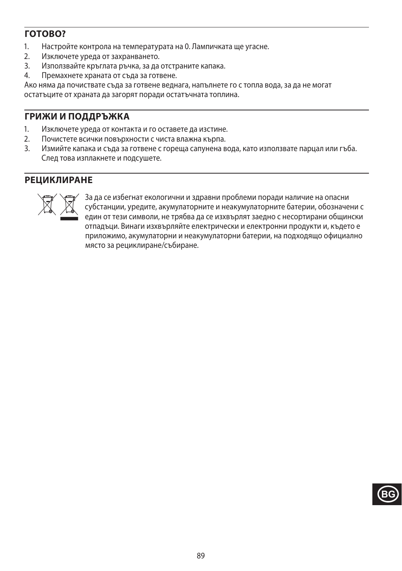# **ГОТОВО?**

- 1. Настройте контрола на температурата на 0. Лампичката ще угасне.
- 2. Изключете уреда от захранването.<br>3. Използвайте кръглата ръчка за ла
- 3. Използвайте кръглата ръчка, за да отстраните капака.
- 4. Премахнете храната от съда за готвене.

Ако няма да почиствате съда за готвене веднага, напълнете го с топла вода, за да не могат остатъците от храната да загорят поради остатъчната топлина.

## **ГРИЖИ И ПОДДРЪЖКА**

- 1. Изключете уреда от контакта и го оставете да изстине.
- 2. Почистете всички повърхности с чиста влажна кърпа.<br>3. Измийте капака и съла за готвене с гореша сапунена в
- Измийте капака и съда за готвене с гореша сапунена вода, като използвате парцал или гъба. След това изплакнете и подсушете.

## **РЕЦИКЛИРАНЕ**



3a да се избегнат екологични и здравни проблеми поради наличие на опасни (SM) субстанции, уредите, акумулаторните и неакумулаторните батерии, обозначе<br>един от тези символи, не трябва да се изхвърлят заедно с несортирани о субстанции, уредите, акумулаторните и неакумулаторните батерии, обозначени с един от тези символи, не трябва да се изхвърлят заедно с несортирани общински отпадъци. Винаги изхвърляйте електрически и електронни продукти и, където е приложимо, акумулаторни и неакумулаторни батерии, на подходящо официално място за рециклиране/събиране.

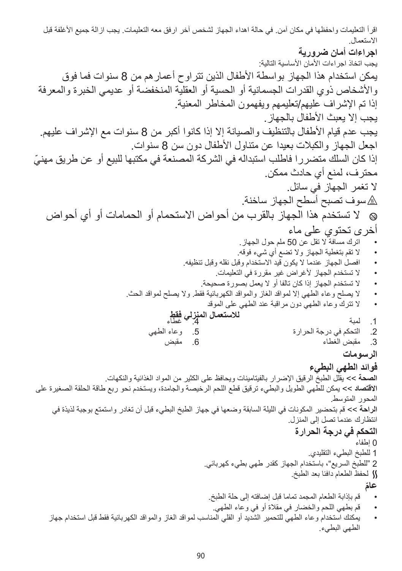اقرأ التعليمات واحفظها في مكان آمن. في حالة اهداء الجهاز لشخص آخر ارفق معه التعليمات. يجب ازالة جميع األغلفة قبل االستعمال. **اجراءات أمان ضرورية** بجب اتخاذ اجر اءات الأمان الأساسية التالية: يمكن استخدام هذا الجهاز بواسطة األطفال الذين تتراوح أعمارهم من 8 سنوات فما فوق واألشخاص ذوي القدرات الجسمانية أو الحسية أو العقلية المنخفضة أو عديمي الخبرة والمعرفة إذا تم اإلشراف عليهم/تعليمهم ويفهمون المخاطر المعنية. يجب إلا يعبث الأطفال بالجهاز . يجب عدم قيام الأطفال بالتنظيف والصيانة إلا إذا كانوا أكبر من 8 سنوات مع الإشراف عليهم. اجعل الجهاز والكبالت بعيدا عن متناول األطفال دون سن 8 سنوات. ّ إذا كان السلك متضررا فاطلب استبداله في الشركة المصنعة في مكتبها للبيع أو عن طريق مهني محترف، لمنع أي حادث ممكن. ال تغمر الجهاز في سائل. ¬ سوف تصبح أسطح الجهاز ساخنة. <sup>b</sup> ال تستخدم هذا الجهاز بالقرب من أحواض االستحمام أو الحمامات أو أي أحواض أخرى تحتوي على ماء اترك مسافة ال تقل عن 50 ملم حول الجهاز. ال تقم بتغطية الجهاز وال تضع أي شيء فوقه. افصل الجهاز عندما ال يكون قيد االستخدام وقبل نقله وقبل تنظيفه. ال تستخدم الجهاز ألغراض غير مقررة في التعليمات. ال تستخدم الجهاز إذا كان تالفا أو ال يعمل بصورة صحيحة. ال يصلح وعاء الطهي إال لمواقد الغاز والمواقد الكهربائية فقط. وال يصلح لمواقد الحث. ال تترك وعاء الطهي دون مراقبة عند الطهي على الموقد **لالستعمال المنزلي فقط** .4 غطاء **الرسومات فوائد الطهي البطيء الصحة** << يقلل الطبخ الرقيق اإلضرار بالفيتامينات ويحافظ على الكثير من المواد الغذائية والنكهات. **االقتصاد** << يمكن للطهي الطويل والبطيء ترقيق قطع اللحم الرخيصة والجامدة، ويستخدم نحو ربع طاقة الحلقة الصغيرة على المحور المتوسط. **الراحة** << قم بتحضير المكونات في الليلة السابقة وضعها في جهاز الطبخ البطيء قبل أن تغادر واستمتع بوجبة لذيذة في انتظارك عندما تصل إلى المنزل. **التحكم في درجة الحرارة** 0 إطفاء 1 للطبخ البطيء التقليدي. 2 "للطبخ السريع"، باستخدام الجهاز كقدر طهي بطيء كهربائي. O لحفظ الطعام دافئا بعد الطبخ. قم بإذابة الطعام المجمد تماما قبل إضافته إلى حلة الطبخ. **ّعام** قم بطهي اللحم والخضار في مقالة أو في وعاء الطهي. يمكنك استخدام وعاء الطهي للتحمير الشديد أو القلي المناسب لمواقد الغاز والمواقد الكهربائية فقط قبل استخدام جهاز الطهي البطيء. .1 لمبة .2 التحكم في درجة الحرارة .3 مقبض الغطاء .5 وعاء الطهي .6 مقبض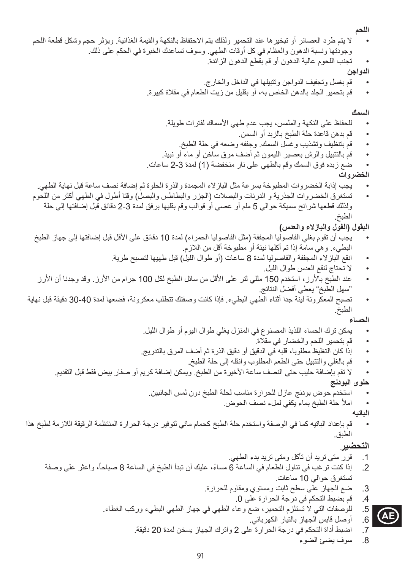**اللحم**

- ال يتم طرد العصائر أو تبخيرها عند التحمير ولذلك يتم االحتفاظ بالنكهة والقيمة الغذائية. ويؤثر حجم وشكل قطعة اللحم وجودتها ونسبة الدهون والعظام في كل أوقات الطهي. وسوف تساعدك الخبرة في الحكم على ذلك.
	- تجنب اللحوم عالية الدهون أو قم بقطع الدهون الزائدة.

**الدواجن**

- قم بغسل وتجفيف الدواجن وتتبيلها في الداخل والخارج.
- قم بتحمير الجلد بالدهن الخاص به، أو بقليل من زيت الطعام في مقالة كبيرة.

**السمك**

- للحفاظ على النكهة والملمس، يجب عدم طهي الأسماك لفترات طويلة.
	- قم بدهن قاعدة حلة الطبخ بالزبد أو السمن.
	- قم بتنظيف وتشذيب وغسل السمك. وجففه وضعه في حلة الطبخ.
- قم بالتتبيل والرش بعصير الليمون ثم أضف مرق ساخن أو ماء أو نبيذ.
- ضع زبده فوق السمك وقم بالطهي على نار منخفضة )1( لمدة 2-3 ساعات.

**الخضروات**

- يجب إذابة الخضروات المطبوخة بسرعة مثل البازالء المجمدة والذرة الحلوة ثم إضافة نصف ساعة قبل نهاية الطهي.
- تستغرق الخضروات الجذرية و الدرنات والبصلات (الجزر والبطاطس والبصل) وقتا أطول في الطهي أكثر من اللحوم ولذلك قطعها شرائح سميكة حوالي 5 ملم أو عصي أو قوالب وقم بقليها برفق لمدة 2-3 دقائق قبل إضافتها إلى حلة الطبخ.

**البقول )الفول والبازالء والعدس(**

- يجب أن تقوم بغلي الفاصوليا المجففة (مثل الفاصوليا الحمراء) لمدة 10 دقائق على الأقل قبل إضافتها إلى جهاز الطبخ البطيء. وهي سامة إذا تم أكلها نيئة أو مطبوخة أقل من الالزم.
	- انقع البازلاء المجففة والفاصوليا لمدة 8 ساعات (أو طوال الليل) قبل طهيها لتصبح طرية.
		- ال تحتاج لنقع العدس طوال الليل.
- عند الطبخ باألرز، استخدم 150 مللي لتر على األقل من سائل الطبخ لكل 100 جرام من األرز. وقد وجدنا أن األرز "سهل الطبخ" يعطي أفضل النتائج.
- تصبح المعكرونة لينة جدا أثناء الطهي البطيء. فإذا كانت وصفتك تتطلب معكرونة، فضعها لمدة 30-40 دقيقة قبل نهاية الطبخ.

**الحساء**

- يمكن ترك الحساء اللذيذ المصنوع في المنزل يغلي طوال اليوم أو طوال الليل.
	- قم بتحمير اللحم والخضار في مقالة.
- إذا كان التغليظ مطلوبا، قلبه في الدقيق أو دقيق الذرة ثم أضف المرق بالتدريج.
	- قم بالغلي والتتبيل حتى الطعم المطلوب وانقله إلى حلة الطبخ.
- ال تقم بإضافة حليب حتى النصف ساعة األخيرة من الطبخ. ويمكن إضافة كريم أو صفار بيض فقط قبل التقديم.

**حلوى البودنج**

- استخدم حوض بودنج عازل للحرارة مناسب لحلة الطبخ دون لمس الجانبين.
	- املأ حلة الطبخ بماء يكفي لملء نصف الحوض.

**الباتيه**

 قم بإعداد الباتيه كما في الوصفة واستخدم حلة الطبخ كحمام مائي لتوفير درجة الحرارة المنتظمة الرقيقة الالزمة لطبخ هذا الطبق.

### **التحضير**

**AE**

- .1 قرر متى تريد أن تأكل ومتى تريد بدء الطهي.
- 2. إذا كنت تر غب في تناول الطعام في الساعة 6 مساءً، عليك أن تبدأ الطبخ في الساعة 8 صباحاً، واعثر على وصفة تستغرق حوالي 10 ساعات.
	- .3 ضع الجهاز على سطح ثابت ومستوي ومقاوم للحرارة.
		- .4 قم بضبط التحكم في درجة الحرارة على .0
	- 5. للوصفات التي لا تستلزم التحمير ، ضع وعاء الطهي في جهاز الطهي البطيء وركب الغطاء.
		- .6 أوصل قابس الجهاز بالتيار الكهربائي.
		- .7 اضبط أداة التحكم في درجة الحرارة على 2 واترك الجهاز يسخن لمدة 20 دقيقة.
			- .8 سوف يضئ الضوء